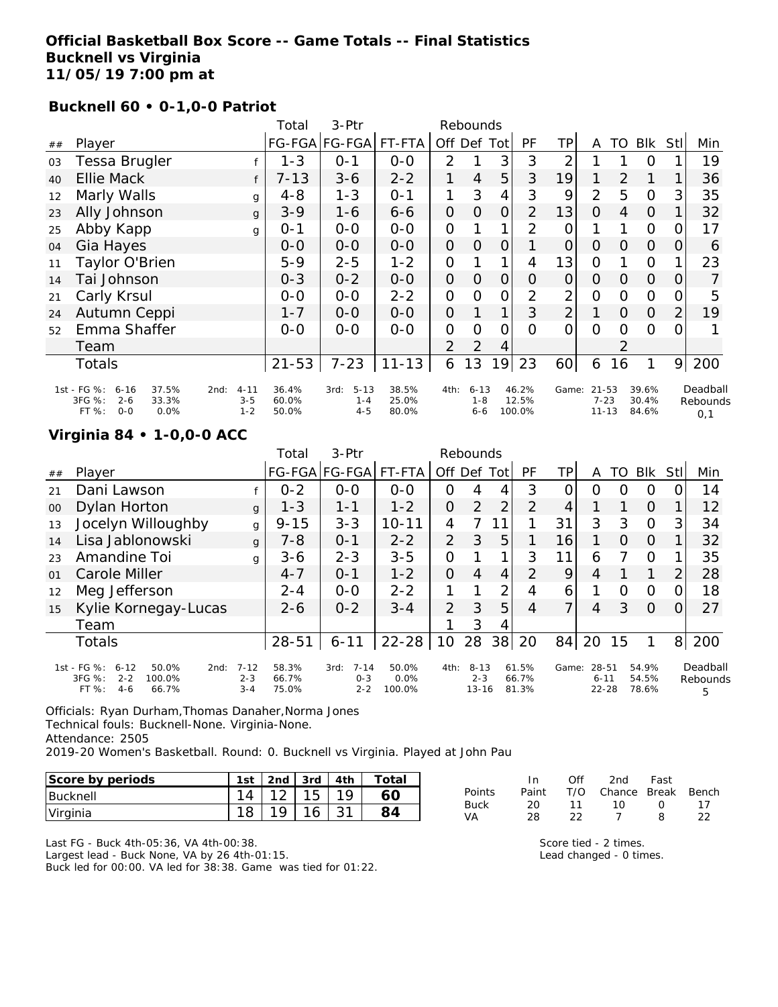#### **Official Basketball Box Score -- Game Totals -- Final Statistics Bucknell vs Virginia 11/05/19 7:00 pm at**

#### **Bucknell 60 • 0-1,0-0 Patriot**

|    |                                                                                          |                                        | Total                   | 3-Ptr                                  |                         |                | Rebounds                       |                |                          |                |                                    |          |                         |     |                             |
|----|------------------------------------------------------------------------------------------|----------------------------------------|-------------------------|----------------------------------------|-------------------------|----------------|--------------------------------|----------------|--------------------------|----------------|------------------------------------|----------|-------------------------|-----|-----------------------------|
| ## | Player                                                                                   |                                        |                         | FG-FGA FG-FGA FT-FTA                   |                         | Off Def Tot    |                                |                | <b>PF</b>                | TР             | A                                  | TO       | Blk                     | Stl | Min                         |
| 03 | Tessa Brugler                                                                            |                                        | $1 - 3$                 | $0 - 1$                                | $0-0$                   | $\overline{2}$ |                                | 3              | 3                        | 2              |                                    |          | $\Omega$                |     | 19                          |
| 40 | <b>Ellie Mack</b>                                                                        | f                                      | $7 - 13$                | $3 - 6$                                | $2 - 2$                 | 1              | $\overline{4}$                 | 5              | 3                        | 19             |                                    | 2        |                         |     | 36                          |
| 12 | Marly Walls                                                                              | g                                      | $4 - 8$                 | $1 - 3$                                | $0 - 1$                 |                | 3                              | 4              | 3                        | 9              | $\overline{2}$                     | 5        | $\Omega$                | 3   | 35                          |
| 23 | Ally Johnson                                                                             | g                                      | $3 - 9$                 | $1 - 6$                                | $6 - 6$                 | 0              | $\Omega$                       | $\overline{O}$ | 2                        | 13             | $\Omega$                           | 4        | $\overline{O}$          |     | 32                          |
| 25 | Abby Kapp                                                                                | g                                      | $0 - 1$                 | $O-O$                                  | $O-O$                   | 0              |                                | 1              | 2                        | 0              |                                    |          | $\mathbf{O}$            | O   | 17                          |
| 04 | Gia Hayes                                                                                |                                        | 0-0                     | $0-0$                                  | $0 - 0$                 | 0              | O                              | $\Omega$       |                          | $\overline{O}$ | $\Omega$                           | 0        | $\overline{O}$          | 0   | 6                           |
|    | Taylor O'Brien                                                                           |                                        | $5 - 9$                 | $2 - 5$                                | $1 - 2$                 | 0              |                                |                | 4                        | 13             | 0                                  |          | $\Omega$                |     | 23                          |
| 14 | Tai Johnson                                                                              |                                        | $0 - 3$                 | $0 - 2$                                | $O-O$                   | 0              | 0                              | $\overline{O}$ | 0                        | $\overline{O}$ | $\Omega$                           | $\Omega$ | $\overline{O}$          | 0   | $\overline{7}$              |
| 21 | Carly Krsul                                                                              |                                        | $0-0$                   | $0-0$                                  | $2 - 2$                 | 0              | O                              | $\mathcal{O}$  | $\overline{2}$           | $\overline{2}$ | 0                                  | $\Omega$ | $\overline{O}$          | O   | 5                           |
| 24 | Autumn Ceppi                                                                             |                                        | $1 - 7$                 | $0 - 0$                                | $0 - 0$                 | 0              |                                | $\mathbf{1}$   | 3                        | $\overline{2}$ |                                    | $\Omega$ | $\overline{O}$          |     | 19                          |
| 52 | Emma Shaffer                                                                             |                                        | $0-0$                   | $0-0$                                  | $0-0$                   | $\mathcal{O}$  | $\Omega$                       | 0              | 0                        | $\Omega$       | $\Omega$                           | $\Omega$ | $\Omega$                |     |                             |
|    | Team                                                                                     |                                        |                         |                                        |                         | 2              | 2                              | 4              |                          |                |                                    |          |                         |     |                             |
|    | Totals                                                                                   |                                        | $21 - 53$               | $7 - 23$                               | $11 - 13$               | 6              | 13                             | 19             | 23                       | 60             | 6                                  | 16       |                         | 9   | 200                         |
|    | 1st - FG %:<br>37.5%<br>$6 - 16$<br>3FG %:<br>$2 - 6$<br>33.3%<br>FT %:<br>$O-O$<br>0.0% | $4 - 11$<br>2nd:<br>$3 - 5$<br>$1 - 2$ | 36.4%<br>60.0%<br>50.0% | $5 - 13$<br>3rd:<br>$1 - 4$<br>$4 - 5$ | 38.5%<br>25.0%<br>80.0% | 4th:           | $6 - 13$<br>$1 - 8$<br>$6 - 6$ |                | 46.2%<br>12.5%<br>100.0% | Game:          | $21 - 53$<br>$7 - 23$<br>$11 - 13$ |          | 39.6%<br>30.4%<br>84.6% |     | Deadball<br>Rebounds<br>0,1 |

## **Virginia 84 • 1-0,0-0 ACC**

|        |                                                                                                    |                                | Total                   | $3-$ Ptr                               |                         |                | Rebounds                         |                |                         |          |                                |    |                         |                |                           |
|--------|----------------------------------------------------------------------------------------------------|--------------------------------|-------------------------|----------------------------------------|-------------------------|----------------|----------------------------------|----------------|-------------------------|----------|--------------------------------|----|-------------------------|----------------|---------------------------|
| ##     | Player                                                                                             |                                |                         | FG-FGA FG-FGA                          | FT-FTA                  | Off Def        |                                  | Totl           | PF                      | ТP       | A                              | TO | Blk                     | Stll           | Min                       |
| 21     | Dani Lawson                                                                                        |                                | $0 - 2$                 | $0 - 0$                                | $0 - 0$                 | $\Omega$       | 4                                | 4              | 3                       | $\Omega$ | O                              | O  | $\Omega$                |                | 14                        |
| $00\,$ | Dylan Horton                                                                                       | $\mathbf{q}$                   | $1 - 3$                 | $1 - 1$                                | $1 - 2$                 | $\overline{O}$ | $\overline{2}$                   | 2              | 2                       | 4        |                                |    | O                       |                | 12                        |
| 13     | Jocelyn Willoughby                                                                                 | g                              | $9 - 15$                | $3 - 3$                                | $10 - 11$               | 4              | 7                                |                |                         | 31       | 3                              | 3  | $\Omega$                | 3              | 34                        |
| 14     | Lisa Jablonowski                                                                                   | $\mathbf{q}$                   | $7 - 8$                 | $0 - 1$                                | $2 - 2$                 | 2              | 3                                | 5              |                         | 16       |                                | O  | $\Omega$                |                | 32                        |
| 23     | Amandine Toi                                                                                       | g                              | $3 - 6$                 | $2 - 3$                                | $3 - 5$                 | O              |                                  | 1              | 3                       | 11       | 6                              | 7  | $\circ$                 |                | 35                        |
| 01     | Carole Miller                                                                                      |                                | $4 - 7$                 | $0 - 1$                                | $1 - 2$                 | $\Omega$       | 4                                | 4              | 2                       | 9        | 4                              |    |                         | $\overline{2}$ | 28                        |
| 12     | Meg Jefferson                                                                                      |                                | $2 - 4$                 | $0 - 0$                                | $2 - 2$                 | 1              |                                  | $\overline{2}$ | 4                       | 6        |                                | Ω  | O                       | 0              | 18                        |
| 15     | Kylie Kornegay-Lucas                                                                               |                                | $2 - 6$                 | $0 - 2$                                | $3 - 4$                 | $\overline{2}$ | 3                                | 5              | 4                       | 7        | $\overline{4}$                 | 3  | $\Omega$                | $\Omega$       | 27                        |
|        | Team                                                                                               |                                |                         |                                        |                         |                | 3                                | 4              |                         |          |                                |    |                         |                |                           |
|        | <b>Totals</b>                                                                                      |                                | $28 - 51$               | $6 - 11$                               | $22 - 28$               | 10             | 28                               | 38             | 20                      | 84       | 20                             | 15 |                         | 8              | 200                       |
|        | 1st - FG %:<br>$6 - 12$<br>50.0%<br>2nd:<br>3FG %:<br>$2 - 2$<br>100.0%<br>FT %:<br>$4-6$<br>66.7% | $7 - 12$<br>$2 - 3$<br>$3 - 4$ | 58.3%<br>66.7%<br>75.0% | $7 - 14$<br>3rd:<br>$0 - 3$<br>$2 - 2$ | 50.0%<br>0.0%<br>100.0% | 4th:           | $8 - 13$<br>$2 - 3$<br>$13 - 16$ |                | 61.5%<br>66.7%<br>81.3% | Game:    | 28-51<br>$6 - 11$<br>$22 - 28$ |    | 54.9%<br>54.5%<br>78.6% |                | Deadball<br>Rebounds<br>5 |

Officials: Ryan Durham,Thomas Danaher,Norma Jones Technical fouls: Bucknell-None. Virginia-None. Attendance: 2505 2019-20 Women's Basketball. Round: 0. Bucknell vs Virginia. Played at John Pau

| Score by periods | 1 <sub>ct</sub> | 2 <sub>nd</sub> | 3rd |    | $\tau$ otai |
|------------------|-----------------|-----------------|-----|----|-------------|
| <b>Bucknell</b>  | 14              |                 |     | 10 |             |
| Virginia         | 18              | 10              |     |    |             |

Last FG - Buck 4th-05:36, VA 4th-00:38.

Largest lead - Buck None, VA by 26 4th-01:15.

Buck led for 00:00. VA led for 38:38. Game was tied for 01:22.

|        | In.   | ∩ff | 2nd -                  | Fast     |    |
|--------|-------|-----|------------------------|----------|----|
| Points | Paint |     | T/O Chance Break Bench |          |    |
| Buck   | 20.   | 11  | $10^{-1}$              | $\Omega$ | 17 |
| VA     | 28.   | フフ  |                        | 8.       | つつ |

Score tied - 2 times. Lead changed - 0 times.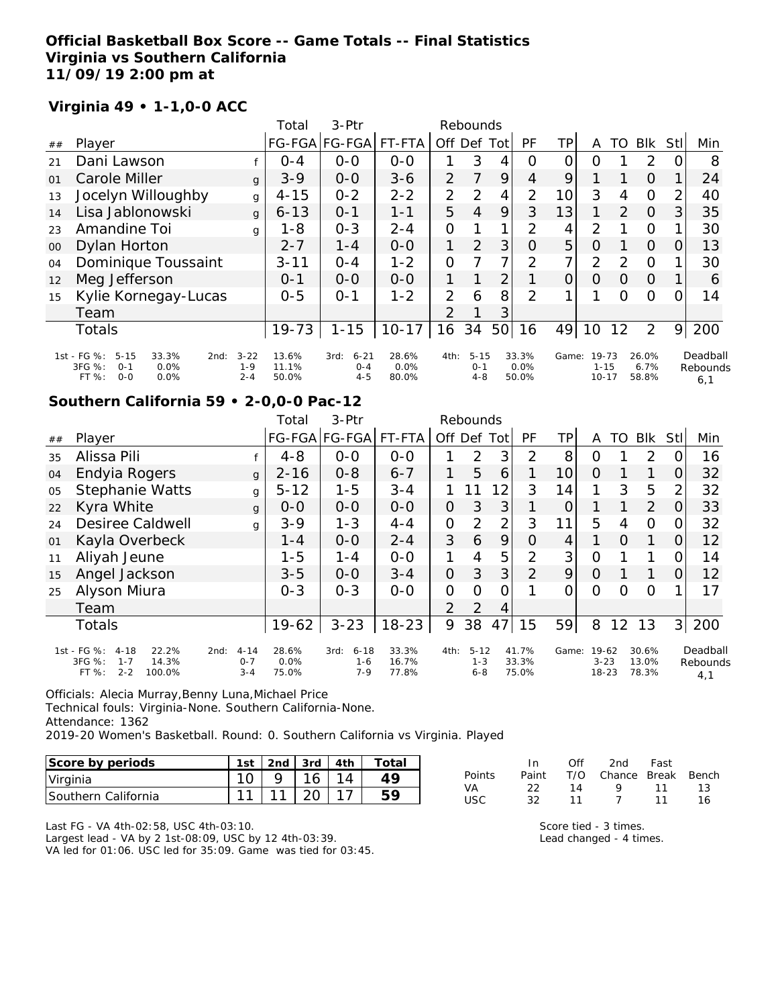# **Official Basketball Box Score -- Game Totals -- Final Statistics Virginia vs Southern California 11/09/19 2:00 pm at**

## **Virginia 49 • 1-1,0-0 ACC**

|        |                                                                                                   |                                | Total                   | $3-Ptr$                                |                        |                | Rebounds                       |                |                        |          |                                |               |                        |                |                             |
|--------|---------------------------------------------------------------------------------------------------|--------------------------------|-------------------------|----------------------------------------|------------------------|----------------|--------------------------------|----------------|------------------------|----------|--------------------------------|---------------|------------------------|----------------|-----------------------------|
| ##     | Player                                                                                            |                                |                         | FG-FGA FG-FGA                          | FT-FTA                 | Off            | Def                            | Tot            | PF                     | TΡ       | A                              | TO            | Blk                    | Stl            | Min                         |
| 21     | Dani Lawson                                                                                       |                                | $O - 4$                 | $0 - 0$                                | $O - O$                |                | 3                              | 4              | Ω                      |          | O                              |               | 2                      | Ο              | 8                           |
| 01     | Carole Miller                                                                                     | $\mathbf{q}$                   | $3-9$                   | $O-O$                                  | $3 - 6$                | $\overline{2}$ |                                | 9              | 4                      | 9        |                                |               | $\Omega$               |                | 24                          |
| 13     | Jocelyn Willoughby                                                                                | g                              | $4 - 15$                | $0 - 2$                                | $2 - 2$                | $\overline{2}$ | 2                              | 4              | 2                      | 10       | 3                              | 4             | $\Omega$               | $\overline{2}$ | 40                          |
| 14     | Lisa Jablonowski                                                                                  | $\mathbf{q}$                   | $6 - 13$                | $O - 1$                                | $1 - 1$                | 5              | 4                              | 9              | 3                      | 13       | 1                              | 2             | $\Omega$               | 3              | 35                          |
| 23     | Amandine Toi                                                                                      | g                              | 1-8                     | $O - 3$                                | $2 - 4$                | 0              |                                |                | 2                      | 4        | 2                              |               | $\Omega$               | 1              | 30                          |
| $00\,$ | Dylan Horton                                                                                      |                                | $2 - 7$                 | $1 - 4$                                | $0 - 0$                |                | 2                              | 3              | $\Omega$               | 5        | $\Omega$                       |               | $\Omega$               | $\Omega$       | 13                          |
| 04     | Dominique Toussaint                                                                               |                                | $3 - 11$                | $0 - 4$                                | $1 - 2$                | 0              |                                |                | $\mathcal{P}$          | 7        | 2                              | $\mathcal{D}$ | $\Omega$               | 1              | 30                          |
| 12     | Meg Jefferson                                                                                     |                                | $O - 1$                 | $0 - 0$                                | $0 - 0$                |                |                                | $\overline{2}$ |                        | $\Omega$ | $\Omega$                       | $\Omega$      | $\Omega$               |                | 6                           |
| 15     | Kylie Kornegay-Lucas                                                                              |                                | $0 - 5$                 | $O - 1$                                | $1 - 2$                | 2              | 6                              | 8              | $\mathcal{P}$          |          |                                | $\Omega$      | $\Omega$               | 0              | 14                          |
|        | Team                                                                                              |                                |                         |                                        |                        | $\overline{2}$ |                                | 3              |                        |          |                                |               |                        |                |                             |
|        | Totals                                                                                            |                                | $19 - 73$               | $1 - 15$                               | $10 - 17$              | 16             | 34                             | 50             | 16                     | 49       | 10                             | 12            | 2                      | 9              | 200                         |
|        | 1st - FG %:<br>$5 - 15$<br>33.3%<br>2nd:<br>3FG %:<br>$0 - 1$<br>0.0%<br>$O - O$<br>0.0%<br>FT %: | $3 - 22$<br>$1 - 9$<br>$2 - 4$ | 13.6%<br>11.1%<br>50.0% | $6 - 21$<br>3rd:<br>$O - 4$<br>$4 - 5$ | 28.6%<br>0.0%<br>80.0% | 4th:           | $5 - 15$<br>$0 - 1$<br>$4 - 8$ |                | 33.3%<br>0.0%<br>50.0% | Game:    | 19-73<br>$1 - 15$<br>$10 - 17$ |               | 26.0%<br>6.7%<br>58.8% |                | Deadball<br>Rebounds<br>6,1 |

#### **Southern California 59 • 2-0,0-0 Pac-12**

|    |                                                                                              |                                        | Total                  | $3-$ Ptr                               |                         |                | Rebounds                       |                |                         |                |                                  |          |                         |                |                             |
|----|----------------------------------------------------------------------------------------------|----------------------------------------|------------------------|----------------------------------------|-------------------------|----------------|--------------------------------|----------------|-------------------------|----------------|----------------------------------|----------|-------------------------|----------------|-----------------------------|
| ## | Player                                                                                       |                                        |                        | FG-FGA FG-FGA  FT-FTA                  |                         | Off            | Def                            | Tot            | PF                      | ΤP             | A                                | TO       | <b>Blk</b>              | Stl            | Min                         |
| 35 | Alissa Pili                                                                                  |                                        | $4 - 8$                | $0 - 0$                                | $0-0$                   |                | 2                              | 3              | 2                       | 8              | O                                |          | 2                       |                | 16                          |
| 04 | Endyia Rogers                                                                                | $\mathbf{q}$                           | $2 - 16$               | $0 - 8$                                | $6 - 7$                 | 1              | 5                              | 6              |                         | 10             | $\Omega$                         |          | 1                       | $\Omega$       | 32                          |
| 05 | <b>Stephanie Watts</b>                                                                       | g                                      | $5 - 12$               | $1 - 5$                                | $3 - 4$                 |                |                                | 12             | 3                       | 14             |                                  | 3        | 5                       | 2              | 32                          |
| 22 | Kyra White                                                                                   | $\mathbf{q}$                           | $0 - 0$                | $0 - 0$                                | $0-0$                   | 0              | 3                              | 3              |                         | $\overline{O}$ |                                  |          | 2                       | $\Omega$       | 33                          |
| 24 | <b>Desiree Caldwell</b>                                                                      | g                                      | $3 - 9$                | $1 - 3$                                | $4 - 4$                 | 0              | 2                              | $\overline{2}$ | 3                       | 11             | 5                                | 4        | $\Omega$                |                | 32                          |
| 01 | Kayla Overbeck                                                                               |                                        | $1 - 4$                | $0-0$                                  | $2 - 4$                 | 3              | 6                              | 9              | O                       | 4              |                                  | $\Omega$ |                         | O              | 12                          |
| 11 | Aliyah Jeune                                                                                 |                                        | $1 - 5$                | $1 - 4$                                | $0-0$                   | $\mathbf{1}$   | 4                              | 5              | 2                       | 3 <sup>1</sup> | 0                                |          |                         | $\Omega$       | 14                          |
| 15 | Angel Jackson                                                                                |                                        | $3 - 5$                | $0-0$                                  | $3 - 4$                 | $\overline{O}$ | 3                              | 3 <sub>l</sub> | 2                       | 9              | $\Omega$                         |          |                         | $\Omega$       | 12                          |
| 25 | Alyson Miura                                                                                 |                                        | $0 - 3$                | $0 - 3$                                | $0-0$                   | O              | Ω                              | Ω              |                         | 0              | 0                                | $\Omega$ | $\Omega$                |                | 17                          |
|    | Team                                                                                         |                                        |                        |                                        |                         | 2              | 2                              | 4              |                         |                |                                  |          |                         |                |                             |
|    | <b>Totals</b>                                                                                |                                        | $19-62$                | $3 - 23$                               | $18 - 23$               | 9              | 38                             | 47             | 15                      | 59             | 8                                | 12       | 13                      | 3 <sup>1</sup> | 200                         |
|    | 1st - FG %:<br>$4 - 18$<br>22.2%<br>3FG %:<br>14.3%<br>$1 - 7$<br>$2 - 2$<br>100.0%<br>FT %: | $4 - 14$<br>2nd:<br>$O - 7$<br>$3 - 4$ | 28.6%<br>0.0%<br>75.0% | $6 - 18$<br>3rd:<br>$1 - 6$<br>$7 - 9$ | 33.3%<br>16.7%<br>77.8% | 4th:           | $5 - 12$<br>$1 - 3$<br>$6 - 8$ |                | 41.7%<br>33.3%<br>75.0% | Game:          | $19-62$<br>$3 - 23$<br>$18 - 23$ |          | 30.6%<br>13.0%<br>78.3% |                | Deadball<br>Rebounds<br>4,1 |

Officials: Alecia Murray,Benny Luna,Michael Price Technical fouls: Virginia-None. Southern California-None. Attendance: 1362

2019-20 Women's Basketball. Round: 0. Southern California vs Virginia. Played

| Score by periods            | 1st    | 2nd | l 3rd | 4th | Total |
|-----------------------------|--------|-----|-------|-----|-------|
| Virginia                    |        |     | 16.   |     | 1 O   |
| <b>ISouthern California</b> | $\sim$ |     |       |     |       |

|        | In.   | Off | 2nd                    | – Fast |    |
|--------|-------|-----|------------------------|--------|----|
| Points | Paint |     | T/O Chance Break Bench |        |    |
| VA     | -22.  | 14  | Q.                     | 11 13  |    |
| USC.   | -32   | 11  | 7                      | 11     | 16 |

Last FG - VA 4th-02:58, USC 4th-03:10. Largest lead - VA by 2 1st-08:09, USC by 12 4th-03:39. VA led for 01:06. USC led for 35:09. Game was tied for 03:45. Score tied - 3 times. Lead changed - 4 times.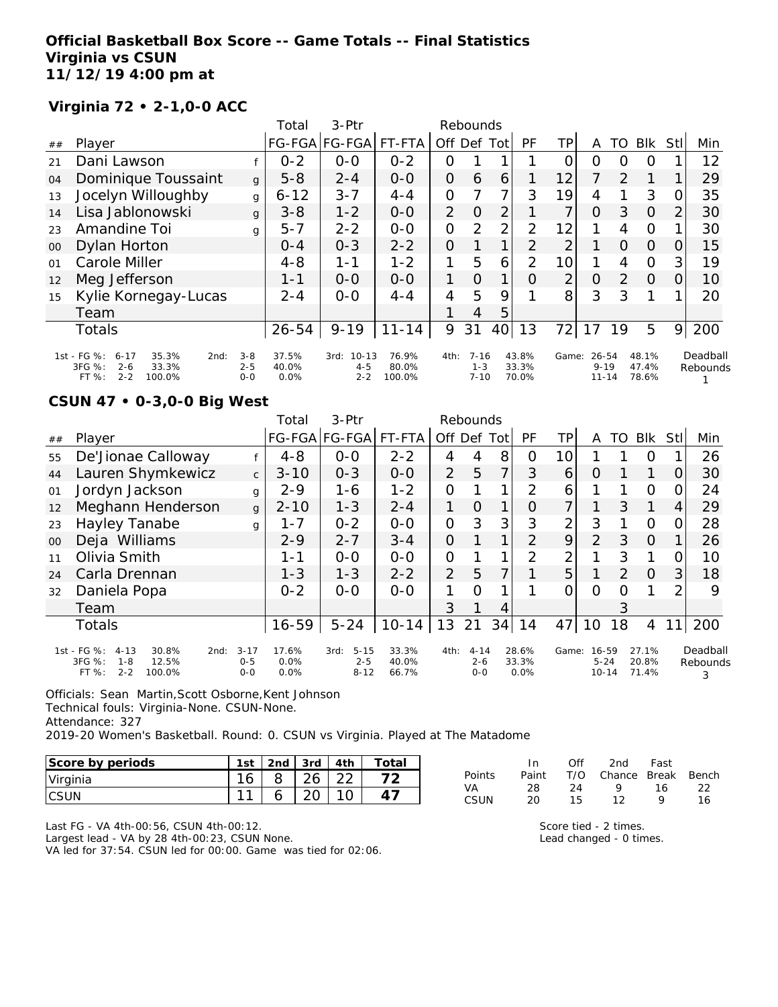### **Official Basketball Box Score -- Game Totals -- Final Statistics Virginia vs CSUN 11/12/19 4:00 pm at**

## **Virginia 72 • 2-1,0-0 ACC**

|        |                                                                                                      |                               | Total                  | $3-Ptr$                                 |                          |                | Rebounds                        |     |                         |                |                                |               |                         |      |                      |
|--------|------------------------------------------------------------------------------------------------------|-------------------------------|------------------------|-----------------------------------------|--------------------------|----------------|---------------------------------|-----|-------------------------|----------------|--------------------------------|---------------|-------------------------|------|----------------------|
| ##     | Player                                                                                               |                               |                        | FG-FGA FG-FGA                           | FT-FTA                   | Off            | Def                             | Tot | PF                      | TP             | A                              | TO            | <b>BIK</b>              | Stll | Min                  |
| 21     | Dani Lawson                                                                                          |                               | $0 - 2$                | $0-0$                                   | $0 - 2$                  | O              |                                 |     |                         | Ο              | Ο                              | O             | O                       |      | 12                   |
| 04     | Dominique Toussaint                                                                                  | g                             | $5 - 8$                | $2 - 4$                                 | $0 - 0$                  | 0              | 6                               | 6   |                         | 12             | 7                              | $\mathcal{P}$ |                         |      | 29                   |
| 13     | Jocelyn Willoughby                                                                                   | g                             | $6 - 12$               | $3 - 7$                                 | $4 - 4$                  | $\overline{O}$ | 7                               | 7   | 3                       | 19             | 4                              |               | 3                       | 0    | 35                   |
| 14     | Lisa Jablonowski                                                                                     | g                             | $3 - 8$                | $1 - 2$                                 | $0 - 0$                  | $\overline{2}$ | $\Omega$                        | 2   |                         | 7              | $\Omega$                       | 3             | $\Omega$                | 2    | 30                   |
| 23     | Amandine Toi                                                                                         | g                             | $5 - 7$                | $2 - 2$                                 | $0-0$                    | $\overline{O}$ | 2                               | 2   | 2                       | 12             |                                | 4             | O                       |      | 30                   |
| $00\,$ | Dylan Horton                                                                                         |                               | $O - 4$                | $0 - 3$                                 | $2 - 2$                  | 0              |                                 |     | 2                       | 2              |                                | 0             | 0                       | 0    | 15                   |
| 01     | Carole Miller                                                                                        |                               | $4 - 8$                | 1-1                                     | $1 - 2$                  | 1              | 5                               | 6   | $\overline{2}$          | 10             |                                | 4             | O                       | 3    | 19                   |
| 12     | Meg Jefferson                                                                                        |                               | 1-1                    | $0 - 0$                                 | $0 - 0$                  | 1              | $\Omega$                        | 1   | $\Omega$                | $\overline{2}$ | O                              | 2             | $\Omega$                | 0    | 10                   |
| 15     | Kylie Kornegay-Lucas                                                                                 |                               | $2 - 4$                | $0 - 0$                                 | $4 - 4$                  | $\overline{4}$ | 5                               | 9   |                         | 8              | 3                              | 3             |                         |      | 20                   |
|        | Team                                                                                                 |                               |                        |                                         |                          |                | 4                               | 5   |                         |                |                                |               |                         |      |                      |
|        | <b>Totals</b>                                                                                        |                               | $26 - 54$              | $9 - 19$                                | $11 - 14$                | 9              | 31                              | 40  | 13                      | 72             | 17                             | 19            | 5                       | 9    | 200                  |
|        | 1st - FG %:<br>$6 - 17$<br>35.3%<br>2nd:<br>3FG %:<br>$2 - 6$<br>33.3%<br>$2 - 2$<br>100.0%<br>FT %: | $3 - 8$<br>$2 - 5$<br>$0 - 0$ | 37.5%<br>40.0%<br>0.0% | $10 - 13$<br>3rd:<br>$4 - 5$<br>$2 - 2$ | 76.9%<br>80.0%<br>100.0% | 4th:           | $7 - 16$<br>$1 - 3$<br>$7 - 10$ |     | 43.8%<br>33.3%<br>70.0% | Game:          | 26-54<br>$9 - 19$<br>$11 - 14$ |               | 48.1%<br>47.4%<br>78.6% |      | Deadball<br>Rebounds |

# **CSUN 47 • 0-3,0-0 Big West**

|        |                                                                                                    |                                | Total                    | $3-$ Ptr                                |                         |                | Rebounds                       |                |                        |                |                                |    |                         |                 |                           |
|--------|----------------------------------------------------------------------------------------------------|--------------------------------|--------------------------|-----------------------------------------|-------------------------|----------------|--------------------------------|----------------|------------------------|----------------|--------------------------------|----|-------------------------|-----------------|---------------------------|
| ##     | Player                                                                                             |                                |                          | FG-FGA FG-FGA                           | FT-FTA                  | Off            | Def                            | Tot            | <b>PF</b>              | TΡ             | A                              | TO | <b>BIK</b>              | Stl             | Min                       |
| 55     | De'Jionae Calloway                                                                                 |                                | $4 - 8$                  | $0-0$                                   | $2 - 2$                 | 4              | 4                              | 8              | 0                      | 10             |                                |    | Ο                       |                 | 26                        |
| 44     | Lauren Shymkewicz                                                                                  | $\mathsf{C}$                   | $3 - 10$                 | $0 - 3$                                 | $0 - 0$                 | $\overline{2}$ | 5                              | $\overline{7}$ | 3                      | 6              | O                              |    | 1                       | O               | 30                        |
| 01     | Jordyn Jackson                                                                                     | g                              | $2 - 9$                  | 1-6                                     | $1 - 2$                 | $\mathcal{O}$  |                                | 1              | 2                      | 6              |                                |    | O                       |                 | 24                        |
| 12     | Meghann Henderson                                                                                  | g                              | $2 - 10$                 | $1 - 3$                                 | $2 - 4$                 | 1              | $\circ$                        | 1              | Ο                      | 7              |                                | 3  | $\mathbf{1}$            | 4               | 29                        |
| 23     | Hayley Tanabe                                                                                      | g                              | $1 - 7$                  | $0 - 2$                                 | $0-0$                   | $\mathcal{O}$  | 3                              | 3              | 3                      | 2              | 3                              |    | $\Omega$                |                 | 28                        |
| $00\,$ | Deja Williams                                                                                      |                                | $2 - 9$                  | $2 - 7$                                 | $3 - 4$                 | $\Omega$       |                                | 1              | 2                      | 9              | 2                              | 3  | $\Omega$                |                 | 26                        |
| 11     | Olivia Smith                                                                                       |                                | 1-1                      | $0 - 0$                                 | $0 - 0$                 | $\mathcal{O}$  |                                | 1              | $\mathcal{P}$          | $\overline{2}$ | 1                              | 3  | 1                       |                 | 10                        |
| 24     | Carla Drennan                                                                                      |                                | $1 - 3$                  | $1 - 3$                                 | $2 - 2$                 | $\overline{2}$ | 5                              | 7              |                        | 5              | 1                              | 2  | $\Omega$                | 3 <sub>l</sub>  | 18                        |
| 32     | Daniela Popa                                                                                       |                                | $0 - 2$                  | $0 - 0$                                 | $0 - 0$                 |                | $\Omega$                       |                |                        | Ω              | Ω                              | Ω  |                         | ⌒               | 9                         |
|        | Team                                                                                               |                                |                          |                                         |                         | 3              | 1                              | 4              |                        |                |                                | 3  |                         |                 |                           |
|        | <b>Totals</b>                                                                                      |                                | $16 - 59$                | $5 - 24$                                | $10 - 14$               | 13             | 21                             | 34             | 14                     | 47             | 10                             | 18 | 4                       | 11 <sub>1</sub> | 200                       |
|        | 1st - FG %:<br>30.8%<br>$4 - 13$<br>2nd:<br>3FG %:<br>12.5%<br>$1 - 8$<br>$2 - 2$<br>FT%<br>100.0% | $3 - 17$<br>$0 - 5$<br>$0 - 0$ | 17.6%<br>$0.0\%$<br>0.0% | $5 - 15$<br>3rd:<br>$2 - 5$<br>$8 - 12$ | 33.3%<br>40.0%<br>66.7% | 4th:           | $4 - 14$<br>$2 - 6$<br>$0 - 0$ |                | 28.6%<br>33.3%<br>0.0% | Game:          | 16-59<br>$5 - 24$<br>$10 - 14$ |    | 27.1%<br>20.8%<br>71.4% |                 | Deadball<br>Rebounds<br>3 |

Officials: Sean Martin, Scott Osborne, Kent Johnson Technical fouls: Virginia-None. CSUN-None. Attendance: 327 2019-20 Women's Basketball. Round: 0. CSUN vs Virginia. Played at The Matadome

| Score by periods | 1st    | 2 <sub>nd</sub> | 3rd | 4th | Total |
|------------------|--------|-----------------|-----|-----|-------|
| <i>Virginia</i>  | $\sim$ |                 | 26  |     |       |
|                  | $\sim$ |                 |     |     |       |

|               | In.   | ∩ff | 2nd                    | Fast |    |
|---------------|-------|-----|------------------------|------|----|
| <b>Points</b> | Paint |     | T/O Chance Break Bench |      |    |
| VA.           | 28.   | 24  | $\mathbf{Q}$           | 16.  | つつ |
| CSUN          | 20.   | 15  | 12                     | o    | 16 |

Last FG - VA 4th-00:56, CSUN 4th-00:12. Largest lead - VA by 28 4th-00:23, CSUN None. VA led for 37:54. CSUN led for 00:00. Game was tied for 02:06. Score tied - 2 times. Lead changed - 0 times.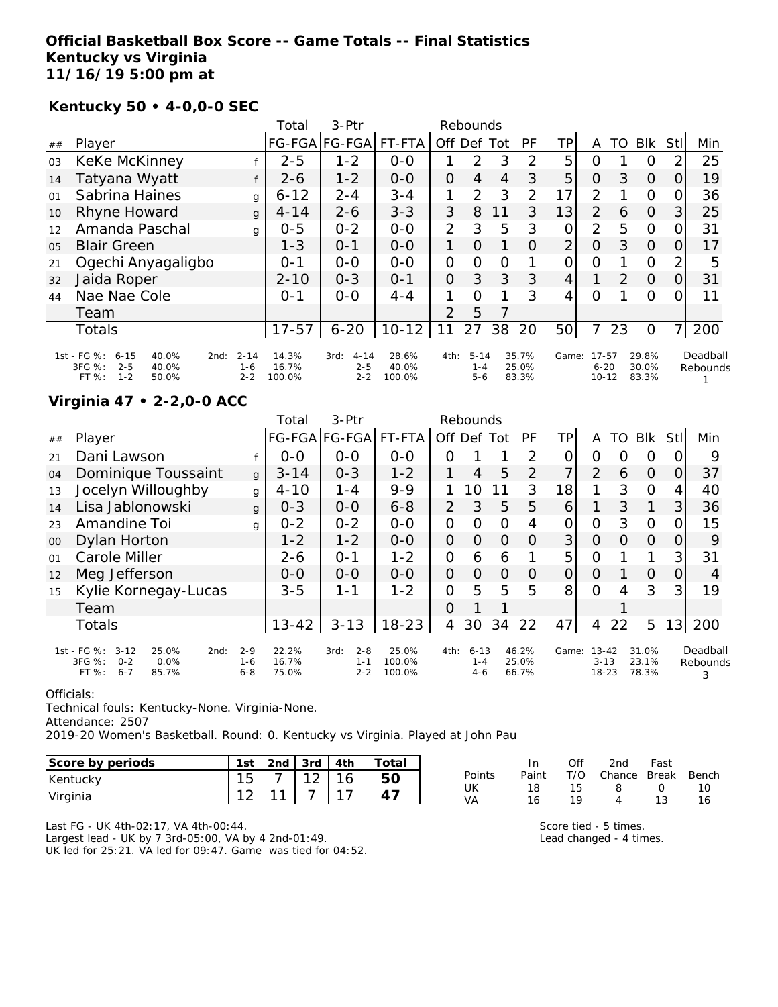### **Official Basketball Box Score -- Game Totals -- Final Statistics Kentucky vs Virginia 11/16/19 5:00 pm at**

#### **Kentucky 50 • 4-0,0-0 SEC**

|                |                                                                                                     |                                | Total                    | $3-Ptr$                                | Rebounds                 |                |                                |     |                         |                 |                                |    |                         |                |                      |
|----------------|-----------------------------------------------------------------------------------------------------|--------------------------------|--------------------------|----------------------------------------|--------------------------|----------------|--------------------------------|-----|-------------------------|-----------------|--------------------------------|----|-------------------------|----------------|----------------------|
| ##             | Player                                                                                              |                                |                          | FG-FGA FG-FGA                          | FT-FTA                   | Off            | Def                            | Tot | PF                      | TP              | A                              | TO | <b>BIK</b>              | <b>Stll</b>    | Min                  |
| 03             | KeKe McKinney                                                                                       |                                | $2 - 5$                  | $1 - 2$                                | $0-0$                    |                | 2                              | 3   | 2                       | 5               | O                              |    | Ő                       | 2              | 25                   |
| 14             | Tatyana Wyatt                                                                                       |                                | $2 - 6$                  | $1 - 2$                                | $0 - 0$                  | $\overline{O}$ | 4                              | 4   | 3                       | 5               | $\Omega$                       | 3  | $\Omega$                | $\Omega$       | 19                   |
| 01             | Sabrina Haines                                                                                      | g                              | $6 - 12$                 | $2 - 4$                                | $3 - 4$                  | 1              | 2                              | 3   | $\overline{2}$          | 17 <sub>1</sub> | $\overline{2}$                 |    | $\Omega$                | 0              | 36                   |
| 10             | Rhyne Howard                                                                                        | $\mathbf{q}$                   | $4 - 14$                 | $2 - 6$                                | $3 - 3$                  | 3              | 8                              | 11  | 3                       | 13              | $\overline{2}$                 | 6  | $\Omega$                | 3              | 25                   |
| 12             | Amanda Paschal                                                                                      | g                              | $0 - 5$                  | $0 - 2$                                | $0-0$                    | 2              | 3                              | 5   | 3                       | 0               | 2                              | 5  | $\circ$                 | $\Omega$       | 31                   |
| 0 <sub>5</sub> | <b>Blair Green</b>                                                                                  |                                | $1 - 3$                  | $O - 1$                                | $0 - 0$                  | 1              | $\Omega$                       | 1   | Ο                       | 2               | $\overline{O}$                 | 3  | $\Omega$                | O.             | 17                   |
| 21             | Ogechi Anyagaligbo                                                                                  |                                | $O - 1$                  | $0 - 0$                                | $0 - 0$                  | $\Omega$       | 0                              | O   |                         | O               | $\circ$                        |    | $\circ$                 | 2              | 5                    |
| 32             | Jaida Roper                                                                                         |                                | $2 - 10$                 | $0 - 3$                                | $O - 1$                  | $\overline{O}$ | 3                              | 3   | 3                       | $\overline{4}$  |                                | 2  | $\Omega$                | 0              | 31                   |
| 44             | Nae Nae Cole                                                                                        |                                | $O - 1$                  | $0 - 0$                                | $4 - 4$                  |                | $\Omega$                       | 1   | 3                       | 4               | O                              |    | O                       | O              | 11                   |
|                | Team                                                                                                |                                |                          |                                        |                          | $\mathcal{P}$  | 5                              | 7   |                         |                 |                                |    |                         |                |                      |
|                | <b>Totals</b>                                                                                       |                                | $17 - 57$                | $6 - 20$                               | $10 - 12$                | 11             | 27                             | 38  | 20                      | 50 <sup>1</sup> | 7                              | 23 | $\circ$                 | $\overline{7}$ | 200                  |
|                | 1st - FG %:<br>$6 - 15$<br>40.0%<br>2nd:<br>3FG %:<br>$2 - 5$<br>40.0%<br>$1 - 2$<br>FT %:<br>50.0% | $2 - 14$<br>$1 - 6$<br>$2 - 2$ | 14.3%<br>16.7%<br>100.0% | $4 - 14$<br>3rd:<br>$2 - 5$<br>$2 - 2$ | 28.6%<br>40.0%<br>100.0% | 4th:           | $5 - 14$<br>$1 - 4$<br>$5 - 6$ |     | 35.7%<br>25.0%<br>83.3% | Game:           | 17-57<br>$6 - 20$<br>$10 - 12$ |    | 29.8%<br>30.0%<br>83.3% |                | Deadball<br>Rebounds |

## **Virginia 47 • 2-2,0-0 ACC**

|        |                                                                                                  |                               | Total                   | $3-Ptr$                               |                           |                |                              |          |                         |       |                                    |    |                         |     |                           |
|--------|--------------------------------------------------------------------------------------------------|-------------------------------|-------------------------|---------------------------------------|---------------------------|----------------|------------------------------|----------|-------------------------|-------|------------------------------------|----|-------------------------|-----|---------------------------|
| ##     | Player                                                                                           |                               |                         | FG-FGA FG-FGA                         | FT-FTA                    | Off            | Def                          | Tot      | <b>PF</b>               | TР    | A                                  | TO | <b>Blk</b>              | Stl | Min                       |
| 21     | Dani Lawson                                                                                      |                               | $0-0$                   | $0-0$                                 | $0-0$                     | O              |                              |          | 2                       |       | Ο                                  | O  | 0                       |     | 9                         |
| 04     | Dominique Toussaint                                                                              | g                             | $3 - 14$                | $0 - 3$                               | $1 - 2$                   |                | $\overline{4}$               | 5        | 2                       | 7     | 2                                  | 6  | $\Omega$                | O   | 37                        |
| 13     | Jocelyn Willoughby                                                                               | g                             | $4 - 10$                | $1 - 4$                               | $9 - 9$                   |                | 10                           |          | 3                       | 18    | 1                                  | 3  | $\Omega$                | 4   | 40                        |
| 14     | Lisa Jablonowski                                                                                 | g                             | $0 - 3$                 | $0 - 0$                               | $6 - 8$                   | 2              | 3                            | 5        | 5                       | 6     |                                    | 3  | $\mathbf{1}$            | 3   | 36                        |
| 23     | Amandine Toi                                                                                     | g                             | $0 - 2$                 | $0 - 2$                               | $0 - 0$                   | $\Omega$       | $\Omega$                     | 0        | 4                       | 0     | 0                                  | 3  | $\Omega$                |     | 15                        |
| $00\,$ | Dylan Horton                                                                                     |                               | $1 - 2$                 | $1 - 2$                               | $0 - 0$                   | $\overline{O}$ | $\Omega$                     | 0        | O                       | 3     | O                                  | Ω  | $\Omega$                |     | 9                         |
| 01     | Carole Miller                                                                                    |                               | $2 - 6$                 | $O - 1$                               | $1 - 2$                   | $\mathcal{O}$  | 6                            | 6        |                         | 5     | Ο                                  |    |                         | 3   | 31                        |
| 12     | Meg Jefferson                                                                                    |                               | $0 - 0$                 | $0 - 0$                               | $0 - 0$                   | 0              | $\Omega$                     | $\Omega$ | 0                       | 0     | O                                  |    | $\Omega$                | Ω   | 4                         |
| 15     | Kylie Kornegay-Lucas                                                                             |                               | $3 - 5$                 | $1 - 1$                               | $1 - 2$                   | 0              | 5                            | 5        | 5                       | 8     | Ω                                  | 4  | 3                       | 3   | 19                        |
|        | Team                                                                                             |                               |                         |                                       |                           | 0              |                              |          |                         |       |                                    |    |                         |     |                           |
|        | <b>Totals</b>                                                                                    |                               | $13 - 42$               | $3 - 13$                              | $18 - 23$                 | 4              | 30                           | 34       | 22                      | 47    | 4                                  | 22 | 5                       | 13  | 200                       |
|        | 1st - FG %:<br>$3 - 12$<br>25.0%<br>2nd:<br>3FG %:<br>0.0%<br>$0 - 2$<br>85.7%<br>FT%<br>$6 - 7$ | $2 - 9$<br>$1 - 6$<br>$6 - 8$ | 22.2%<br>16.7%<br>75.0% | $2 - 8$<br>3rd:<br>$1 - 1$<br>$2 - 2$ | 25.0%<br>100.0%<br>100.0% | 4th:           | $6 - 13$<br>$1 - 4$<br>$4-6$ |          | 46.2%<br>25.0%<br>66.7% | Game: | $13 - 42$<br>$3 - 13$<br>$18 - 23$ |    | 31.0%<br>23.1%<br>78.3% |     | Deadball<br>Rebounds<br>3 |

#### Officials:

Technical fouls: Kentucky-None. Virginia-None.

Attendance: 2507

2019-20 Women's Basketball. Round: 0. Kentucky vs Virginia. Played at John Pau

| Score by periods | 1st        | 2nd | 3rd                | 4th | -ota |
|------------------|------------|-----|--------------------|-----|------|
| Kentucky         | 1 に<br>ر ا |     | $\sim$<br><u>_</u> |     |      |
| Virginia         |            |     |                    |     |      |

|        | In.   | ∩ff | 2nd                    | Fast             |     |
|--------|-------|-----|------------------------|------------------|-----|
| Points | Paint |     | T/O Chance Break Bench |                  |     |
| UK     | 18    | 15. | -8                     | $\left( \right)$ | 10. |
| VA     | 16    | 10  |                        | 13               | 16. |

Last FG - UK 4th-02:17, VA 4th-00:44. Largest lead - UK by 7 3rd-05:00, VA by 4 2nd-01:49. UK led for 25:21. VA led for 09:47. Game was tied for 04:52. Score tied - 5 times. Lead changed - 4 times.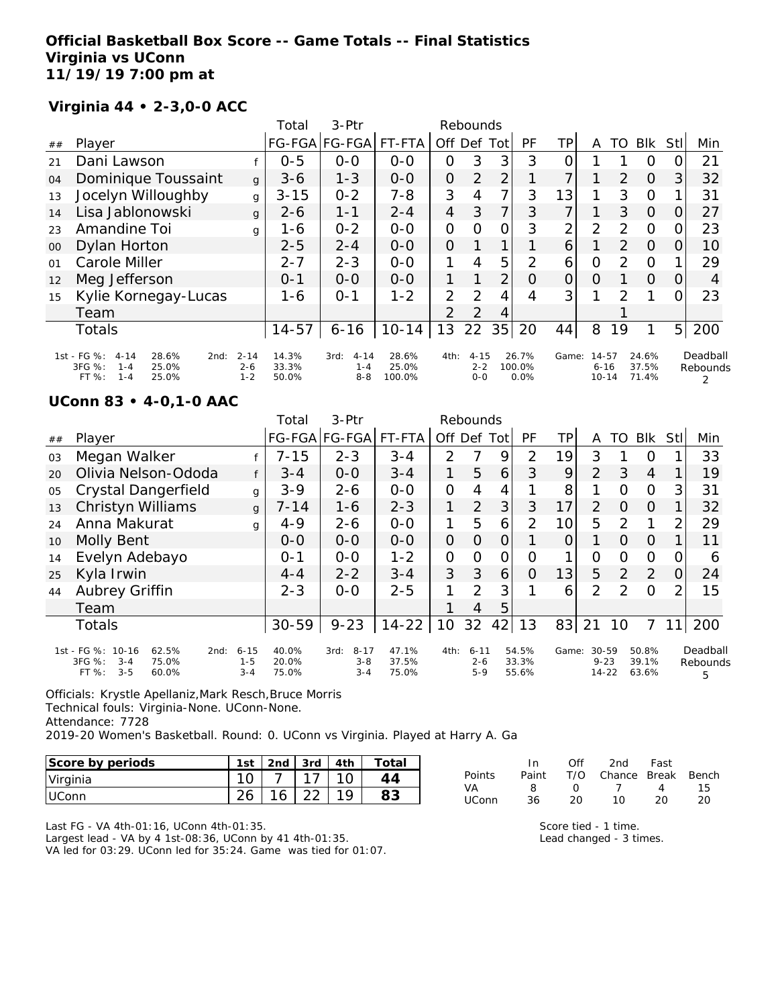### **Official Basketball Box Score -- Game Totals -- Final Statistics Virginia vs UConn 11/19/19 7:00 pm at**

## **Virginia 44 • 2-3,0-0 ACC**

|        |                                                                                                     |                                | Total                   | $3-Ptr$                                | Rebounds                 |                |                                |                |                         |          |                                |               |                         |                |                      |
|--------|-----------------------------------------------------------------------------------------------------|--------------------------------|-------------------------|----------------------------------------|--------------------------|----------------|--------------------------------|----------------|-------------------------|----------|--------------------------------|---------------|-------------------------|----------------|----------------------|
| ##     | Player                                                                                              |                                |                         | FG-FGA FG-FGA                          | FT-FTA                   | Off            | Def                            | Tot            | PF                      | TP       | A                              | TO            | <b>BIK</b>              | <b>Stll</b>    | Min                  |
| 21     | Dani Lawson                                                                                         |                                | $0 - 5$                 | $0 - 0$                                | $0 - 0$                  | 0              | 3                              | 3              | 3                       | Ο        |                                |               | O                       | O              | 21                   |
| 04     | Dominique Toussaint                                                                                 | $\mathbf{q}$                   | $3 - 6$                 | $1 - 3$                                | $O-O$                    | $\overline{O}$ | 2                              | $\overline{2}$ |                         | 7        |                                | 2             | $\Omega$                | 31             | 32                   |
| 13     | Jocelyn Willoughby                                                                                  | g                              | $3 - 15$                | $0 - 2$                                | $7 - 8$                  | 3              | 4                              | 7              | 3                       | 13       |                                | 3             | $\Omega$                |                | 31                   |
| 14     | Lisa Jablonowski                                                                                    | g                              | $2 - 6$                 | $1 - 1$                                | $2 - 4$                  | $\overline{4}$ | 3                              | 7              | 3                       | 7        |                                | 3             | $\Omega$                | 0              | 27                   |
| 23     | Amandine Toi                                                                                        | g                              | 1-6                     | $0 - 2$                                | $0-0$                    | $\Omega$       | $\Omega$                       | 0              | 3                       | 2        | 2                              | $\mathcal{P}$ | $\circ$                 | 0              | 23                   |
| $00\,$ | Dylan Horton                                                                                        |                                | $2 - 5$                 | $2 - 4$                                | $0 - 0$                  | $\overline{O}$ |                                |                |                         | 6        |                                | 2             | $\Omega$                | $\Omega$       | 10                   |
| 01     | Carole Miller                                                                                       |                                | $2 - 7$                 | $2 - 3$                                | $0 - 0$                  |                | 4                              | 5              | 2                       | 6        | O                              | $\mathcal{P}$ | $\Omega$                |                | 29                   |
| 12     | Meg Jefferson                                                                                       |                                | $O - 1$                 | $0 - 0$                                | $0 - 0$                  |                |                                | 2              | $\circ$                 | $\Omega$ | $\circ$                        |               | $\Omega$                | 0              | 4                    |
| 15     | Kylie Kornegay-Lucas                                                                                |                                | 1-6                     | $O - 1$                                | $1 - 2$                  | 2              | 2                              | 4              | 4                       | 3        |                                | 2             |                         | 0              | 23                   |
|        | Team                                                                                                |                                |                         |                                        |                          | $\mathcal{P}$  | 2                              | 4              |                         |          |                                |               |                         |                |                      |
|        | <b>Totals</b>                                                                                       |                                | $14 - 57$               | $6 - 16$                               | $10 - 14$                | 13             | 22                             | 35             | 20                      | 44       | 8                              | 19            | 1                       | 5 <sup>1</sup> | 200                  |
|        | 1st - FG %:<br>$4 - 14$<br>28.6%<br>2nd:<br>3FG %:<br>25.0%<br>$1 - 4$<br>FT %:<br>$1 - 4$<br>25.0% | $2 - 14$<br>$2 - 6$<br>$1 - 2$ | 14.3%<br>33.3%<br>50.0% | $4 - 14$<br>3rd:<br>$1 - 4$<br>$8 - 8$ | 28.6%<br>25.0%<br>100.0% | 4th:           | $4 - 15$<br>$2 - 2$<br>$0 - 0$ |                | 26.7%<br>100.0%<br>0.0% | Game:    | 14-57<br>$6 - 16$<br>$10 - 14$ |               | 24.6%<br>37.5%<br>71.4% |                | Deadball<br>Rebounds |

#### **UConn 83 • 4-0,1-0 AAC**

|    |                                                                                               |                                | Total                   | $3-$ Ptr                               | Rebounds                |                |                              |     |                         |                |                                    |               |                         |     |                           |
|----|-----------------------------------------------------------------------------------------------|--------------------------------|-------------------------|----------------------------------------|-------------------------|----------------|------------------------------|-----|-------------------------|----------------|------------------------------------|---------------|-------------------------|-----|---------------------------|
| ## | Player                                                                                        |                                |                         | FG-FGA FG-FGA                          | FT-FTA                  | Off            | Def                          | Tot | <b>PF</b>               | TP.            | A                                  | TO            | <b>Blk</b>              | Stl | Min                       |
| 03 | Megan Walker                                                                                  |                                | $7 - 15$                | $2 - 3$                                | $3 - 4$                 | 2              |                              | 9   | $\overline{2}$          | 19             | 3                                  |               | 0                       |     | 33                        |
| 20 | Olivia Nelson-Ododa                                                                           |                                | $3 - 4$                 | $0 - 0$                                | $3 - 4$                 | 1              | 5                            | 6   | 3                       | 9              | 2                                  | 3             | $\overline{4}$          |     | 19                        |
| 05 | Crystal Dangerfield                                                                           | g                              | $3 - 9$                 | $2 - 6$                                | $O-O$                   | $\overline{O}$ | 4                            | 4   |                         | 8              | 1                                  | Ω             | $\overline{O}$          | 3   | 31                        |
| 13 | Christyn Williams                                                                             | g                              | $7 - 14$                | $1 - 6$                                | $2 - 3$                 |                | $\overline{2}$               | 3   | 3                       | 17             | 2                                  | 0             | $\Omega$                |     | 32                        |
| 24 | Anna Makurat                                                                                  | g                              | $4 - 9$                 | $2 - 6$                                | $0 - 0$                 | 1              | 5                            | 6   | 2                       | 10             | 5                                  | 2             | 1                       | 2   | 29                        |
| 10 | Molly Bent                                                                                    |                                | $0 - 0$                 | $0-0$                                  | $0-0$                   | $\overline{O}$ | 0                            | 0   |                         | $\overline{0}$ |                                    | $\Omega$      | $\Omega$                |     | 11                        |
| 14 | Evelyn Adebayo                                                                                |                                | $0 - 1$                 | $0-0$                                  | $1 - 2$                 | $\overline{O}$ | O                            | 0   | $\Omega$                | 1              | Ο                                  | 0             | $\Omega$                | O   | 6                         |
| 25 | Kyla Irwin                                                                                    |                                | $4 - 4$                 | $2 - 2$                                | $3 - 4$                 | 3              | 3                            | 6   | O                       | 13             | 5                                  | 2             | 2                       | 0   | 24                        |
| 44 | Aubrey Griffin                                                                                |                                | $2 - 3$                 | $0-0$                                  | $2 - 5$                 |                | 2                            | 3   |                         | 6              | $\overline{2}$                     | $\mathcal{P}$ | $\Omega$                | ⌒   | 15                        |
|    | Team                                                                                          |                                |                         |                                        |                         |                | 4                            | 5   |                         |                |                                    |               |                         |     |                           |
|    | <b>Totals</b>                                                                                 |                                | $30 - 59$               | $9 - 23$                               | $14 - 22$               | 10             | 32                           | 42  | 13                      | 83             | 21                                 | 10            |                         | 11  | 200                       |
|    | 1st - FG %: 10-16<br>62.5%<br>2nd:<br>3FG %:<br>75.0%<br>$3 - 4$<br>$3 - 5$<br>FT %:<br>60.0% | $6 - 15$<br>$1 - 5$<br>$3 - 4$ | 40.0%<br>20.0%<br>75.0% | $8 - 17$<br>3rd:<br>$3 - 8$<br>$3 - 4$ | 47.1%<br>37.5%<br>75.0% | 4th:           | $6 - 11$<br>$2 - 6$<br>$5-9$ |     | 54.5%<br>33.3%<br>55.6% | Game:          | $30 - 59$<br>$9 - 23$<br>$14 - 22$ |               | 50.8%<br>39.1%<br>63.6% |     | Deadball<br>Rebounds<br>5 |

Officials: Krystle Apellaniz,Mark Resch,Bruce Morris Technical fouls: Virginia-None. UConn-None. Attendance: 7728 2019-20 Women's Basketball. Round: 0. UConn vs Virginia. Played at Harry A. Ga

| Score by periods | 1st      | 2 <sub>nd</sub> | $3rd$ | 4th | Total |
|------------------|----------|-----------------|-------|-----|-------|
| Virginia         |          |                 |       |     |       |
| <b>IUConn</b>    | $\Omega$ | 16              |       |     |       |

| In.   | Off        | 2nd            | Fast |                        |
|-------|------------|----------------|------|------------------------|
| Paint |            |                |      |                        |
| 8     | $\sqrt{ }$ | $\overline{1}$ | 4    | 15.                    |
| 36.   | 20         | 10             | 20   | 20                     |
|       |            |                |      | T/O Chance Break Bench |

Last FG - VA 4th-01:16, UConn 4th-01:35. Largest lead - VA by 4 1st-08:36, UConn by 41 4th-01:35. VA led for 03:29. UConn led for 35:24. Game was tied for 01:07. Score tied - 1 time. Lead changed - 3 times.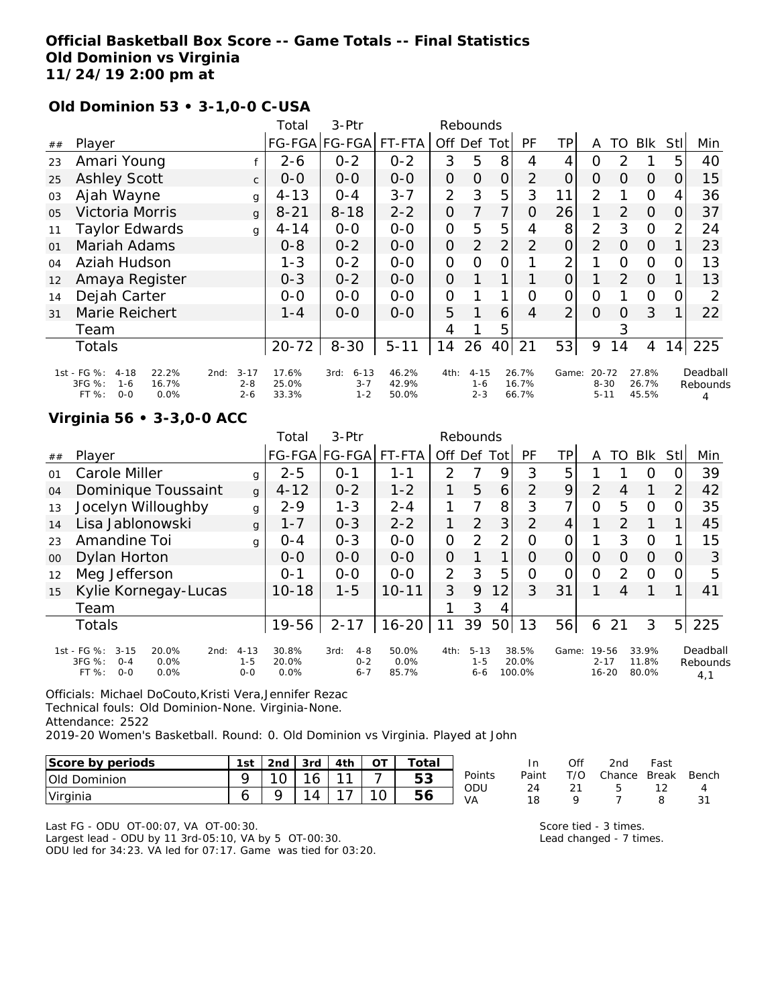## **Official Basketball Box Score -- Game Totals -- Final Statistics Old Dominion vs Virginia 11/24/19 2:00 pm at**

#### **Old Dominion 53 • 3-1,0-0 C-USA**

|                |                                                                                            |                                        | Total                   | 3-Ptr                                  |                         |                | Rebounds                       |                |                         |                |                                   |               |                         |                |                           |
|----------------|--------------------------------------------------------------------------------------------|----------------------------------------|-------------------------|----------------------------------------|-------------------------|----------------|--------------------------------|----------------|-------------------------|----------------|-----------------------------------|---------------|-------------------------|----------------|---------------------------|
| ##             | Player                                                                                     |                                        |                         | FG-FGA FG-FGA                          | FT-FTA                  | Off.           | Def                            | Totl           | <b>PF</b>               | TР             | A                                 | TO            | <b>BIK</b>              | Stll           | Min                       |
| 23             | Amari Young                                                                                |                                        | $2 - 6$                 | $0 - 2$                                | $0 - 2$                 | 3              | 5                              | 8              | 4                       | 4              | O                                 | 2             |                         | 5              | 40                        |
| 25             | <b>Ashley Scott</b>                                                                        | $\mathsf{C}$                           | $0 - 0$                 | $0-0$                                  | $0-0$                   | $\overline{O}$ | 0                              | $\overline{O}$ | 2                       | $\overline{O}$ | $\overline{O}$                    | O             | O                       | 0              | 15                        |
| 03             | Ajah Wayne                                                                                 | $\alpha$                               | $4 - 13$                | $0 - 4$                                | $3 - 7$                 | $\overline{2}$ | 3                              | 5              | 3                       | 11             | $\overline{2}$                    |               | $\Omega$                | 4              | 36                        |
| 0 <sub>5</sub> | <b>Victoria Morris</b>                                                                     | $\mathbf{q}$                           | $8 - 21$                | $8 - 18$                               | $2 - 2$                 | 0              | 7                              | 7              | 0                       | 26             | 1                                 | $\mathcal{P}$ | $\Omega$                | O              | 37                        |
| 11             | <b>Taylor Edwards</b>                                                                      | g                                      | $4 - 14$                | $0-0$                                  | $0-0$                   | $\overline{O}$ | 5                              | 5              | 4                       | 8              | $\overline{2}$                    | 3             | $\Omega$                | $\overline{2}$ | 24                        |
| 01             | Mariah Adams                                                                               |                                        | $0 - 8$                 | $0 - 2$                                | $0 - 0$                 | $\overline{O}$ | $\overline{2}$                 | $\overline{2}$ | 2                       | $\overline{O}$ | 2                                 | $\Omega$      | $\Omega$                |                | 23                        |
| O <sub>4</sub> | Aziah Hudson                                                                               |                                        | $1 - 3$                 | $0 - 2$                                | $0-0$                   | O              | O                              | 0              |                         | 2              |                                   | O             | $\Omega$                | $\Omega$       | 13                        |
| 12             | Amaya Register                                                                             |                                        | $0 - 3$                 | $0 - 2$                                | $0 - 0$                 | 0              |                                | 1              |                         | 0              |                                   | 2             | $\Omega$                |                | 13                        |
| 14             | Dejah Carter                                                                               |                                        | $0-0$                   | $0-0$                                  | $0 - 0$                 | $\overline{O}$ |                                | 1              | $\Omega$                | 0              | O                                 |               | $\Omega$                | 0              | 2                         |
| 31             | Marie Reichert                                                                             |                                        | 1 - 4                   | $0 - 0$                                | $0 - 0$                 | 5              |                                | 6              | 4                       | $\overline{2}$ | $\Omega$                          | O             | 3                       | 1              | 22                        |
|                | Team                                                                                       |                                        |                         |                                        |                         | 4              |                                | 5              |                         |                |                                   | 3             |                         |                |                           |
|                | <b>Totals</b>                                                                              |                                        | $20 - 72$               | $8 - 30$                               | $5 - 11$                | 14             | 26                             | 40             | 21                      | 53             | 9                                 | 14            | 4                       | 14             | 225                       |
|                | 1st - FG %:<br>$4 - 18$<br>22.2%<br>3FG %:<br>16.7%<br>$1 - 6$<br>$0 - 0$<br>0.0%<br>FT %: | $3 - 17$<br>2nd:<br>$2 - 8$<br>$2 - 6$ | 17.6%<br>25.0%<br>33.3% | $6 - 13$<br>3rd:<br>$3 - 7$<br>$1 - 2$ | 46.2%<br>42.9%<br>50.0% | 4th:           | $4 - 15$<br>$1 - 6$<br>$2 - 3$ |                | 26.7%<br>16.7%<br>66.7% | Game:          | $20 - 72$<br>$8 - 30$<br>$5 - 11$ |               | 27.8%<br>26.7%<br>45.5% |                | Deadball<br>Rebounds<br>4 |

#### **Virginia 56 • 3-3,0-0 ACC**

|        |                                                                                                   |                                | Total                  | 3-Ptr                                 | Rebounds                  |             |                                |                |                          |          |                                |    |                         |          |                             |
|--------|---------------------------------------------------------------------------------------------------|--------------------------------|------------------------|---------------------------------------|---------------------------|-------------|--------------------------------|----------------|--------------------------|----------|--------------------------------|----|-------------------------|----------|-----------------------------|
| ##     | Player                                                                                            |                                |                        | FG-FGA FG-FGA                         | FT-FTA                    | Off Def Tot |                                |                | PF                       | ТP       | A                              | TO | Blk                     | Stll     | Min                         |
| 01     | Carole Miller                                                                                     | g                              | $2 - 5$                | $0 - 1$                               | 1-1                       | 2           |                                | 9              | 3                        | 5        |                                |    | 0                       | Ω        | 39                          |
| 04     | Dominique Toussaint                                                                               | $\mathsf{q}$                   | $4 - 12$               | $0 - 2$                               | $1 - 2$                   |             | 5                              | 6              | $\overline{2}$           | 9        | $\overline{2}$                 | 4  | 1                       | 2        | 42                          |
| 13     | Jocelyn Willoughby                                                                                | g                              | $2 - 9$                | $1 - 3$                               | $2 - 4$                   | 1           |                                | 8              | 3                        | ᄀ        | $\Omega$                       | 5  | $\Omega$                | 0        | 35                          |
| 14     | Lisa Jablonowski                                                                                  | g                              | $1 - 7$                | $0 - 3$                               | $2 - 2$                   | 1           | 2                              | 3              | 2                        | 4        |                                | 2  |                         |          | 45                          |
| 23     | Amandine Toi                                                                                      | g                              | $O - 4$                | $O - 3$                               | $O - O$                   | 0           | 2                              | 2 <sub>1</sub> | Ω                        | 0        |                                | 3  | $\Omega$                |          | 15                          |
| $00\,$ | Dylan Horton                                                                                      |                                | $O - O$                | $0 - 0$                               | $0 - 0$                   | $\Omega$    |                                | $\mathbf 1$    | $\Omega$                 | $\Omega$ | O                              | 0  | $\Omega$                | $\Omega$ | 3                           |
| 12     | Meg Jefferson                                                                                     |                                | $O - 1$                | $0 - 0$                               | $0 - 0$                   | 2           | 3                              | 5              | O                        | 0        | $\overline{O}$                 | 2  | $\Omega$                | 0        | 5                           |
| 15     | Kylie Kornegay-Lucas                                                                              |                                | $10 - 18$              | $1 - 5$                               | $10 - 11$                 | 3           | 9                              | 12             | 3                        | 31       |                                | 4  |                         |          | 41                          |
|        | Team                                                                                              |                                |                        |                                       |                           |             | 3                              | 4              |                          |          |                                |    |                         |          |                             |
|        | <b>Totals</b>                                                                                     |                                | 19-56                  | $2 - 17$                              | $16 - 20$                 | 11          | 39                             | 50             | 13                       | 56       | 6                              | 21 | 3                       | 5        | 225                         |
|        | 1st - FG %:<br>$3 - 15$<br>20.0%<br>2nd:<br>3FG %:<br>$0 - 4$<br>0.0%<br>$0 - 0$<br>FT %:<br>0.0% | $4 - 13$<br>$1 - 5$<br>$0 - 0$ | 30.8%<br>20.0%<br>0.0% | 3rd:<br>$4 - 8$<br>$0 - 2$<br>$6 - 7$ | 50.0%<br>$0.0\%$<br>85.7% | 4th:        | $5 - 13$<br>$1 - 5$<br>$6 - 6$ |                | 38.5%<br>20.0%<br>100.0% | Game:    | 19-56<br>$2 - 17$<br>$16 - 20$ |    | 33.9%<br>11.8%<br>80.0% |          | Deadball<br>Rebounds<br>4,1 |

Officials: Michael DoCouto,Kristi Vera,Jennifer Rezac Technical fouls: Old Dominion-None. Virginia-None. Attendance: 2522 2019-20 Women's Basketball. Round: 0. Old Dominion vs Virginia. Played at John

| Score by periods              | 1st    | 2nd | 3rd | 4th    |        | `otal     |           | ın       | Of               | 2nd    | Fast         |       |
|-------------------------------|--------|-----|-----|--------|--------|-----------|-----------|----------|------------------|--------|--------------|-------|
| <b>Old</b><br>Dominion        |        | U   | O   | $\sim$ |        | にっ<br>ں ن | Points    | Paint    | $T/ \cap$<br>n - | Chance | <b>Break</b> | Bench |
| <i><u><b>Uirginia</b></u></i> | ∽<br>ັ |     | 4   |        | ◢<br>◡ | 56        | ODU<br>VA | 24<br>10 |                  |        | $-$          |       |

Last FG - ODU OT-00:07, VA OT-00:30. Largest lead - ODU by 11 3rd-05:10, VA by 5 OT-00:30. ODU led for 34:23. VA led for 07:17. Game was tied for 03:20. Score tied - 3 times. Lead changed - 7 times.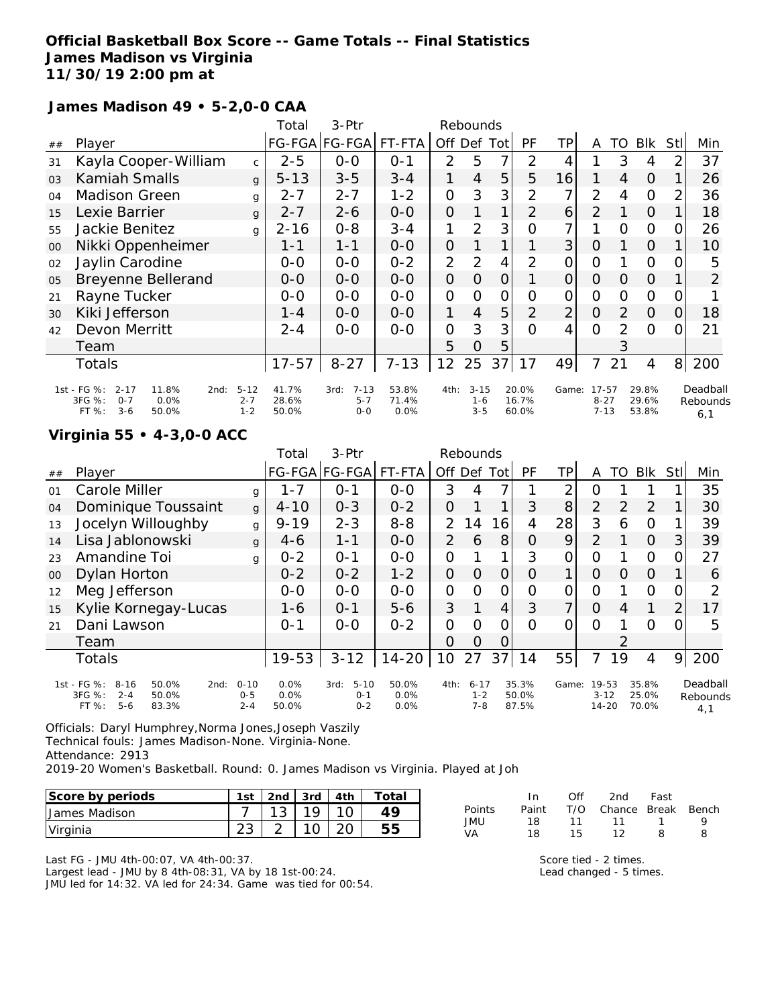# **Official Basketball Box Score -- Game Totals -- Final Statistics James Madison vs Virginia 11/30/19 2:00 pm at**

#### **James Madison 49 • 5-2,0-0 CAA**

|                |                                                                                                    |                                | Total                   | 3-Ptr                                  |                        |                | Rebounds                       |               |                         |                |                                   |               |                         |          |                             |
|----------------|----------------------------------------------------------------------------------------------------|--------------------------------|-------------------------|----------------------------------------|------------------------|----------------|--------------------------------|---------------|-------------------------|----------------|-----------------------------------|---------------|-------------------------|----------|-----------------------------|
| ##             | Player                                                                                             |                                |                         | FG-FGA FG-FGA FT-FTA                   |                        | Off            | Def Totl                       |               | <b>PF</b>               | ΤP             | A                                 | TO            | Blk                     | Stll     | Min                         |
| 31             | Kayla Cooper-William                                                                               | $\mathsf{C}$                   | $2 - 5$                 | $0-0$                                  | $0 - 1$                | $\overline{2}$ | 5                              | 7             | $\overline{2}$          | 4              |                                   | 3             | 4                       |          | 37                          |
| O <sub>3</sub> | <b>Kamiah Smalls</b>                                                                               | $\mathbf{q}$                   | $5 - 13$                | $3 - 5$                                | $3 - 4$                |                | $\overline{4}$                 | 5             | 5                       | 16             |                                   | 4             | $\overline{0}$          |          | 26                          |
| 04             | <b>Madison Green</b>                                                                               | g                              | $2 - 7$                 | $2 - 7$                                | 1-2                    | 0              | 3                              | 3             | 2                       | 7              | 2                                 | 4             | $\Omega$                |          | 36                          |
| 15             | Lexie Barrier                                                                                      | g                              | $2 - 7$                 | $2 - 6$                                | $0 - 0$                | 0              |                                | 1             | 2                       | 6              | $\overline{2}$                    |               | $\Omega$                |          | 18                          |
| 55             | Jackie Benitez                                                                                     | $\mathsf{q}$                   | $2 - 16$                | $0 - 8$                                | 3-4                    | 1              | 2                              | 3             | Ο                       | 7 <sub>1</sub> |                                   | $\Omega$      | $\overline{O}$          | O        | 26                          |
| 00             | Nikki Oppenheimer                                                                                  |                                | 1-1                     | 1-1                                    | $O-O$                  | 0              |                                |               |                         | 3 <sup>1</sup> | $\Omega$                          |               | $\Omega$                |          | 10                          |
| 02             | Jaylin Carodine                                                                                    |                                | $O-O$                   | $0 - 0$                                | $0 - 2$                | $\overline{2}$ | 2                              | 4             | 2                       | 0              | 0                                 |               | $\Omega$                |          | 5                           |
| 05             | <b>Breyenne Bellerand</b>                                                                          |                                | $O-O$                   | $O-O$                                  | $O-O$                  | 0              | 0                              | $\Omega$      |                         | $\Omega$       | 0                                 | $\Omega$      | $\Omega$                |          | $\overline{2}$              |
| 21             | Rayne Tucker                                                                                       |                                | $0 - 0$                 | $0 - 0$                                | $0-0$                  | 0              | 0                              | $\mathcal{O}$ | 0                       | $\Omega$       | $\mathcal{O}$                     | $\Omega$      | $\overline{O}$          | O        |                             |
| 30             | Kiki Jefferson                                                                                     |                                | $1 - 4$                 | $0 - 0$                                | $O-O$                  | 1              | $\overline{4}$                 | 5             | $\mathcal{P}$           | $\overline{2}$ | $\Omega$                          | $\mathcal{P}$ | $\Omega$                | $\Omega$ | 18                          |
| 42             | Devon Merritt                                                                                      |                                | $2 - 4$                 | $0 - 0$                                | $0 - 0$                | 0              | 3                              | 3             | $\Omega$                | 4              | $\Omega$                          | 2             | $\Omega$                |          | 21                          |
|                | Team                                                                                               |                                |                         |                                        |                        | 5              | $\Omega$                       | 5             |                         |                |                                   | 3             |                         |          |                             |
|                | Totals                                                                                             |                                | $17 - 57$               | $8 - 27$                               | $7 - 13$               | 12             | 25                             | 37            | 17                      | 49             | 7                                 | 21            | 4                       | 8        | 200                         |
|                | 1st - FG %:<br>$2 - 17$<br>11.8%<br>2nd:<br>3FG %:<br>$O - 7$<br>0.0%<br>FT %:<br>$3 - 6$<br>50.0% | $5 - 12$<br>$2 - 7$<br>$1 - 2$ | 41.7%<br>28.6%<br>50.0% | $7 - 13$<br>3rd:<br>$5 - 7$<br>$0 - 0$ | 53.8%<br>71.4%<br>0.0% | 4th:           | $3 - 15$<br>$1 - 6$<br>$3 - 5$ |               | 20.0%<br>16.7%<br>60.0% | Game:          | $17 - 57$<br>$8 - 27$<br>$7 - 13$ |               | 29.8%<br>29.6%<br>53.8% |          | Deadball<br>Rebounds<br>6.1 |

## **Virginia 55 • 4-3,0-0 ACC**

|    |                                                                                                     |                                | Total                 | 3-Ptr                                  |                          |                | Rebounds                       |     |                         |       |                                |               |                         |             |                             |
|----|-----------------------------------------------------------------------------------------------------|--------------------------------|-----------------------|----------------------------------------|--------------------------|----------------|--------------------------------|-----|-------------------------|-------|--------------------------------|---------------|-------------------------|-------------|-----------------------------|
| ## | Player                                                                                              |                                |                       | FG-FGA FG-FGA                          | FT-FTA                   | Off            | Def                            | Tot | PF                      | TP.   | A                              | TO            | <b>Blk</b>              | <b>Stll</b> | Min                         |
| 01 | Carole Miller                                                                                       | g                              | $1 - 7$               | $O - 1$                                | $0 - 0$                  | 3              | 4                              |     |                         | ⌒     | 0                              |               |                         |             | 35                          |
| 04 | Dominique Toussaint                                                                                 | $\mathbf{q}$                   | $4 - 10$              | $0 - 3$                                | $0 - 2$                  | 0              |                                |     | 3                       | 8     | $\overline{2}$                 | $\mathcal{P}$ | 2                       |             | 30                          |
| 13 | Jocelyn Willoughby                                                                                  | g                              | $9 - 19$              | $2 - 3$                                | $8 - 8$                  | $\mathcal{P}$  | 14                             | 16  | 4                       | 28    | 3                              | 6             | $\Omega$                |             | 39                          |
| 14 | Lisa Jablonowski                                                                                    | $\mathbf{q}$                   | $4-6$                 | $1 - 1$                                | $0-0$                    | $\overline{2}$ | 6                              | 8   | Ο                       | 9     | $\overline{2}$                 |               | $\overline{O}$          | 3           | 39                          |
| 23 | Amandine Toi                                                                                        | g                              | $0 - 2$               | $O - 1$                                | $0 - 0$                  | 0              |                                | 1   | 3                       | Ω     | Ω                              |               | 0                       | ∩           | 27                          |
| 00 | Dylan Horton                                                                                        |                                | $0 - 2$               | $0 - 2$                                | $1 - 2$                  | 0              | $\Omega$                       | O   | Ω                       | 1     | 0                              | $\Omega$      | $\Omega$                |             | 6                           |
| 12 | Meg Jefferson                                                                                       |                                | $0 - 0$               | $0 - 0$                                | $O - O$                  | 0              | Ω                              | 0   | ი                       |       | 0                              |               | 0                       |             | 2                           |
| 15 | Kylie Kornegay-Lucas                                                                                |                                | $1 - 6$               | $O - 1$                                | $5 - 6$                  | 3              | 1                              | 4   | 3                       | 7     | $\circ$                        | 4             | 1                       | 2           | 17                          |
| 21 | Dani Lawson                                                                                         |                                | $0 - 1$               | $0 - 0$                                | $0 - 2$                  | 0              | $\Omega$                       | Ω   | O                       | Ω     | O                              |               | $\Omega$                | O           | 5                           |
|    | Team                                                                                                |                                |                       |                                        |                          | O              | Ω                              | O   |                         |       |                                | $\mathcal{P}$ |                         |             |                             |
|    | <b>Totals</b>                                                                                       |                                | 19-53                 | $3 - 12$                               | $14 - 20$                | 10             | 27                             | 37  | 14                      | 55    | 7                              | 19            | 4                       | 9           | 200                         |
|    | 1st - FG %:<br>$8 - 16$<br>50.0%<br>2nd:<br>3FG %:<br>$2 - 4$<br>50.0%<br>$5 - 6$<br>FT %:<br>83.3% | $0 - 10$<br>$0 - 5$<br>$2 - 4$ | 0.0%<br>0.0%<br>50.0% | $5 - 10$<br>3rd:<br>$0 - 1$<br>$0 - 2$ | 50.0%<br>$0.0\%$<br>0.0% | 4th:           | $6 - 17$<br>$1 - 2$<br>$7 - 8$ |     | 35.3%<br>50.0%<br>87.5% | Game: | 19-53<br>$3 - 12$<br>$14 - 20$ |               | 35.8%<br>25.0%<br>70.0% |             | Deadball<br>Rebounds<br>4,1 |

Officials: Daryl Humphrey,Norma Jones,Joseph Vaszily Technical fouls: James Madison-None. Virginia-None. Attendance: 2913 2019-20 Women's Basketball. Round: 0. James Madison vs Virginia. Played at Joh

| Score by periods | 1st | 2nd | 3rd   4th | Total |
|------------------|-----|-----|-----------|-------|
| James Madison    |     |     |           |       |
| Virginia         |     |     |           |       |

Last FG - JMU 4th-00:07, VA 4th-00:37. Largest lead - JMU by 8 4th-08:31, VA by 18 1st-00:24. JMU led for 14:32. VA led for 24:34. Game was tied for 00:54.

|        | In In | Off | 2nd                    | Fast |   |
|--------|-------|-----|------------------------|------|---|
| Points | Paint |     | T/O Chance Break Bench |      |   |
| JMU    | 18.   |     | 11 11 1                |      | Q |
| VA     | 18    | 15. | 12                     | 8    | 8 |

Score tied - 2 times. Lead changed - 5 times.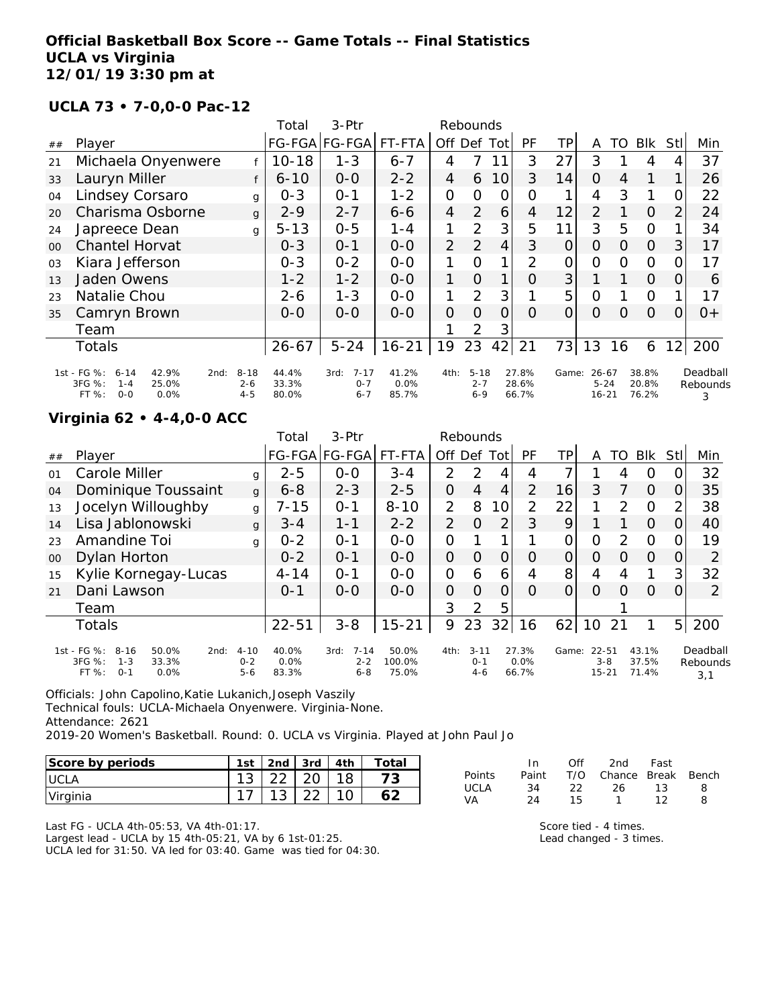#### **Official Basketball Box Score -- Game Totals -- Final Statistics UCLA vs Virginia 12/01/19 3:30 pm at**

#### **UCLA 73 • 7-0,0-0 Pac-12**

|                |                                                                                                    |                                | Total                   | 3-Ptr                                  |                        |                | Rebounds                       |                |                         |                |                                    |    |                         |                |                           |
|----------------|----------------------------------------------------------------------------------------------------|--------------------------------|-------------------------|----------------------------------------|------------------------|----------------|--------------------------------|----------------|-------------------------|----------------|------------------------------------|----|-------------------------|----------------|---------------------------|
| ##             | Player                                                                                             |                                |                         | FG-FGA FG-FGA                          | FT-FTA                 | Off            |                                | Def Tot        | <b>PF</b>               | TP             | A                                  | TO | <b>BIK</b>              | StII           | Min                       |
| 21             | Michaela Onyenwere                                                                                 |                                | $10 - 18$               | $1 - 3$                                | $6 - 7$                | 4              |                                | 11             | 3                       | 27             | 3                                  |    | 4                       |                | 37                        |
| 33             | Lauryn Miller                                                                                      |                                | $6 - 10$                | $0-0$                                  | $2 - 2$                | 4              | 6                              | 10             | 3                       | 14             | 0                                  | 4  |                         |                | 26                        |
| 04             | Lindsey Corsaro                                                                                    | g                              | $0 - 3$                 | $0 - 1$                                | $1 - 2$                | $\overline{O}$ | 0                              | 0              | O                       |                | 4                                  | 3  |                         | 0              | 22                        |
| 20             | Charisma Osborne                                                                                   | g                              | $2 - 9$                 | $2 - 7$                                | $6 - 6$                | $\overline{4}$ | 2                              | 6              | 4                       | 12             | 2                                  |    | 0                       | $\overline{2}$ | 24                        |
| 24             | Japreece Dean                                                                                      | g                              | $5 - 13$                | $0 - 5$                                | $1 - 4$                |                | 2                              | 3              | 5                       | 11             | 3                                  | 5  | $\Omega$                |                | 34                        |
| $00 \,$        | <b>Chantel Horvat</b>                                                                              |                                | $0 - 3$                 | $O - 1$                                | $0-0$                  | 2              | 2                              | $\overline{4}$ | 3                       | 0              | $\Omega$                           | 0  | $\Omega$                | 3              | 17                        |
| 0 <sub>3</sub> | Kiara Jefferson                                                                                    |                                | $0 - 3$                 | $0 - 2$                                | $0-0$                  |                | O                              |                | 2                       | 0              | 0                                  | O  | 0                       | 0              | 17                        |
| 13             | Jaden Owens                                                                                        |                                | $1 - 2$                 | $1 - 2$                                | $0 - 0$                | 1              | $\Omega$                       | 1              | Ο                       | 3              |                                    |    | $\Omega$                | O              | 6                         |
| 23             | Natalie Chou                                                                                       |                                | $2 - 6$                 | $1 - 3$                                | $0-0$                  | 1              | 2                              | 3              |                         | 5              | O                                  |    | $\Omega$                |                | 17                        |
| 35             | Camryn Brown                                                                                       |                                | $0 - 0$                 | $0 - 0$                                | $0 - 0$                | $\Omega$       | $\Omega$                       | $\Omega$       | $\Omega$                | $\overline{O}$ | $\Omega$                           | O  | $\Omega$                | $\Omega$       | $0+$                      |
|                | Team                                                                                               |                                |                         |                                        |                        |                | 2                              | $3^{\circ}$    |                         |                |                                    |    |                         |                |                           |
|                | <b>Totals</b>                                                                                      |                                | $26 - 67$               | $5 - 24$                               | $16 - 21$              | 19             | 23                             | 42             | 21                      | 73             | 13                                 | 16 | 6                       | 12             | 200                       |
|                | 1st - FG %:<br>42.9%<br>$6 - 14$<br>2nd:<br>3FG %:<br>25.0%<br>$1 - 4$<br>FT %:<br>$O - O$<br>0.0% | $8 - 18$<br>$2 - 6$<br>$4 - 5$ | 44.4%<br>33.3%<br>80.0% | $7 - 17$<br>3rd:<br>$O - 7$<br>$6 - 7$ | 41.2%<br>0.0%<br>85.7% | 4th:           | $5 - 18$<br>$2 - 7$<br>$6 - 9$ |                | 27.8%<br>28.6%<br>66.7% | Game:          | $26 - 67$<br>$5 - 24$<br>$16 - 21$ |    | 38.8%<br>20.8%<br>76.2% |                | Deadball<br>Rebounds<br>3 |

#### **Virginia 62 • 4-4,0-0 ACC**

|        |                                                                                                    |                                | Total                  | 3-Ptr                                  |                          |                | Rebounds                       |          |                        |       |                               |               |                         |                |                             |
|--------|----------------------------------------------------------------------------------------------------|--------------------------------|------------------------|----------------------------------------|--------------------------|----------------|--------------------------------|----------|------------------------|-------|-------------------------------|---------------|-------------------------|----------------|-----------------------------|
| ##     | Player                                                                                             |                                |                        | FG-FGA FG-FGA  FT-FTA                  |                          | Off Def        |                                | Totl     | PF                     | TР    | Α                             | TO            | <b>BIK</b>              | Stl            | Min                         |
| 01     | Carole Miller                                                                                      | g                              | $2 - 5$                | $O - O$                                | $3 - 4$                  | $\mathcal{P}$  | 2                              | 4        | 4                      |       |                               | 4             | 0                       |                | 32                          |
| 04     | Dominique Toussaint                                                                                | $\mathbf{q}$                   | $6 - 8$                | $2 - 3$                                | $2 - 5$                  | O              | 4                              | 4        | $\overline{2}$         | 16    | 3                             |               | $\Omega$                |                | 35                          |
| 13     | Jocelyn Willoughby                                                                                 | g                              | $7 - 15$               | $O - 1$                                | $8 - 10$                 | $\overline{2}$ | 8                              | 10       | 2                      | 22    | 1                             | $\mathcal{P}$ | $\Omega$                | 2              | 38                          |
| 14     | Lisa Jablonowski                                                                                   | $\mathbf{q}$                   | $3 - 4$                | $1 - 1$                                | $2 - 2$                  | $\overline{2}$ | 0                              | 2        | 3                      | 9     |                               |               | $\Omega$                | Ω              | 40                          |
| 23     | Amandine Toi                                                                                       | g                              | $0 - 2$                | $O - 1$                                | $O - O$                  | 0              |                                | ◀        |                        |       | 0                             | $\mathcal{P}$ | $\circ$                 |                | 19                          |
| $00\,$ | Dylan Horton                                                                                       |                                | $0 - 2$                | $0 - 1$                                | $0 - 0$                  | $\Omega$       | $\Omega$                       | $\Omega$ | $\Omega$               | 0     | $\circ$                       | $\Omega$      | $\Omega$                | 0              | 2                           |
| 15     | Kylie Kornegay-Lucas                                                                               |                                | $4 - 14$               | $O - 1$                                | $O - O$                  | 0              | 6                              | 6        | 4                      | 8     | 4                             | 4             |                         | 3              | 32                          |
| 21     | Dani Lawson                                                                                        |                                | $O - 1$                | $0 - 0$                                | $O-O$                    | 0              | $\Omega$                       | O        | $\Omega$               | Ο     | $\Omega$                      | $\Omega$      | $\Omega$                | 0              | 2                           |
|        | Team                                                                                               |                                |                        |                                        |                          | 3              | 2                              | 5        |                        |       |                               |               |                         |                |                             |
|        | <b>Totals</b>                                                                                      |                                | $22 - 51$              | $3 - 8$                                | $15 - 21$                | 9              | 23                             | 32       | 16                     | 62    | 10                            | 21            |                         | 5 <sup>1</sup> | 200                         |
|        | 1st - FG %:<br>$8 - 16$<br>50.0%<br>2nd:<br>3FG %:<br>$1 - 3$<br>33.3%<br>FT %:<br>$O - 1$<br>0.0% | $4 - 10$<br>$0 - 2$<br>$5 - 6$ | 40.0%<br>0.0%<br>83.3% | $7 - 14$<br>3rd:<br>$2 - 2$<br>$6 - 8$ | 50.0%<br>100.0%<br>75.0% | 4th:           | $3 - 11$<br>$0 - 1$<br>$4 - 6$ |          | 27.3%<br>0.0%<br>66.7% | Game: | 22-51<br>$3 - 8$<br>$15 - 21$ |               | 43.1%<br>37.5%<br>71.4% |                | Deadball<br>Rebounds<br>3.1 |

Officials: John Capolino,Katie Lukanich,Joseph Vaszily Technical fouls: UCLA-Michaela Onyenwere. Virginia-None. Attendance: 2621 2019-20 Women's Basketball. Round: 0. UCLA vs Virginia. Played at John Paul Jo

**Score by periods 1st 2nd 3rd 4th Total**

| Score by periods | 1st        | 2nd | l 3rd | 4th | Totai |
|------------------|------------|-----|-------|-----|-------|
| <b>IUCLA</b>     | 1 ຕ<br>ں ا | າາ  |       |     |       |
| Virginia         |            | J   |       |     |       |

|        | In.   | Off | 2nd Fast               |    |    |
|--------|-------|-----|------------------------|----|----|
| Points | Paint |     | T/O Chance Break Bench |    |    |
| UCLA   | 34    | 22  | - 26 - 13              |    | -8 |
| VA     | 24    | 15. | $\mathbf{1}$           | 12 | Я  |

Last FG - UCLA 4th-05:53, VA 4th-01:17. Largest lead - UCLA by 15 4th-05:21, VA by 6 1st-01:25. UCLA led for 31:50. VA led for 03:40. Game was tied for 04:30. Score tied - 4 times. Lead changed - 3 times.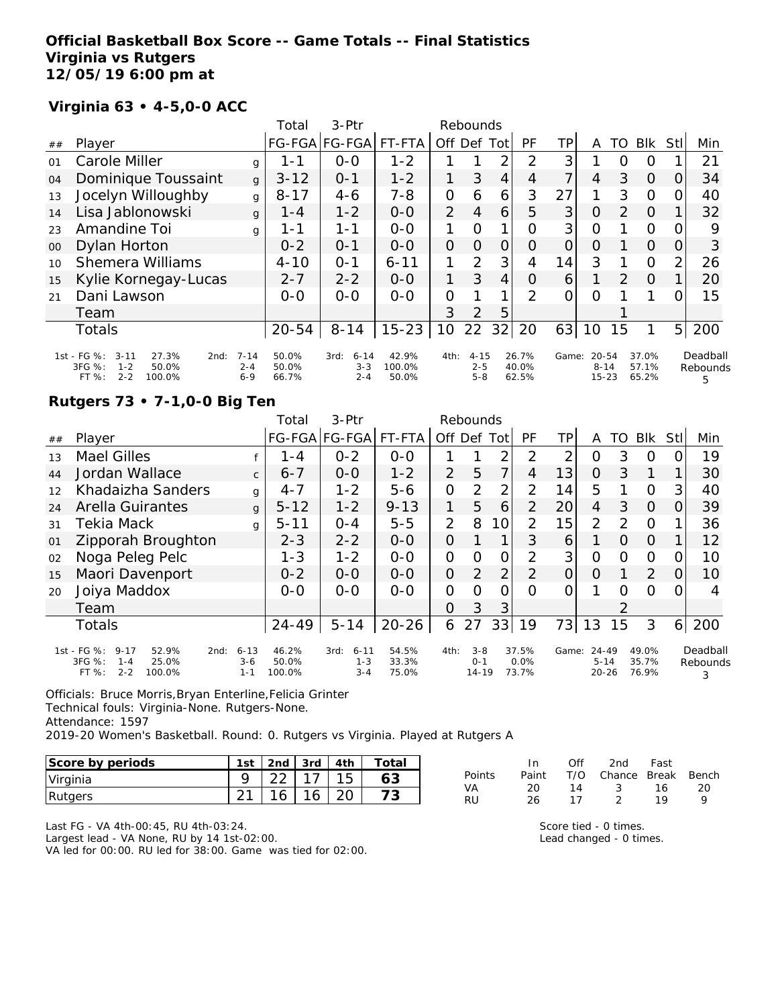### **Official Basketball Box Score -- Game Totals -- Final Statistics Virginia vs Rutgers 12/05/19 6:00 pm at**

# **Virginia 63 • 4-5,0-0 ACC**

|        |                                                                                                      |                                | Total                   | $3-Ptr$                                |                          |                | Rebounds                       |                |                         |                |                                    |                |                         |                |                           |
|--------|------------------------------------------------------------------------------------------------------|--------------------------------|-------------------------|----------------------------------------|--------------------------|----------------|--------------------------------|----------------|-------------------------|----------------|------------------------------------|----------------|-------------------------|----------------|---------------------------|
| ##     | Player                                                                                               |                                |                         | FG-FGA FG-FGA                          | FT-FTA                   | Off            | Def                            | Tot            | PF                      | TP             | A                                  | TO             | <b>BIK</b>              | Stll           | Min                       |
| 01     | Carole Miller                                                                                        | g                              | 1 - 1                   | $0 - 0$                                | $1 - 2$                  |                |                                | 2              | 2                       | 3              |                                    | O              | O                       |                | 21                        |
| 04     | Dominique Toussaint                                                                                  | g                              | $3 - 12$                | $O - 1$                                | $1 - 2$                  | 1              | 3                              | $\overline{4}$ | 4                       | $\overline{7}$ | 4                                  | 3              | $\Omega$                | $\Omega$       | 34                        |
| 13     | Jocelyn Willoughby                                                                                   | g                              | $8 - 17$                | $4 - 6$                                | $7 - 8$                  | $\overline{O}$ | 6                              | 6              | 3                       | 27             |                                    | 3              | O                       | $\Omega$       | 40                        |
| 14     | Lisa Jablonowski                                                                                     | g                              | 1 - 4                   | $1 - 2$                                | $0 - 0$                  | $\overline{2}$ | $\overline{4}$                 | 6              | 5                       | 3              | $\circ$                            | $\overline{2}$ | $\Omega$                |                | 32                        |
| 23     | Amandine Toi                                                                                         | g                              | 1-1                     | 1-1                                    | $0-0$                    | 1              | $\Omega$                       |                | Ω                       | 3              | $\Omega$                           |                | O                       | 0              | 9                         |
| $00\,$ | Dylan Horton                                                                                         |                                | $0 - 2$                 | $O - 1$                                | $0 - 0$                  | 0              | $\Omega$                       | $\Omega$       | O                       | $\overline{O}$ | O                                  |                | $\Omega$                | O              | 3                         |
| 10     | <b>Shemera Williams</b>                                                                              |                                | $4 - 10$                | $O - 1$                                | $6 - 11$                 | 1              | 2                              | 3              | 4                       | 14             | 3                                  |                | $\circ$                 | $\overline{2}$ | 26                        |
| 15     | Kylie Kornegay-Lucas                                                                                 |                                | $2 - 7$                 | $2 - 2$                                | $0 - 0$                  | 1              | 3                              | $\overline{4}$ | $\Omega$                | 6              |                                    | 2              | $\Omega$                |                | 20                        |
| 21     | Dani Lawson                                                                                          |                                | $0 - 0$                 | $0 - 0$                                | $0 - 0$                  | O              |                                |                | 2                       | 0              | O                                  |                |                         | O              | 15                        |
|        | Team                                                                                                 |                                |                         |                                        |                          | 3              | $\mathcal{P}$                  | 5              |                         |                |                                    |                |                         |                |                           |
|        | <b>Totals</b>                                                                                        |                                | $20 - 54$               | $8 - 14$                               | $15 - 23$                | 10             | 22                             | 32             | 20                      | 63             | 10                                 | 15             | 1                       | 5 <sub>l</sub> | 200                       |
|        | 1st - FG %:<br>$3 - 11$<br>27.3%<br>2nd:<br>3FG %:<br>50.0%<br>$1 - 2$<br>$2 - 2$<br>100.0%<br>FT %: | $7 - 14$<br>$2 - 4$<br>$6 - 9$ | 50.0%<br>50.0%<br>66.7% | $6 - 14$<br>3rd:<br>$3 - 3$<br>$2 - 4$ | 42.9%<br>100.0%<br>50.0% | 4th:           | $4 - 15$<br>$2 - 5$<br>$5 - 8$ |                | 26.7%<br>40.0%<br>62.5% | Game:          | $20 - 54$<br>$8 - 14$<br>$15 - 23$ |                | 37.0%<br>57.1%<br>65.2% |                | Deadball<br>Rebounds<br>5 |

# **Rutgers 73 • 7-1,0-0 Big Ten**

|    |                                                                                                    |                                | Total                    | $3-Ptr$                                |                         |                | Rebounds                        |                 |                        |          |                                    |               |                         |     |                           |
|----|----------------------------------------------------------------------------------------------------|--------------------------------|--------------------------|----------------------------------------|-------------------------|----------------|---------------------------------|-----------------|------------------------|----------|------------------------------------|---------------|-------------------------|-----|---------------------------|
| ## | Player                                                                                             |                                |                          | FG-FGA FG-FGA                          | FT-FTA                  | Off            | Def                             | Tot             | <b>PF</b>              | TР       | A                                  | TO            | <b>Blk</b>              | Stl | Min                       |
| 13 | <b>Mael Gilles</b>                                                                                 |                                | 1-4                      | $0 - 2$                                | $0-0$                   |                |                                 | 2               | 2                      | 2        | 0                                  | 3             | 0                       |     | 19                        |
| 44 | Jordan Wallace                                                                                     | $\mathsf{C}$                   | $6 - 7$                  | $0 - 0$                                | $1 - 2$                 | $\overline{2}$ | 5                               | 7               | 4                      | 13       | O                                  | 3             | 1                       |     | 30                        |
| 12 | Khadaizha Sanders                                                                                  | g                              | $4 - 7$                  | $1 - 2$                                | $5 - 6$                 | $\mathcal{O}$  | $\overline{2}$                  | 2               | 2                      | 14       | 5                                  |               | $\Omega$                | 3   | 40                        |
| 24 | <b>Arella Guirantes</b>                                                                            | g                              | $5 - 12$                 | $1 - 2$                                | $9 - 13$                | 1              | 5                               | 6               | 2                      | 20       | 4                                  | 3             | $\Omega$                |     | 39                        |
| 31 | Tekia Mack                                                                                         | g                              | $5 - 11$                 | $0 - 4$                                | $5 - 5$                 | $\overline{2}$ | 8                               | 10 <sup>1</sup> | 2                      | 15       | $\overline{2}$                     | 2             | $\Omega$                |     | 36                        |
| 01 | Zipporah Broughton                                                                                 |                                | $2 - 3$                  | $2 - 2$                                | $0 - 0$                 | $\overline{O}$ |                                 |                 | 3                      | 6        |                                    | $\Omega$      | $\Omega$                |     | 12                        |
| 02 | Noga Peleg Pelc                                                                                    |                                | $1 - 3$                  | $1 - 2$                                | $0-0$                   | $\mathcal{O}$  | $\Omega$                        | 0               | 2                      | 3        | Ο                                  | O             | $\Omega$                | O   | 10                        |
| 15 | Maori Davenport                                                                                    |                                | $0 - 2$                  | $0 - 0$                                | $0 - 0$                 | $\Omega$       | $\overline{2}$                  | $\overline{2}$  | $\overline{2}$         | $\Omega$ | 0                                  |               | 2                       | Ω   | 10                        |
| 20 | Joiya Maddox                                                                                       |                                | $0 - 0$                  | $0 - 0$                                | $0-0$                   | $\Omega$       | $\Omega$                        | 0               | Ω                      | Ω        |                                    | ∩             | $\Omega$                |     | 4                         |
|    | Team                                                                                               |                                |                          |                                        |                         | 0              | 3                               | 3               |                        |          |                                    | $\mathcal{L}$ |                         |     |                           |
|    | <b>Totals</b>                                                                                      |                                | $24 - 49$                | $5 - 14$                               | $20 - 26$               | 6              | 27                              | 33              | 19                     | 73       | 13                                 | 15            | 3                       | 6   | 200                       |
|    | 1st - FG %:<br>$9 - 17$<br>52.9%<br>2nd:<br>3FG %:<br>25.0%<br>$1 - 4$<br>$2 - 2$<br>100.0%<br>FT% | $6 - 13$<br>$3 - 6$<br>$1 - 1$ | 46.2%<br>50.0%<br>100.0% | 3rd:<br>$6 - 11$<br>$1 - 3$<br>$3 - 4$ | 54.5%<br>33.3%<br>75.0% | 4th:           | $3 - 8$<br>$0 - 1$<br>$14 - 19$ |                 | 37.5%<br>0.0%<br>73.7% | Game:    | $24 - 49$<br>$5 - 14$<br>$20 - 26$ |               | 49.0%<br>35.7%<br>76.9% |     | Deadball<br>Rebounds<br>3 |

Officials: Bruce Morris,Bryan Enterline,Felicia Grinter Technical fouls: Virginia-None. Rutgers-None. Attendance: 1597 2019-20 Women's Basketball. Round: 0. Rutgers vs Virginia. Played at Rutgers A

| Score by periods | 1st    | 2 <sub>nd</sub> | 3rd | 4th | ⊤otai |
|------------------|--------|-----------------|-----|-----|-------|
| Virginia         |        |                 |     |     |       |
| Rutgers          | $\sim$ |                 | 16  |     |       |

|        | -In   | Off | 2nd                    | Fast |     |
|--------|-------|-----|------------------------|------|-----|
| Points | Paint |     | T/O Chance Break Bench |      |     |
| VA     | 20    | 14  | $\sim$ 3               | 16   | -20 |
| RU     | 26.   | 17  | $\mathcal{D}$          | 1 Q  | Q   |

Last FG - VA 4th-00:45, RU 4th-03:24. Largest lead - VA None, RU by 14 1st-02:00. VA led for 00:00. RU led for 38:00. Game was tied for 02:00. Score tied - 0 times. Lead changed - 0 times.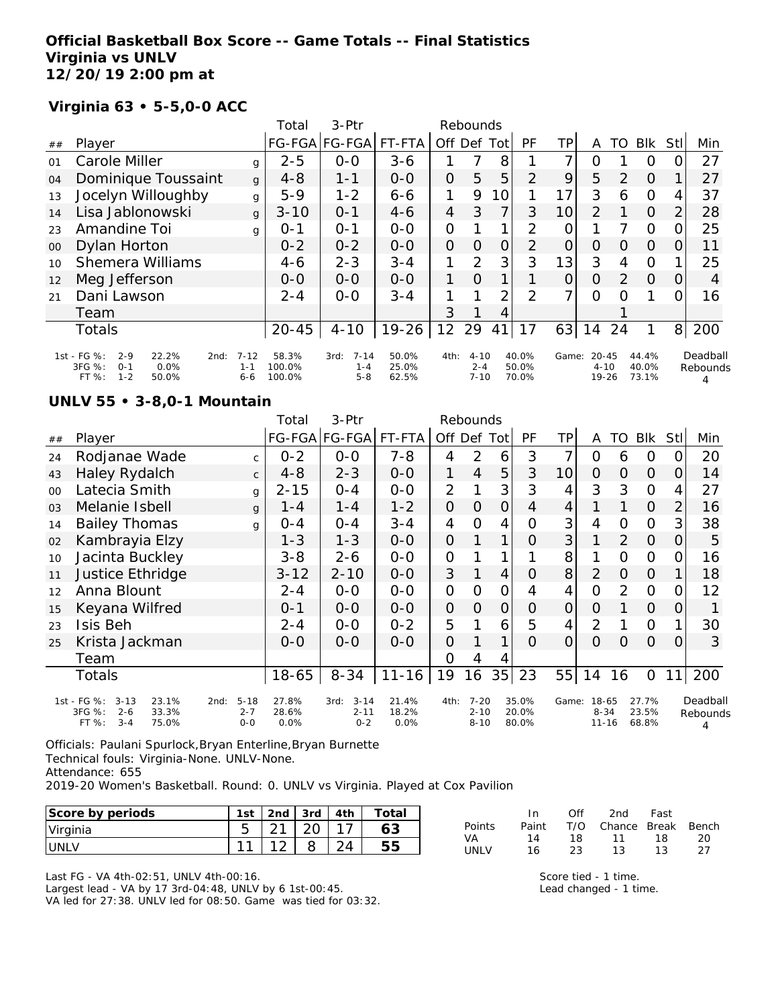### **Official Basketball Box Score -- Game Totals -- Final Statistics Virginia vs UNLV 12/20/19 2:00 pm at**

## **Virginia 63 • 5-5,0-0 ACC**

|        |                                                                                                   |                            | Total                     | $3-Ptr$                                |                         |                | Rebounds                        |                |                         |                |                                    |               |                         |                |                      |
|--------|---------------------------------------------------------------------------------------------------|----------------------------|---------------------------|----------------------------------------|-------------------------|----------------|---------------------------------|----------------|-------------------------|----------------|------------------------------------|---------------|-------------------------|----------------|----------------------|
| ##     | Player                                                                                            |                            |                           | FG-FGA FG-FGA                          | FT-FTA                  | Off            | Def                             | Tot            | PF                      | TP             | A                                  | TO            | <b>BIK</b>              | Stll           | Min                  |
| 01     | Carole Miller                                                                                     | g                          | $2 - 5$                   | $O-O$                                  | $3 - 6$                 |                |                                 | 8              |                         | 7              | Ő                                  |               | O                       |                | 27                   |
| 04     | Dominique Toussaint                                                                               | g                          | $4 - 8$                   | $1 - 1$                                | $0 - 0$                 | 0              | 5                               | 5              | 2                       | 9              | 5                                  | $\mathcal{P}$ | $\Omega$                |                | 27                   |
| 13     | Jocelyn Willoughby                                                                                | g                          | $5 - 9$                   | $1 - 2$                                | $6 - 6$                 | 1              | 9                               | 10             |                         | 17             | 3                                  | 6             | $\Omega$                | 4              | 37                   |
| 14     | Lisa Jablonowski                                                                                  | g                          | $3 - 10$                  | $O - 1$                                | $4 - 6$                 | $\overline{4}$ | 3                               | 7              | 3                       | 10             | $\overline{2}$                     |               | $\Omega$                | $\overline{2}$ | 28                   |
| 23     | Amandine Toi                                                                                      | g                          | $O - 1$                   | $0 - 1$                                | $0-0$                   | 0              |                                 |                | 2                       | O              |                                    |               | $\Omega$                | 0              | 25                   |
| $00\,$ | Dylan Horton                                                                                      |                            | $0 - 2$                   | $0 - 2$                                | $0 - 0$                 | 0              | $\Omega$                        | $\overline{O}$ | 2                       | $\overline{O}$ | O                                  | $\Omega$      | $\Omega$                | O              | 11                   |
| 10     | <b>Shemera Williams</b>                                                                           |                            | $4 - 6$                   | $2 - 3$                                | $3 - 4$                 | 1              | 2                               | 3              | 3                       | 13             | 3                                  | 4             | $\Omega$                |                | 25                   |
| 12     | Meg Jefferson                                                                                     |                            | $0 - 0$                   | $0 - 0$                                | $0 - 0$                 | 1              | $\Omega$                        |                |                         | $\Omega$       | O                                  | 2             | $\Omega$                | $\Omega$       | 4                    |
| 21     | Dani Lawson                                                                                       |                            | $2 - 4$                   | $0 - 0$                                | $3 - 4$                 |                |                                 | 2              | 2                       | ᄀ              | 0                                  | Ω             |                         | 0              | 16                   |
|        | Team                                                                                              |                            |                           |                                        |                         | 3              |                                 | 4              |                         |                |                                    |               |                         |                |                      |
|        | <b>Totals</b>                                                                                     |                            | $20 - 45$                 | $4 - 10$                               | $19 - 26$               | 12             | 29                              | 41             | 17                      | 63             | 14                                 | 24            | 1                       | 8 <sup>1</sup> | 200                  |
|        | 1st - FG %:<br>22.2%<br>$2 - 9$<br>2nd:<br>3FG %:<br>0.0%<br>$0 - 1$<br>$1 - 2$<br>FT %:<br>50.0% | $7 - 12$<br>$1 - 1$<br>6-6 | 58.3%<br>100.0%<br>100.0% | $7 - 14$<br>3rd:<br>$1 - 4$<br>$5 - 8$ | 50.0%<br>25.0%<br>62.5% | 4th:           | $4 - 10$<br>$2 - 4$<br>$7 - 10$ |                | 40.0%<br>50.0%<br>70.0% | Game:          | $20 - 45$<br>$4 - 10$<br>$19 - 26$ |               | 44.4%<br>40.0%<br>73.1% |                | Deadball<br>Rebounds |

#### **UNLV 55 • 3-8,0-1 Mountain**

|        |                                                                                             |                                        | Total                  | 3-Ptr                                   |                        |                     | Rebounds                         |                |                         |          |                                |                |                         |                |                           |
|--------|---------------------------------------------------------------------------------------------|----------------------------------------|------------------------|-----------------------------------------|------------------------|---------------------|----------------------------------|----------------|-------------------------|----------|--------------------------------|----------------|-------------------------|----------------|---------------------------|
| ##     | Player                                                                                      |                                        |                        | FG-FGA FG-FGA                           | FT-FTA                 | Off Def Tot         |                                  |                | PF                      | TP       | A                              | TO             | <b>BIK</b>              | Stll           | Min                       |
| 24     | Rodjanae Wade                                                                               | C.                                     | $0 - 2$                | $0 - 0$                                 | $7 - 8$                | 4                   | 2                                | 6              | 3                       | 7        | 0                              | 6              | 0                       | 0              | 20                        |
| 43     | Haley Rydalch                                                                               | $\mathsf{C}$                           | $4 - 8$                | $2 - 3$                                 | $0-0$                  | 1                   | $\overline{4}$                   | 5              | 3                       | 10       | $\overline{O}$                 | $\overline{O}$ | $\mathcal{O}$           | O              | 14                        |
| $00\,$ | Latecia Smith                                                                               | g                                      | $2 - 15$               | $0 - 4$                                 | $0-0$                  | 2                   |                                  | 3              | 3                       | 4        | 3                              | 3              | $\Omega$                | 4              | 27                        |
| 03     | Melanie Isbell                                                                              | g                                      | 1 - 4                  | $1 - 4$                                 | $1 - 2$                | 0                   | $\overline{O}$                   | $\mathbf 0$    | 4                       | 4        |                                |                | $\overline{O}$          | $\overline{2}$ | 16                        |
| 14     | <b>Bailey Thomas</b>                                                                        | g                                      | $0 - 4$                | $0 - 4$                                 | $3 - 4$                | 4                   | $\overline{0}$                   | 4              | Ο                       | 3        | 4                              | $\mathcal{O}$  | $\Omega$                | 3              | 38                        |
| 02     | Kambrayia Elzy                                                                              |                                        | $1 - 3$                | $1 - 3$                                 | $0-0$                  | $\mathsf{O}\xspace$ |                                  | 1              | 0                       | 3        |                                | $\overline{2}$ | $\overline{O}$          | 0              | 5                         |
| 10     | Jacinta Buckley                                                                             |                                        | $3 - 8$                | $2 - 6$                                 | $0-0$                  | $\mathbf 0$         |                                  |                |                         | 8        |                                | 0              | $\Omega$                | 0              | 16                        |
| 11     | Justice Ethridge                                                                            |                                        | $3 - 12$               | $2 - 10$                                | $0-0$                  | 3                   |                                  | $\overline{4}$ | O                       | 8        | $\overline{2}$                 | $\overline{O}$ | $\Omega$                |                | 18                        |
| 12     | Anna Blount                                                                                 |                                        | $2 - 4$                | $0-0$                                   | $0-0$                  | $\overline{O}$      | $\overline{0}$                   | $\overline{O}$ | 4                       | 4        | $\overline{O}$                 | $\overline{2}$ | $\Omega$                | 0              | 12                        |
| 15     | Keyana Wilfred                                                                              |                                        | $0 - 1$                | $0-0$                                   | $0-0$                  | 0                   | 0                                | $\mathbf 0$    | O                       | $\Omega$ | $\Omega$                       |                | $\overline{O}$          | 0              |                           |
| 23     | Isis Beh                                                                                    |                                        | $2 - 4$                | $0-0$                                   | $0 - 2$                | 5                   |                                  | 6              | 5                       | 4        | 2                              |                | $\Omega$                |                | 30                        |
| 25     | Krista Jackman                                                                              |                                        | $O-O$                  | $0 - 0$                                 | $0 - 0$                | 0                   |                                  |                | 0                       | 0        | $\Omega$                       | Ω              | $\Omega$                | 0              | 3                         |
|        | Team                                                                                        |                                        |                        |                                         |                        | 0                   | 4                                |                |                         |          |                                |                |                         |                |                           |
|        | Totals                                                                                      |                                        | $18 - 65$              | $8 - 34$                                | $11 - 16$              | 19                  | 16                               |                | $35$   23               | 55       | 14                             | 16             | $\mathbf{O}$            | 11             | 200                       |
|        | 1st - FG %:<br>$3 - 13$<br>23.1%<br>3FG %:<br>$2 - 6$<br>33.3%<br>FT %:<br>75.0%<br>$3 - 4$ | $5 - 18$<br>2nd:<br>$2 - 7$<br>$0 - 0$ | 27.8%<br>28.6%<br>0.0% | $3 - 14$<br>3rd:<br>$2 - 11$<br>$0 - 2$ | 21.4%<br>18.2%<br>0.0% | 4th:                | $7 - 20$<br>$2 - 10$<br>$8 - 10$ |                | 35.0%<br>20.0%<br>80.0% | Game:    | 18-65<br>$8 - 34$<br>$11 - 16$ |                | 27.7%<br>23.5%<br>68.8% |                | Deadball<br>Rebounds<br>4 |

Officials: Paulani Spurlock,Bryan Enterline,Bryan Burnette Technical fouls: Virginia-None. UNLV-None. Attendance: 655

2019-20 Women's Basketball. Round: 0. UNLV vs Virginia. Played at Cox Pavilion

| Score by periods | 1st    | 2nd    | 3rd | 4 <sup>th</sup> | Total |
|------------------|--------|--------|-----|-----------------|-------|
| Virginia         |        | $\sim$ |     |                 |       |
| UNLV             | $\sim$ |        |     |                 |       |

|               | In.   | ∩ff | 2nd                    | Fast |    |
|---------------|-------|-----|------------------------|------|----|
| <b>Points</b> | Paint |     | T/O Chance Break Bench |      |    |
| VA            | 14    | 18. | 11                     | 18.  | 20 |
| LINI V        | 16    | 23. | 13.                    | 13   | フフ |

Last FG - VA 4th-02:51, UNLV 4th-00:16.

Largest lead - VA by 17 3rd-04:48, UNLV by 6 1st-00:45.

VA led for 27:38. UNLV led for 08:50. Game was tied for 03:32.

Score tied - 1 time. Lead changed - 1 time.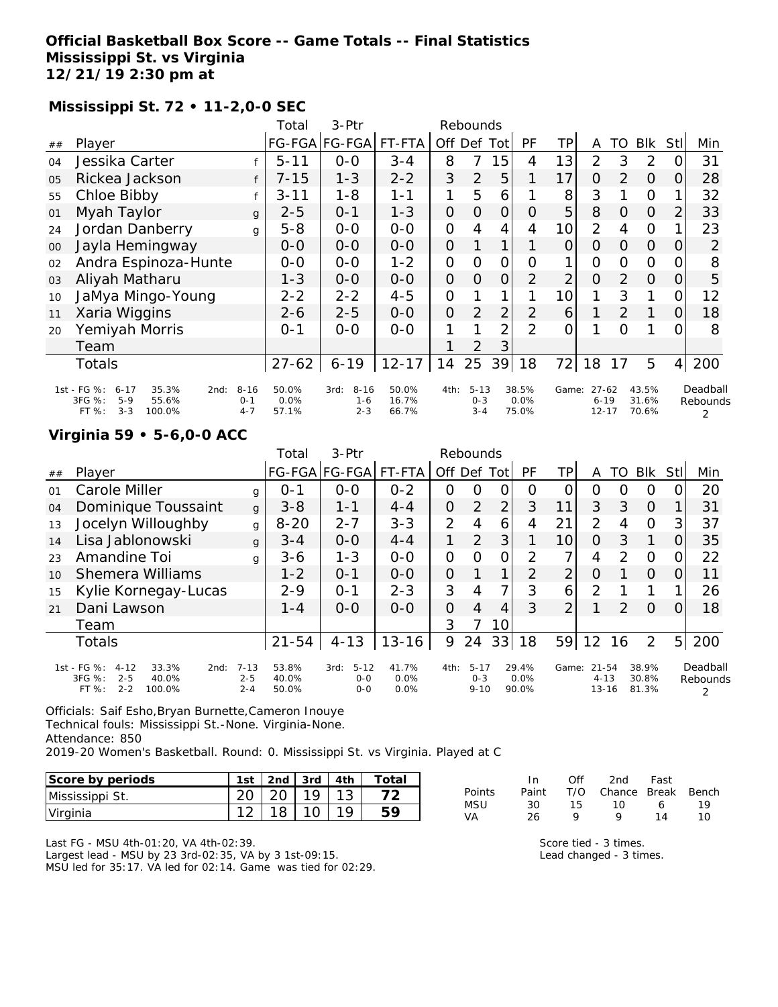# **Official Basketball Box Score -- Game Totals -- Final Statistics Mississippi St. vs Virginia 12/21/19 2:30 pm at**

# **Mississippi St. 72 • 11-2,0-0 SEC**

|                |                                                                                                      |                                | Total                  | 3-Ptr                                  |                         |                | Rebounds                       |                |                        |                 |                                    |                |                         |                |                           |
|----------------|------------------------------------------------------------------------------------------------------|--------------------------------|------------------------|----------------------------------------|-------------------------|----------------|--------------------------------|----------------|------------------------|-----------------|------------------------------------|----------------|-------------------------|----------------|---------------------------|
| ##             | Player                                                                                               |                                |                        | FG-FGA FG-FGA                          | FT-FTA                  |                | Off Def                        | Tot            | <b>PF</b>              | ΤP              | A                                  | TO             | <b>Blk</b>              | Stll           | Min                       |
| 04             | Jessika Carter                                                                                       |                                | $5 - 11$               | $0-0$                                  | $3 - 4$                 | 8              | 7                              | 15             | 4                      | 13              | $\overline{2}$                     | 3              | 2                       | 0              | 31                        |
| O <sub>5</sub> | Rickea Jackson                                                                                       |                                | $7 - 15$               | $1 - 3$                                | $2 - 2$                 | 3              | $\overline{2}$                 | 5              | 1                      | 17              | $\overline{O}$                     | $\overline{2}$ | $\Omega$                | O.             | 28                        |
| 55             | Chloe Bibby                                                                                          |                                | 3-11                   | $1 - 8$                                | 1-1                     | 1              | 5                              | 6              |                        | 8               | 3                                  |                | $\circ$                 |                | 32                        |
| 01             | Myah Taylor                                                                                          | $\mathbf{q}$                   | 2-5                    | $0 - 1$                                | $1 - 3$                 | $\overline{O}$ | $\Omega$                       | $\overline{O}$ | 0                      | 5               | 8                                  | 0              | $\Omega$                | $\overline{2}$ | 33                        |
| 24             | Jordan Danberry                                                                                      | g                              | $5 - 8$                | $O-O$                                  | $O-O$                   | $\mathcal{O}$  | 4                              | $\overline{4}$ | 4                      | 10 <sup>1</sup> | $\overline{2}$                     | $\overline{4}$ | $\overline{O}$          |                | 23                        |
| 00             | Jayla Hemingway                                                                                      |                                | 0-0                    | $0-0$                                  | $0-0$                   | $\Omega$       |                                |                |                        | 0               | $\Omega$                           | 0              | $\Omega$                | 0              | 2                         |
| 02             | Andra Espinoza-Hunte                                                                                 |                                | $0-0$                  | $0 - 0$                                | $1 - 2$                 | $\mathbf{O}$   | O                              | $\mathcal{O}$  | $\Omega$               |                 | $\overline{O}$                     | 0              | $\Omega$                | 0              | 8                         |
| 03             | Aliyah Matharu                                                                                       |                                | $1 - 3$                | $O-O$                                  | $O-O$                   | $\overline{O}$ | $\Omega$                       | $\overline{O}$ | $\overline{2}$         | $\overline{2}$  | $\overline{O}$                     | 2              | $\Omega$                | 0              | 5                         |
| 10             | JaMya Mingo-Young                                                                                    |                                | $2 - 2$                | $2 - 2$                                | $4 - 5$                 | $\mathcal{O}$  |                                | $\mathbf{1}$   |                        | 10              | 1                                  | 3              | 1                       | 0              | 12                        |
| 11             | Xaria Wiggins                                                                                        |                                | $2 - 6$                | $2 - 5$                                | $0 - 0$                 | $\overline{O}$ | $\overline{2}$                 | 2              | 2                      | 6               | 1                                  | 2              | 1                       | 0              | 18                        |
| 20             | Yemiyah Morris                                                                                       |                                | $0 - 1$                | $0 - 0$                                | $0-0$                   | 1              |                                | $\overline{2}$ | $\mathfrak{D}$         | 0               |                                    | Ω              |                         | 0              | 8                         |
|                | Team                                                                                                 |                                |                        |                                        |                         |                | $\mathcal{P}$                  | 3              |                        |                 |                                    |                |                         |                |                           |
|                | Totals                                                                                               |                                | $27 - 62$              | $6 - 19$                               | $12 - 17$               | 14             | 25                             | 39             | 18                     | 72              | 18                                 | 17             | 5                       | $\overline{4}$ | 200                       |
|                | 1st - FG %:<br>35.3%<br>$6 - 17$<br>2nd:<br>3FG %:<br>$5 - 9$<br>55.6%<br>100.0%<br>FT %:<br>$3 - 3$ | $8 - 16$<br>$O - 1$<br>$4 - 7$ | 50.0%<br>0.0%<br>57.1% | $8 - 16$<br>3rd:<br>$1 - 6$<br>$2 - 3$ | 50.0%<br>16.7%<br>66.7% | 4th:           | $5 - 13$<br>$0 - 3$<br>$3 - 4$ |                | 38.5%<br>0.0%<br>75.0% | Game:           | $27 - 62$<br>$6 - 19$<br>$12 - 17$ |                | 43.5%<br>31.6%<br>70.6% |                | Deadball<br>Rebounds<br>2 |

## **Virginia 59 • 5-6,0-0 ACC**

|                                                                                                      |                    | Total                   | $3-Ptr$                                |                       |                |          |                 |                                             |                        |                |                  |                                    |                         |                      |
|------------------------------------------------------------------------------------------------------|--------------------|-------------------------|----------------------------------------|-----------------------|----------------|----------|-----------------|---------------------------------------------|------------------------|----------------|------------------|------------------------------------|-------------------------|----------------------|
| Player                                                                                               |                    |                         |                                        | FT-FTA                |                |          | Tot             | PF                                          | TPI                    | A              | TO               | <b>BIK</b>                         | <b>StI</b>              | Min                  |
| Carole Miller                                                                                        | g                  | $0 - 1$                 | $0 - 0$                                | $0 - 2$               | $\Omega$       | $\Omega$ | 0               | $\Omega$                                    | 0                      | O              | $\left( \right)$ | $\Omega$                           | 0                       | 20                   |
| Dominique Toussaint                                                                                  | $\mathbf{q}$       | $3 - 8$                 | $1 - 1$                                | $4 - 4$               | $\overline{O}$ | 2        | $\overline{2}$  | 3                                           | 11                     | 3              | 3                | $\Omega$                           |                         | 31                   |
| Jocelyn Willoughby                                                                                   | g                  | $8 - 20$                | $2 - 7$                                | $3 - 3$               | 2              | 4        | 6               | 4                                           | 21                     | 2              | 4                | $\Omega$                           | 3                       | 37                   |
| Lisa Jablonowski                                                                                     | g                  | $3 - 4$                 | $0 - 0$                                | $4 - 4$               |                | 2        | 3               |                                             | 10                     | $\Omega$       | 3                |                                    | O                       | 35                   |
| Amandine Toi                                                                                         | g                  | $3 - 6$                 | $1 - 3$                                | $O-O$                 | 0              | O        | 0               | 2                                           | 7                      | 4              | $\mathcal{P}$    | $\circ$                            | 0                       | 22                   |
| <b>Shemera Williams</b>                                                                              |                    | $1 - 2$                 | $O - 1$                                | $0 - 0$               | $\Omega$       |          | $\mathbf 1$     | 2                                           | $\overline{2}$         | O              |                  | $\Omega$                           | 0                       | 11                   |
| Kylie Kornegay-Lucas                                                                                 |                    | $2 - 9$                 | $O - 1$                                | $2 - 3$               | 3              | 4        | 7               | 3                                           | 6                      | $\overline{2}$ |                  |                                    |                         | 26                   |
| Dani Lawson                                                                                          |                    | $1 - 4$                 | $0-0$                                  | $O-O$                 | $\Omega$       | 4        | 4               | 3                                           | $\overline{2}$         |                | $\mathcal{P}$    | $\Omega$                           | 0                       | 18                   |
| Team                                                                                                 |                    |                         |                                        |                       | 3              |          | 10              |                                             |                        |                |                  |                                    |                         |                      |
| <b>Totals</b>                                                                                        |                    | $21 - 54$               | $4 - 13$                               | $13 - 16$             | 9              | 24       | 33              | 18                                          | 59                     | 12             | 16               | $\overline{2}$                     | 5 <sub>l</sub>          | 200                  |
| 1st - FG %:<br>$4 - 12$<br>33.3%<br>2nd:<br>3FG %:<br>$2 - 5$<br>40.0%<br>$2 - 2$<br>FT %:<br>100.0% | $2 - 5$<br>$2 - 4$ | 53.8%<br>40.0%<br>50.0% | $5 - 12$<br>3rd:<br>$0 - 0$<br>$0 - 0$ | 41.7%<br>0.0%<br>0.0% |                |          |                 |                                             |                        |                |                  |                                    |                         | Deadball<br>Rebounds |
|                                                                                                      |                    | $7 - 13$                |                                        |                       | FG-FGA FG-FGA  |          | Off Def<br>4th: | Rebounds<br>$5 - 17$<br>$0 - 3$<br>$9 - 10$ | 29.4%<br>0.0%<br>90.0% |                | Game:            | $21 - 54$<br>$4 - 13$<br>$13 - 16$ | 38.9%<br>30.8%<br>81.3% |                      |

Officials: Saif Esho,Bryan Burnette,Cameron Inouye Technical fouls: Mississippi St.-None. Virginia-None. Attendance: 850

2019-20 Women's Basketball. Round: 0. Mississippi St. vs Virginia. Played at C

| Score by periods | 1st |    | 2nd $3rd$ $4th$ |     | Total |
|------------------|-----|----|-----------------|-----|-------|
| Mississippi St.  |     | 20 | 19              |     |       |
| Virginia         |     | 18 |                 | 1 Q |       |

Last FG - MSU 4th-01:20, VA 4th-02:39. Largest lead - MSU by 23 3rd-02:35, VA by 3 1st-09:15. MSU led for 35:17. VA led for 02:14. Game was tied for 02:29.

|        | In.   | ∩ff | 2nd                    | Fast |    |
|--------|-------|-----|------------------------|------|----|
| Points | Paint |     | T/O Chance Break Bench |      |    |
| MSU    | 30.   | 15. | 10.                    | 6    | 19 |
| VA     | 26    | o   | Q                      | 14   | 10 |

Score tied - 3 times. Lead changed - 3 times.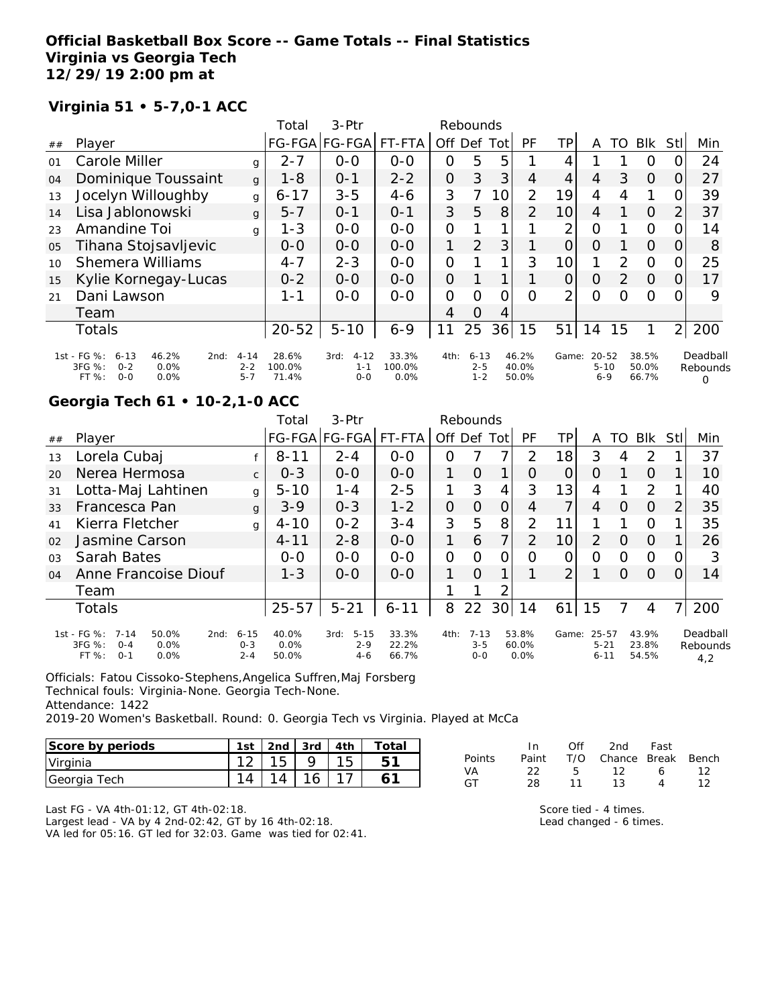## **Official Basketball Box Score -- Game Totals -- Final Statistics Virginia vs Georgia Tech 12/29/19 2:00 pm at**

## **Virginia 51 • 5-7,0-1 ACC**

|    |                                                                                                 |                                | Total                    | $3-Ptr$                              |                         |                | Rebounds                       |                 |                         |                |                                  |               |                         |                |                           |
|----|-------------------------------------------------------------------------------------------------|--------------------------------|--------------------------|--------------------------------------|-------------------------|----------------|--------------------------------|-----------------|-------------------------|----------------|----------------------------------|---------------|-------------------------|----------------|---------------------------|
| ## | Player                                                                                          |                                |                          | FG-FGA FG-FGA                        | FT-FTA                  | Off            | Def                            | Tot             | PF                      | TP             | Α                                | TO            | <b>BIK</b>              | Stll           | Min                       |
| 01 | Carole Miller                                                                                   | g                              | $2 - 7$                  | $0-0$                                | $0 - 0$                 | 0              | 5                              | 5               |                         | 4              |                                  |               | Ő                       |                | 24                        |
| 04 | Dominique Toussaint                                                                             | g                              | $1 - 8$                  | $0 - 1$                              | $2 - 2$                 | 0              | 3                              | 3               | 4                       | 4              | 4                                | 3             | 0                       | O              | 27                        |
| 13 | Jocelyn Willoughby                                                                              | g                              | $6 - 17$                 | $3 - 5$                              | $4 - 6$                 | 3              | 7                              | 10 <sub>1</sub> | 2                       | 19             | 4                                | 4             | 1                       | 0              | 39                        |
| 14 | Lisa Jablonowski                                                                                | g                              | $5 - 7$                  | $O - 1$                              | $O - 1$                 | 3              | 5                              | 8               | $\overline{2}$          | 10             | 4                                |               | $\Omega$                | 2              | 37                        |
| 23 | Amandine Toi                                                                                    | g                              | $1 - 3$                  | $0-0$                                | $0-0$                   | 0              |                                |                 |                         | 2              | $\overline{O}$                   |               | $\circ$                 | 0              | 14                        |
| 05 | Tihana Stojsavljevic                                                                            |                                | $0-0$                    | $0 - 0$                              | $0 - 0$                 |                | 2                              | 3               |                         | 0              | $\Omega$                         |               | $\Omega$                | O              | 8                         |
| 10 | <b>Shemera Williams</b>                                                                         |                                | $4 - 7$                  | $2 - 3$                              | $0 - 0$                 | $\overline{O}$ |                                |                 | 3                       | 10             |                                  | $\mathcal{P}$ | $\Omega$                | 0              | 25                        |
| 15 | Kylie Kornegay-Lucas                                                                            |                                | $0 - 2$                  | $0 - 0$                              | $0 - 0$                 | 0              |                                |                 |                         | 0              | O                                | $\mathcal{P}$ | $\Omega$                | 0              | 17                        |
| 21 | Dani Lawson                                                                                     |                                | $1 - 1$                  | $0 - 0$                              | $0 - 0$                 | 0              | $\Omega$                       | 0               | $\Omega$                | $\overline{2}$ | O                                | Ω             | $\Omega$                |                | 9                         |
|    | Team                                                                                            |                                |                          |                                      |                         | 4              | $\Omega$                       | 4               |                         |                |                                  |               |                         |                |                           |
|    | <b>Totals</b>                                                                                   |                                | $20 - 52$                | $5 - 10$                             | $6 - 9$                 | 11             | 25                             | 36              | 15                      | 51             | 14                               | 15            |                         | $\overline{2}$ | 200                       |
|    | 1st - FG %:<br>$6 - 13$<br>46.2%<br>2nd:<br>3FG %:<br>0.0%<br>$0 - 2$<br>FT%<br>$0 - 0$<br>0.0% | $4 - 14$<br>$2 - 2$<br>$5 - 7$ | 28.6%<br>100.0%<br>71.4% | $4 - 12$<br>3rd:<br>$1 - 1$<br>$O-O$ | 33.3%<br>100.0%<br>0.0% | 4th:           | $6 - 13$<br>$2 - 5$<br>$1 - 2$ |                 | 46.2%<br>40.0%<br>50.0% | Game:          | $20 - 52$<br>$5 - 10$<br>$6 - 9$ |               | 38.5%<br>50.0%<br>66.7% |                | Deadball<br>Rebounds<br>Ω |

# **Georgia Tech 61 • 10-2,1-0 ACC**

|                |                                                                                                    |                                | Total                  | $3-$ Ptr                               |                         |                | Rebounds                       |                 |                        |                 |                               |          |                         |                  |                             |
|----------------|----------------------------------------------------------------------------------------------------|--------------------------------|------------------------|----------------------------------------|-------------------------|----------------|--------------------------------|-----------------|------------------------|-----------------|-------------------------------|----------|-------------------------|------------------|-----------------------------|
| ##             | Player                                                                                             |                                |                        | FG-FGA FG-FGA                          | FT-FTA                  | Off Def        |                                | Totl            | PF                     | ΤP              | A                             | TO       | <b>BIK</b>              | Stll             | Min                         |
| 13             | Lorela Cubaj                                                                                       |                                | $8 - 11$               | $2 - 4$                                | $0 - 0$                 | Ο              |                                | 7               | $\mathcal{P}$          | 18              | 3                             |          | 2                       |                  | 37                          |
| 20             | Nerea Hermosa                                                                                      | $\mathsf{C}$                   | $0 - 3$                | $0 - 0$                                | $0 - 0$                 |                | $\Omega$                       | 1               | O                      | 0               | Ο                             |          | $\Omega$                |                  | 10                          |
| 31             | Lotta-Maj Lahtinen                                                                                 | g                              | $5 - 10$               | $1 - 4$                                | $2 - 5$                 |                | 3                              | $\overline{4}$  | 3                      | 13              | 4                             |          | 2                       |                  | 40                          |
| 33             | Francesca Pan                                                                                      | g                              | $3 - 9$                | $0 - 3$                                | $1 - 2$                 | 0              | 0                              | 0               | 4                      |                 | 4                             | O        | O                       | 2                | 35                          |
| 41             | Kierra Fletcher                                                                                    | g                              | $4 - 10$               | $0 - 2$                                | $3 - 4$                 | 3              | 5                              | 8               | 2                      | 11              |                               |          | $\Omega$                |                  | 35                          |
| 02             | Jasmine Carson                                                                                     |                                | $4 - 11$               | $2 - 8$                                | $0 - 0$                 |                | 6                              | 7               | 2                      | 10 <sup>1</sup> | $\overline{2}$                | O        | $\Omega$                |                  | 26                          |
| 0 <sub>3</sub> | Sarah Bates                                                                                        |                                | $0 - 0$                | $0 - 0$                                | $0 - 0$                 | $\overline{O}$ | $\Omega$                       | 0               | Ω                      | 0               | Ω                             | Ω        | O                       |                  | 3                           |
| 04             | Anne Francoise Diouf                                                                               |                                | $1 - 3$                | $O-O$                                  | $O-O$                   |                | $\Omega$                       | 1.              |                        | $\overline{2}$  |                               | $\Omega$ | $\Omega$                | $\left( \right)$ | 14                          |
|                | Team                                                                                               |                                |                        |                                        |                         |                |                                | 2               |                        |                 |                               |          |                         |                  |                             |
|                | Totals                                                                                             |                                | $25 - 57$              | $5 - 21$                               | $6 - 11$                | 8              | 22                             | 30 <sup>l</sup> | 14                     | 61              | 15                            |          | 4                       |                  | 200                         |
|                | 1st - FG %:<br>$7 - 14$<br>50.0%<br>2nd:<br>3FG %:<br>$0.0\%$<br>$O - 4$<br>FT%<br>$0 - 1$<br>0.0% | $6 - 15$<br>$0 - 3$<br>$2 - 4$ | 40.0%<br>0.0%<br>50.0% | $5 - 15$<br>3rd:<br>$2 - 9$<br>$4 - 6$ | 33.3%<br>22.2%<br>66.7% | 4th:           | $7 - 13$<br>$3 - 5$<br>$0 - 0$ |                 | 53.8%<br>60.0%<br>0.0% | Game:           | 25-57<br>$5 - 21$<br>$6 - 11$ |          | 43.9%<br>23.8%<br>54.5% |                  | Deadball<br>Rebounds<br>4,2 |

Officials: Fatou Cissoko-Stephens,Angelica Suffren,Maj Forsberg Technical fouls: Virginia-None. Georgia Tech-None.

Attendance: 1422

2019-20 Women's Basketball. Round: 0. Georgia Tech vs Virginia. Played at McCa

| Score by periods | 1st | 2nd | $\vert$ 3rd | 4th | ™otai |
|------------------|-----|-----|-------------|-----|-------|
| Virginia         |     |     |             |     |       |
| Georgia Tech     |     |     |             |     |       |

|        | In.   | Off   | 2nd                          | Fast      |    |
|--------|-------|-------|------------------------------|-----------|----|
| Points | Paint |       | - T/O - Chance Break - Bench |           |    |
| VA     | -22.  | - 5 - | 12                           | $\sim$ 6  | 12 |
| GT     | 28    | 11    | 13                           | $\Lambda$ | 12 |

Last FG - VA 4th-01:12, GT 4th-02:18.

Largest lead - VA by 4 2nd-02:42, GT by 16 4th-02:18. VA led for 05:16. GT led for 32:03. Game was tied for 02:41. Score tied - 4 times.

Lead changed - 6 times.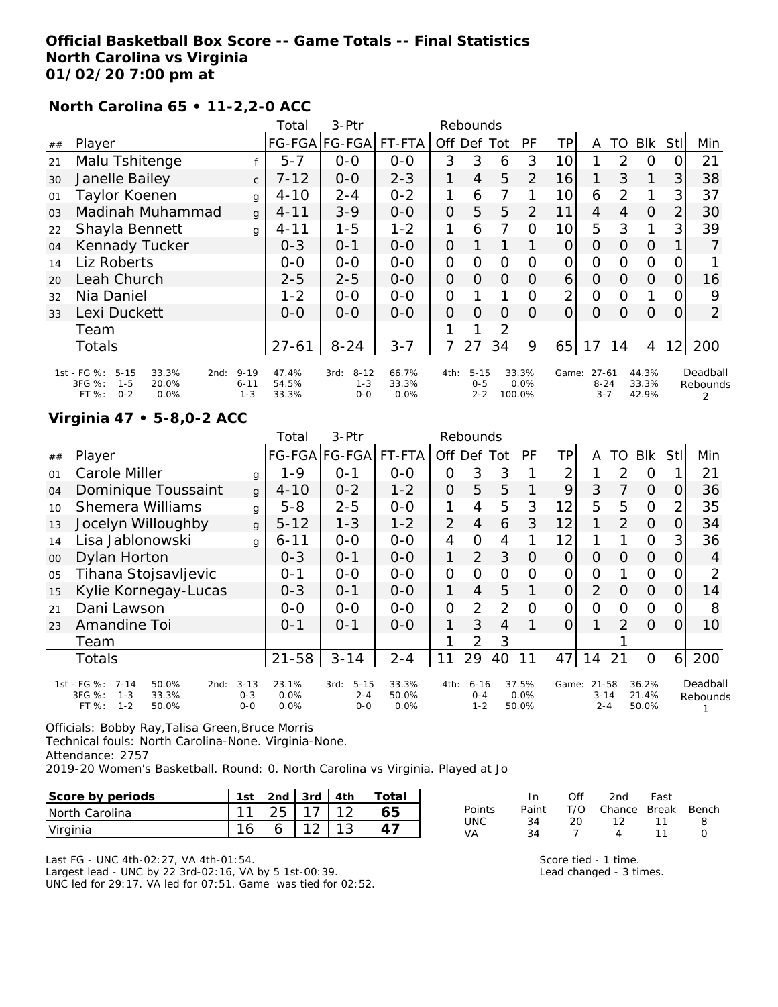## **Official Basketball Box Score -- Game Totals -- Final Statistics North Carolina vs Virginia 01/02/20 7:00 pm at**

# **North Carolina 65 • 11-2,2-0 ACC**

|                |                                                                                                    |                                 | Total                   | 3-Ptr                                  |                           |                | Rebounds                       |                |                         |                |                                  |          |                         |                 |                           |
|----------------|----------------------------------------------------------------------------------------------------|---------------------------------|-------------------------|----------------------------------------|---------------------------|----------------|--------------------------------|----------------|-------------------------|----------------|----------------------------------|----------|-------------------------|-----------------|---------------------------|
| ##             | Player                                                                                             |                                 |                         | FG-FGA FG-FGA                          | FT-FTA                    | Off Def        |                                | Totl           | <b>PF</b>               | ТP             | A                                | TO       | Blk                     | Stll            | Min                       |
| 21             | Malu Tshitenge                                                                                     |                                 | $5 - 7$                 | $O-O$                                  | $0-0$                     | 3              | 3                              | 6              | 3                       | 10             |                                  | 2        | O                       | 0               | 21                        |
| 30             | Janelle Bailey                                                                                     | $\mathsf{C}$                    | $7 - 12$                | $0-0$                                  | $2 - 3$                   | 1              | $\overline{4}$                 | 5              | 2                       | 16             |                                  | 3        | 1                       | 3               | 38                        |
| 01             | Taylor Koenen                                                                                      | $\mathbf{q}$                    | $4 - 10$                | $2 - 4$                                | $0 - 2$                   | 1              | 6                              | $\overline{7}$ |                         | 10             | 6                                | 2        |                         | 3 <sub>l</sub>  | 37                        |
| 0 <sub>3</sub> | Madinah Muhammad                                                                                   | $\mathbf{q}$                    | $4 - 11$                | $3 - 9$                                | $0 - 0$                   | $\mathcal{O}$  | 5                              | 5              | 2                       | 11             | 4                                | 4        | O                       | 2               | 30                        |
| 22             | Shayla Bennett                                                                                     | $\mathbf{q}$                    | $4 - 11$                | $1 - 5$                                | $1 - 2$                   | 1              | 6                              | 7              | $\Omega$                | 10             | 5                                | 3        | 1                       | 3               | 39                        |
| 04             | Kennady Tucker                                                                                     |                                 | $0 - 3$                 | $O - 1$                                | $0 - 0$                   | $\mathcal{O}$  |                                |                |                         | 0              | 0                                | 0        | O                       |                 |                           |
| 14             | Liz Roberts                                                                                        |                                 | $0 - 0$                 | $0 - 0$                                | $0 - 0$                   | O              | 0                              | 0              | Ω                       | 0              | O                                | 0        | $\Omega$                | O               |                           |
| 20             | Leah Church                                                                                        |                                 | $2 - 5$                 | $2 - 5$                                | $0 - 0$                   | $\overline{O}$ | $\Omega$                       | 0              | O                       | 6              | $\Omega$                         | 0        | $\Omega$                | 0               | 16                        |
| 32             | Nia Daniel                                                                                         |                                 | $1 - 2$                 | $0-0$                                  | $0-0$                     | $\Omega$       |                                | 1              | Ω                       | $\overline{2}$ | $\overline{O}$                   | Ω        |                         | 0               | 9                         |
| 33             | Lexi Duckett                                                                                       |                                 | $0 - 0$                 | $0 - 0$                                | $0-0$                     | $\Omega$       | $\Omega$                       | 0              | $\Omega$                | 0              | $\Omega$                         | $\Omega$ | $\Omega$                | O               | 2                         |
|                | Team                                                                                               |                                 |                         |                                        |                           |                |                                | 2              |                         |                |                                  |          |                         |                 |                           |
|                | <b>Totals</b>                                                                                      |                                 | $27 - 61$               | $8 - 24$                               | $3 - 7$                   | 7              | 27                             | 34             | 9                       | 65             | 17                               | 14       | 4                       | 12 <sub>1</sub> | 200                       |
|                | 1st - FG %:<br>$5 - 15$<br>33.3%<br>2nd:<br>3FG %:<br>$1 - 5$<br>20.0%<br>FT %:<br>$0 - 2$<br>0.0% | $9 - 19$<br>$6 - 11$<br>$1 - 3$ | 47.4%<br>54.5%<br>33.3% | $8 - 12$<br>3rd:<br>$1 - 3$<br>$O - O$ | 66.7%<br>33.3%<br>$0.0\%$ | 4th:           | $5 - 15$<br>$0 - 5$<br>$2 - 2$ |                | 33.3%<br>0.0%<br>100.0% | Game:          | $27 - 61$<br>$8 - 24$<br>$3 - 7$ |          | 44.3%<br>33.3%<br>42.9% |                 | Deadball<br>Rebounds<br>2 |

#### **Virginia 47 • 5-8,0-2 ACC**

|    |                                                                                                     |                                | Total                 | 3-Ptr                                  |                        |         | Rebounds                       |                |                        |       |                                  |                |                         |                |                      |
|----|-----------------------------------------------------------------------------------------------------|--------------------------------|-----------------------|----------------------------------------|------------------------|---------|--------------------------------|----------------|------------------------|-------|----------------------------------|----------------|-------------------------|----------------|----------------------|
| ## | Player                                                                                              |                                |                       | FG-FGA FG-FGA FT-FTA                   |                        | Off Def |                                | <b>Tot</b>     | PF                     | ΤP    | Α                                | TO             | <b>Blk</b>              | Stll           | Min                  |
| 01 | Carole Miller                                                                                       | g                              | 1-9                   | $0 - 1$                                | $0 - 0$                | 0       | 3                              | 3              |                        | ⌒     |                                  | $\overline{2}$ | 0                       |                | 21                   |
| 04 | Dominique Toussaint                                                                                 | $\mathbf{q}$                   | $4 - 10$              | $0 - 2$                                | $1 - 2$                | 0       | 5                              | 5              |                        | 9     | 3                                | 7              | $\Omega$                | Ο              | 36                   |
| 10 | <b>Shemera Williams</b>                                                                             | $\mathbf{q}$                   | $5 - 8$               | $2 - 5$                                | $0-0$                  | 1       | 4                              | 5              | 3                      | 12    | 5                                | 5              | $\Omega$                | $\overline{2}$ | 35                   |
| 13 | Jocelyn Willoughby                                                                                  | g                              | $5 - 12$              | $1 - 3$                                | $1 - 2$                | 2       | $\overline{4}$                 | 6              | 3                      | 12    | 1                                | $\mathcal{P}$  | $\Omega$                | 0              | 34                   |
| 14 | Lisa Jablonowski                                                                                    | g                              | $6 - 11$              | $O-O$                                  | $0 - 0$                | 4       | Ω                              | 4              |                        | 12    | 1                                |                | 0                       | 3              | 36                   |
| 00 | Dylan Horton                                                                                        |                                | $0 - 3$               | $0 - 1$                                | $0 - 0$                | 1       | $\overline{2}$                 | 3              | 0                      | 0     | 0                                | $\Omega$       | $\Omega$                | 0              | 4                    |
| 05 | Tihana Stojsavljevic                                                                                |                                | $0 - 1$               | $0 - 0$                                | $0 - 0$                | 0       | $\Omega$                       | 0              | ი                      | 0     | 0                                |                | $\overline{O}$          |                | $\overline{2}$       |
| 15 | Kylie Kornegay-Lucas                                                                                |                                | $0 - 3$               | $0 - 1$                                | $0 - 0$                | 1       | $\overline{4}$                 | 5              |                        | 0     | $\overline{2}$                   | O              | $\Omega$                | 0              | 14                   |
| 21 | Dani Lawson                                                                                         |                                | $O-O$                 | $O-O$                                  | $0 - 0$                | 0       | $\overline{2}$                 | $\overline{2}$ | Ω                      | 0     | Ω                                | $\Omega$       | $\Omega$                | O              | 8                    |
| 23 | Amandine Toi                                                                                        |                                | $0 - 1$               | $0 - 1$                                | $0 - 0$                | 1       | 3                              | $\overline{4}$ |                        | 0     | 1                                | 2              | $\Omega$                | Ω              | 10                   |
|    | Team                                                                                                |                                |                       |                                        |                        |         | 2                              | 3              |                        |       |                                  |                |                         |                |                      |
|    | Totals                                                                                              |                                | $21 - 58$             | $3 - 14$                               | $2 - 4$                | 11      | 29                             | 40             | 11                     | 47    | 14                               | 21             | $\Omega$                | 6              | 200                  |
|    | 1st - FG %:<br>$7 - 14$<br>50.0%<br>2nd:<br>3FG %:<br>$1 - 3$<br>33.3%<br>FT %:<br>$1 - 2$<br>50.0% | $3 - 13$<br>$0 - 3$<br>$0 - 0$ | 23.1%<br>0.0%<br>0.0% | $5 - 15$<br>3rd:<br>$2 - 4$<br>$0 - 0$ | 33.3%<br>50.0%<br>0.0% | 4th:    | $6 - 16$<br>$0 - 4$<br>$1 - 2$ |                | 37.5%<br>0.0%<br>50.0% | Game: | $21 - 58$<br>$3 - 14$<br>$2 - 4$ |                | 36.2%<br>21.4%<br>50.0% |                | Deadball<br>Rebounds |

Officials: Bobby Ray,Talisa Green,Bruce Morris

Technical fouls: North Carolina-None. Virginia-None.

Attendance: 2757

2019-20 Women's Basketball. Round: 0. North Carolina vs Virginia. Played at Jo

| Score by periods | 1st |                 | 2nd $3rd$ $4th$ | Total |
|------------------|-----|-----------------|-----------------|-------|
| North Carolina   |     | $125$   17   12 |                 | 65    |
| Virginia         | 16  |                 |                 |       |

Last FG - UNC 4th-02:27, VA 4th-01:54. Largest lead - UNC by 22 3rd-02:16, VA by 5 1st-00:39. UNC led for 29:17. VA led for 07:51. Game was tied for 02:52.

|        | In In | Off | 2nd                    | Fast |    |
|--------|-------|-----|------------------------|------|----|
| Points | Paint |     | T/O Chance Break Bench |      |    |
| UNC-   | 34    | -20 | - 12                   | 11   | -8 |
| VA     | 34    |     | $\overline{4}$         | 11   | O  |

Score tied - 1 time. Lead changed - 3 times.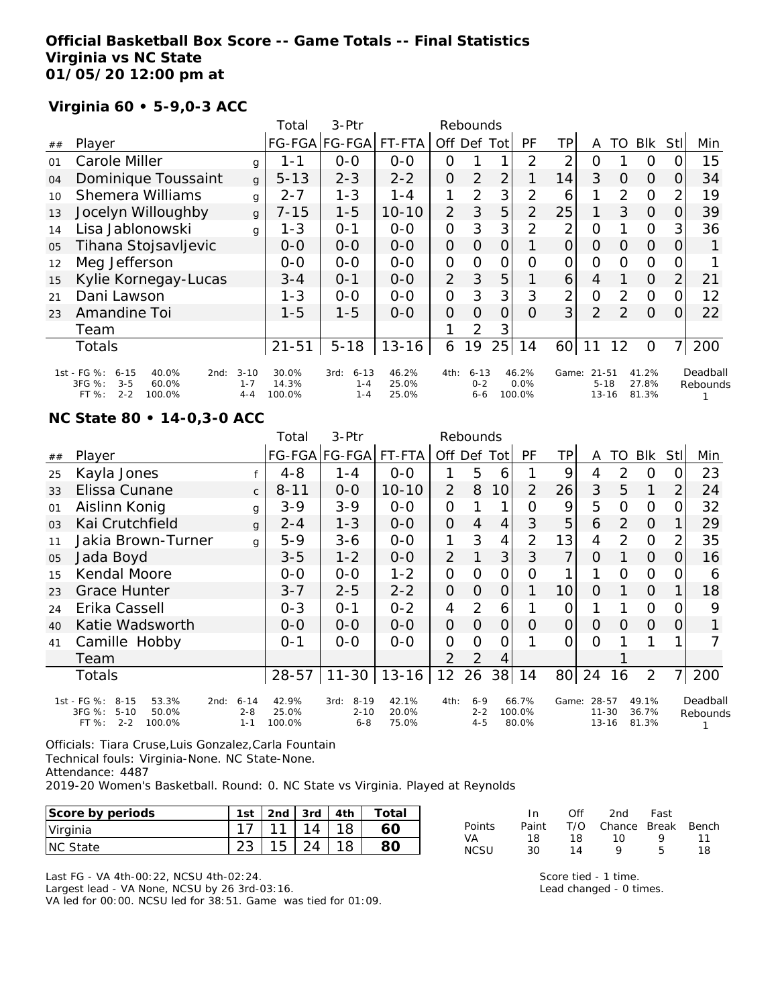#### **Official Basketball Box Score -- Game Totals -- Final Statistics Virginia vs NC State 01/05/20 12:00 pm at**

## **Virginia 60 • 5-9,0-3 ACC**

|    |                                                                                                      |                                | Total                    | 3-Ptr                                  |                         |                | Rebounds                       |                |                         |       |                                    |                |                         |                |                      |
|----|------------------------------------------------------------------------------------------------------|--------------------------------|--------------------------|----------------------------------------|-------------------------|----------------|--------------------------------|----------------|-------------------------|-------|------------------------------------|----------------|-------------------------|----------------|----------------------|
| ## | Player                                                                                               |                                |                          | FG-FGA FG-FGA                          | FT-FTA                  | Off            | Def                            | Tot            | <b>PF</b>               | TР    | Α                                  | TO             | <b>BIK</b>              | Stll           | Min                  |
| 01 | Carole Miller                                                                                        | g                              | 1 - 1                    | $0-0$                                  | $0-0$                   | 0              |                                |                | 2                       | 2     | Ο                                  |                | 0                       | Ο              | 15                   |
| 04 | Dominique Toussaint                                                                                  | g                              | $5 - 13$                 | $2 - 3$                                | $2 - 2$                 | $\Omega$       | 2                              | $\overline{2}$ |                         | 14    | 3                                  | 0              | $\Omega$                | 0              | 34                   |
| 10 | <b>Shemera Williams</b>                                                                              | g                              | $2 - 7$                  | $1 - 3$                                | $1 - 4$                 |                | $\overline{2}$                 | 3              | 2                       | 6     |                                    | $\overline{2}$ | $\Omega$                | 2              | 19                   |
| 13 | Jocelyn Willoughby                                                                                   | g                              | $7 - 15$                 | $1 - 5$                                | $10 - 10$               | $\overline{2}$ | 3                              | 5              | $\overline{2}$          | 25    |                                    | 3              | $\Omega$                | O              | 39                   |
| 14 | Lisa Jablonowski                                                                                     | g                              | $1 - 3$                  | $O - 1$                                | $0-0$                   | $\mathcal{O}$  | 3                              | 3              | $\overline{2}$          | 2     | $\overline{O}$                     |                | $\circ$                 | 3              | 36                   |
| 05 | Tihana Stojsavljevic                                                                                 |                                | $O-O$                    | $0 - 0$                                | $0-0$                   | $\overline{O}$ | $\Omega$                       | 0              |                         | 0     | $\Omega$                           | O              | $\Omega$                | O              |                      |
| 12 | Meg Jefferson                                                                                        |                                | $0-0$                    | $0-0$                                  | $0 - 0$                 | $\mathbf{O}$   | O                              | $\mathcal{O}$  | Ω                       | 0     | O                                  | 0              | $\circ$                 | 0              |                      |
| 15 | Kylie Kornegay-Lucas                                                                                 |                                | $3 - 4$                  | $0 - 1$                                | $0-0$                   | $\overline{2}$ | 3                              | 5              |                         | 6     | 4                                  |                | $\Omega$                | $\overline{2}$ | 21                   |
| 21 | Dani Lawson                                                                                          |                                | $1 - 3$                  | $0-0$                                  | $0-0$                   | $\mathcal{O}$  | 3                              | 3              | 3                       | 2     | $\overline{O}$                     | 2              | $\Omega$                | 0              | 12                   |
| 23 | Amandine Toi                                                                                         |                                | $1 - 5$                  | $1 - 5$                                | $0-0$                   | $\Omega$       | $\Omega$                       | $\Omega$       | $\Omega$                | 3     | 2                                  | $\mathcal{P}$  | $\Omega$                | 0              | 22                   |
|    | Team                                                                                                 |                                |                          |                                        |                         |                | 2                              | 3              |                         |       |                                    |                |                         |                |                      |
|    | <b>Totals</b>                                                                                        |                                | $21 - 51$                | $5 - 18$                               | $13 - 16$               | 6              | 19                             | 25             | 14                      | 60    | 11                                 | 12             | O                       | $\overline{7}$ | 200                  |
|    | 1st - FG %:<br>40.0%<br>$6 - 15$<br>2nd:<br>3FG %:<br>$3 - 5$<br>60.0%<br>$2 - 2$<br>FT %:<br>100.0% | $3 - 10$<br>$1 - 7$<br>$4 - 4$ | 30.0%<br>14.3%<br>100.0% | $6 - 13$<br>3rd:<br>$1 - 4$<br>$1 - 4$ | 46.2%<br>25.0%<br>25.0% | 4th:           | $6 - 13$<br>$0 - 2$<br>$6 - 6$ |                | 46.2%<br>0.0%<br>100.0% | Game: | $21 - 51$<br>$5 - 18$<br>$13 - 16$ |                | 41.2%<br>27.8%<br>81.3% |                | Deadball<br>Rebounds |

#### **NC State 80 • 14-0,3-0 ACC**

|    |                                                                                                     |                                | Total                    | $3-Ptr$                                 |                         |                 | Rebounds                      |                |                          |                 |                                 |          |                         |             |                      |
|----|-----------------------------------------------------------------------------------------------------|--------------------------------|--------------------------|-----------------------------------------|-------------------------|-----------------|-------------------------------|----------------|--------------------------|-----------------|---------------------------------|----------|-------------------------|-------------|----------------------|
| ## | Player                                                                                              |                                |                          | FG-FGA FG-FGA                           | FT-FTA                  | Off             | Def                           | Totl           | <b>PF</b>                | TР              | A                               | TO       | <b>BIK</b>              | <b>Stll</b> | Min                  |
| 25 | Kayla Jones                                                                                         |                                | $4 - 8$                  | $1 - 4$                                 | $0 - 0$                 |                 | 5                             | 6              |                          | 9               | 4                               | 2        | O                       | Ω           | 23                   |
| 33 | Elissa Cunane                                                                                       | $\mathsf{C}$                   | $8 - 11$                 | $0 - 0$                                 | $10 - 10$               | 2               | 8                             | 10             | 2                        | 26              | 3                               | 5        | 1                       | 2           | 24                   |
| 01 | Aislinn Konig                                                                                       | g                              | $3 - 9$                  | $3 - 9$                                 | $0-0$                   | $\overline{O}$  |                               | 1              | Ω                        | 9               | 5                               | O        | $\Omega$                | Ω           | 32                   |
| 03 | Kai Crutchfield                                                                                     | $\mathbf{q}$                   | $2 - 4$                  | $1 - 3$                                 | $0 - 0$                 | $\overline{O}$  | 4                             | 4              | 3                        | 5               | 6                               | 2        | $\Omega$                |             | 29                   |
| 11 | Jakia Brown-Turner                                                                                  | q                              | $5 - 9$                  | $3 - 6$                                 | $O-O$                   | 1               | 3                             | 4              | $\overline{2}$           | 13              | 4                               | 2        | $\Omega$                |             | 35                   |
| 05 | Jada Boyd                                                                                           |                                | $3 - 5$                  | $1 - 2$                                 | $0 - 0$                 | 2               |                               | 3              | 3                        | 7               | 0                               |          | $\Omega$                | O           | 16                   |
| 15 | Kendal Moore                                                                                        |                                | $0-0$                    | $0-0$                                   | $1 - 2$                 | O               | O                             | $\mathcal{O}$  | Ο                        |                 |                                 | O        | 0                       |             | 6                    |
| 23 | <b>Grace Hunter</b>                                                                                 |                                | $3 - 7$                  | $2 - 5$                                 | $2 - 2$                 | $\overline{O}$  | 0                             | 0              |                          | 10 <sup>1</sup> | $\Omega$                        | 1        | $\Omega$                |             | 18                   |
| 24 | Erika Cassell                                                                                       |                                | $0 - 3$                  | $0 - 1$                                 | $0 - 2$                 | 4               | 2                             | 6              |                          | 0               |                                 |          | $\Omega$                | O           | 9                    |
| 40 | Katie Wadsworth                                                                                     |                                | $0 - 0$                  | $0 - 0$                                 | $0 - 0$                 | $\overline{O}$  | 0                             | $\overline{O}$ | O                        | $\Omega$        | O                               | $\Omega$ | $\overline{O}$          | 0           |                      |
| 41 | Camille Hobby                                                                                       |                                | $0 - 1$                  | $O-O$                                   | $O-O$                   | 0               | Ω                             | 0              |                          | 0               | $\Omega$                        |          |                         |             |                      |
|    | Team                                                                                                |                                |                          |                                         |                         | 2               | 2                             | 4              |                          |                 |                                 |          |                         |             |                      |
|    | Totals                                                                                              |                                | $28 - 57$                | $11 - 30$                               | $13 - 16$               | 12 <sup>2</sup> | 26                            | 38             | 14                       | 80              | 24                              | 16       | $\overline{2}$          | 7           | 200                  |
|    | 1st - FG %:<br>$8 - 15$<br>53.3%<br>2nd:<br>3FG %:<br>$5 - 10$<br>50.0%<br>FT%<br>$2 - 2$<br>100.0% | $6 - 14$<br>$2 - 8$<br>$1 - 1$ | 42.9%<br>25.0%<br>100.0% | $8 - 19$<br>3rd:<br>$2 - 10$<br>$6 - 8$ | 42.1%<br>20.0%<br>75.0% | 4th:            | $6 - 9$<br>$2 - 2$<br>$4 - 5$ |                | 66.7%<br>100.0%<br>80.0% | Game:           | 28-57<br>$11 - 30$<br>$13 - 16$ |          | 49.1%<br>36.7%<br>81.3% |             | Deadball<br>Rebounds |

Officials: Tiara Cruse,Luis Gonzalez,Carla Fountain Technical fouls: Virginia-None. NC State-None. Attendance: 4487

2019-20 Women's Basketball. Round: 0. NC State vs Virginia. Played at Reynolds

| Score by periods | 1st |    | 2nd $\sqrt{3}$ 3rd $\sqrt{4}$ 4th | Total |
|------------------|-----|----|-----------------------------------|-------|
| Virginia         |     | 11 | 14                                |       |
| <b>INC State</b> |     |    |                                   |       |

|               | In.   | ∩ff | 2nd                    | Fast |    |
|---------------|-------|-----|------------------------|------|----|
| <b>Points</b> | Paint |     | T/O Chance Break Bench |      |    |
| VA.           | 18    | 18. | 10.                    | o    | 11 |
| <b>NCSU</b>   | 30.   | 14  | Q                      | ь.   | 18 |

Last FG - VA 4th-00:22, NCSU 4th-02:24.

Largest lead - VA None, NCSU by 26 3rd-03:16.

VA led for 00:00. NCSU led for 38:51. Game was tied for 01:09.

Score tied - 1 time. Lead changed - 0 times.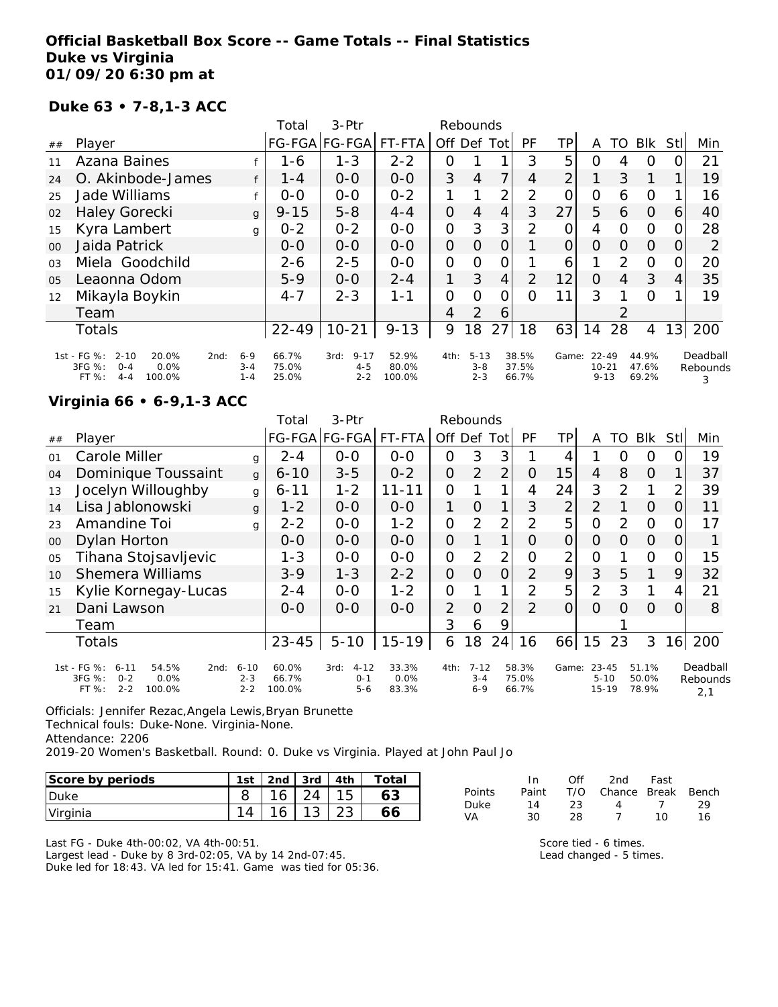## **Official Basketball Box Score -- Game Totals -- Final Statistics Duke vs Virginia 01/09/20 6:30 pm at**

#### **Duke 63 • 7-8,1-3 ACC**

|                |                                                                                           |                                       | Total                   | $3-$ Ptr                               |                          |                | Rebounds                       |                |                         |       |                                    |               |                         |      |                           |
|----------------|-------------------------------------------------------------------------------------------|---------------------------------------|-------------------------|----------------------------------------|--------------------------|----------------|--------------------------------|----------------|-------------------------|-------|------------------------------------|---------------|-------------------------|------|---------------------------|
| ##             | Player                                                                                    |                                       |                         | FG-FGA FG-FGA                          | FT-FTA                   | Off            | Def                            | Tot            | PF                      | TP    | A                                  | TO            | <b>BIK</b>              | Stll | Min                       |
| 11             | Azana Baines                                                                              |                                       | 1-6                     | $1 - 3$                                | $2 - 2$                  | O              |                                |                | 3                       | 5     | Ο                                  | 4             | O                       |      | 21                        |
| 24             | O. Akinbode-James                                                                         | f                                     | $1 - 4$                 | $0 - 0$                                | $0 - 0$                  | 3              | $\overline{4}$                 |                | 4                       | 2     |                                    | 3             |                         |      | 19                        |
| 25             | Jade Williams                                                                             |                                       | $0 - 0$                 | $O-O$                                  | $0 - 2$                  | 1              |                                | 2              | 2                       | 0     | $\overline{O}$                     | 6             | 0                       |      | 16                        |
| 02             | <b>Haley Gorecki</b>                                                                      | g                                     | $9 - 15$                | $5 - 8$                                | $4 - 4$                  | 0              | 4                              | 4              | 3                       | 27    | 5                                  | 6             | $\Omega$                | 6    | 40                        |
| 15             | Kyra Lambert                                                                              | g                                     | $0 - 2$                 | $0 - 2$                                | $0-0$                    | 0              | 3                              | 3              | 2                       | O     | 4                                  | $\Omega$      | $\circ$                 | 0    | 28                        |
| 0 <sup>0</sup> | Jaida Patrick                                                                             |                                       | $O - O$                 | $0 - 0$                                | $0 - 0$                  | 0              | $\Omega$                       | 0              |                         | 0     | 0                                  | $\Omega$      | 0                       | O    | 2                         |
| 0 <sub>3</sub> | Miela Goodchild                                                                           |                                       | $2 - 6$                 | $2 - 5$                                | $0 - 0$                  | $\overline{O}$ | O                              | $\overline{O}$ |                         | 6     |                                    | 2             | $\Omega$                | 0    | 20                        |
| 0 <sub>5</sub> | Leaonna Odom                                                                              |                                       | $5-9$                   | $0 - 0$                                | $2 - 4$                  | 1              | 3                              | 4              | $\overline{2}$          | 12    | $\Omega$                           | 4             | 3                       | 4    | 35                        |
| 12             | Mikayla Boykin                                                                            |                                       | $4 - 7$                 | $2 - 3$                                | $1 - 1$                  | O              | O                              | 0              | $\Omega$                | 11    | 3                                  |               | $\Omega$                |      | 19                        |
|                | Team                                                                                      |                                       |                         |                                        |                          | 4              | 2                              | 6              |                         |       |                                    | $\mathcal{P}$ |                         |      |                           |
|                | <b>Totals</b>                                                                             |                                       | $22 - 49$               | $10 - 21$                              | $9 - 13$                 | 9              | 8                              | 27             | 18                      | 63    | 14                                 | 28            | 4                       | 13   | 200                       |
|                | 1st - FG %:<br>$2 - 10$<br>20.0%<br>3FG %:<br>0.0%<br>$O - 4$<br>100.0%<br>FT%<br>$4 - 4$ | $6 - 9$<br>2nd:<br>$3 - 4$<br>$1 - 4$ | 66.7%<br>75.0%<br>25.0% | $9 - 17$<br>3rd:<br>$4 - 5$<br>$2 - 2$ | 52.9%<br>80.0%<br>100.0% | 4th:           | $5 - 13$<br>$3 - 8$<br>$2 - 3$ |                | 38.5%<br>37.5%<br>66.7% | Game: | $22 - 49$<br>$10 - 21$<br>$9 - 13$ |               | 44.9%<br>47.6%<br>69.2% |      | Deadball<br>Rebounds<br>3 |

## **Virginia 66 • 6-9,1-3 ACC**

|                |                                                                                                     |                                | Total                    | 3-Ptr                                  |                        |                | Rebounds                       |                |                         |                |                                    |     |                         |          |                             |
|----------------|-----------------------------------------------------------------------------------------------------|--------------------------------|--------------------------|----------------------------------------|------------------------|----------------|--------------------------------|----------------|-------------------------|----------------|------------------------------------|-----|-------------------------|----------|-----------------------------|
| ##             | Player                                                                                              |                                |                          | FG-FGA FG-FGA                          | FT-FTA                 | Off Def Tot    |                                |                | PF                      | TΡ             | A                                  | TO. | <b>BIK</b>              | Stll     | Min                         |
| 01             | Carole Miller                                                                                       | g                              | $2 - 4$                  | $0 - 0$                                | $0 - 0$                | $\overline{O}$ | 3                              | 3              |                         | 4              |                                    | Ω   | 0                       | Ω        | 19                          |
| 04             | Dominique Toussaint                                                                                 | $\mathbf{q}$                   | $6 - 10$                 | $3 - 5$                                | $0 - 2$                | $\overline{O}$ | $\overline{2}$                 | 2              | O                       | 15             | $\overline{4}$                     | 8   | 0                       |          | 37                          |
| 13             | Jocelyn Willoughby                                                                                  | g                              | $6 - 11$                 | $1 - 2$                                | 11-11                  | 0              |                                |                | 4                       | 24             | 3                                  | 2   |                         | 2        | 39                          |
| 14             | Lisa Jablonowski                                                                                    | g                              | $1 - 2$                  | $O-O$                                  | $0 - 0$                | 1              | O                              | 1              | 3                       | 2              | 2                                  |     | $\Omega$                | O        | 11                          |
| 23             | Amandine Toi                                                                                        | g                              | $2 - 2$                  | $O-O$                                  | $1 - 2$                | $\overline{O}$ | 2                              | 2              | $\overline{2}$          | 5              | $\Omega$                           | 2   | $\Omega$                | 0        | 17                          |
| 00             | Dylan Horton                                                                                        |                                | $0 - 0$                  | $0 - 0$                                | $0 - 0$                | $\overline{O}$ |                                | 1              | Ω                       | 0              | $\Omega$                           | 0   | $\Omega$                | 0        |                             |
| O <sub>5</sub> | Tihana Stojsavljevic                                                                                |                                | $1 - 3$                  | $O-O$                                  | $0 - 0$                | $\overline{O}$ | 2                              | 2              | O                       | $\overline{2}$ | 0                                  |     | $\Omega$                | 0        | 15                          |
| 10             | <b>Shemera Williams</b>                                                                             |                                | $3 - 9$                  | $1 - 3$                                | $2 - 2$                | $\overline{O}$ | 0                              | $\overline{O}$ | 2                       | 9              | 3                                  | 5   | 1                       | 9        | 32                          |
| 15             | Kylie Kornegay-Lucas                                                                                |                                | $2 - 4$                  | $0 - 0$                                | $1 - 2$                | $\Omega$       |                                | 1              | 2                       | 5              | $\overline{2}$                     | 3   | 1                       | 4        | 21                          |
| 21             | Dani Lawson                                                                                         |                                | $0 - 0$                  | $0 - 0$                                | $0 - 0$                | $\overline{2}$ | $\Omega$                       | $\overline{2}$ | $\mathcal{P}$           | $\overline{O}$ | $\Omega$                           | Ω   | $\Omega$                | $\Omega$ | 8                           |
|                | Team                                                                                                |                                |                          |                                        |                        | 3              | 6                              | 9              |                         |                |                                    |     |                         |          |                             |
|                | Totals                                                                                              |                                | $23 - 45$                | $5 - 10$                               | $15 - 19$              | 6              | 18                             | 24             | 16                      | 66             | 15                                 | 23  | 3                       | 16       | 200                         |
|                | 1st - FG %:<br>$6 - 11$<br>54.5%<br>2nd:<br>3FG %:<br>0.0%<br>$0 - 2$<br>$2 - 2$<br>100.0%<br>FT %: | $6 - 10$<br>$2 - 3$<br>$2 - 2$ | 60.0%<br>66.7%<br>100.0% | $4 - 12$<br>3rd:<br>$O - 1$<br>$5 - 6$ | 33.3%<br>0.0%<br>83.3% | 4th:           | $7 - 12$<br>$3 - 4$<br>$6 - 9$ |                | 58.3%<br>75.0%<br>66.7% | Game:          | $23 - 45$<br>$5 - 10$<br>$15 - 19$ |     | 51.1%<br>50.0%<br>78.9% |          | Deadball<br>Rebounds<br>2,1 |

Officials: Jennifer Rezac,Angela Lewis,Bryan Brunette Technical fouls: Duke-None. Virginia-None. Attendance: 2206 2019-20 Women's Basketball. Round: 0. Duke vs Virginia. Played at John Paul Jo

| Score by periods | 1st                      | 2 <sub>nd</sub> | 3rd         | $^\mathsf{\tau}$ otai |
|------------------|--------------------------|-----------------|-------------|-----------------------|
| <b>IDuke</b>     |                          | $\sim$          | 21          |                       |
| Virginia         | $\overline{\phantom{a}}$ | $\sim$          | $\sim$<br>◡ |                       |

Last FG - Duke 4th-00:02, VA 4th-00:51.

Largest lead - Duke by 8 3rd-02:05, VA by 14 2nd-07:45.

Duke led for 18:43. VA led for 15:41. Game was tied for 05:36.

| In.   | Off | 2nd            | Fast           |                        |
|-------|-----|----------------|----------------|------------------------|
| Paint |     |                |                |                        |
| 14    | 23. | $\overline{4}$ | $\overline{1}$ | 29                     |
| 30    | 28. |                | 10             | 16                     |
|       |     |                |                | T/O Chance Break Bench |

Score tied - 6 times. Lead changed - 5 times.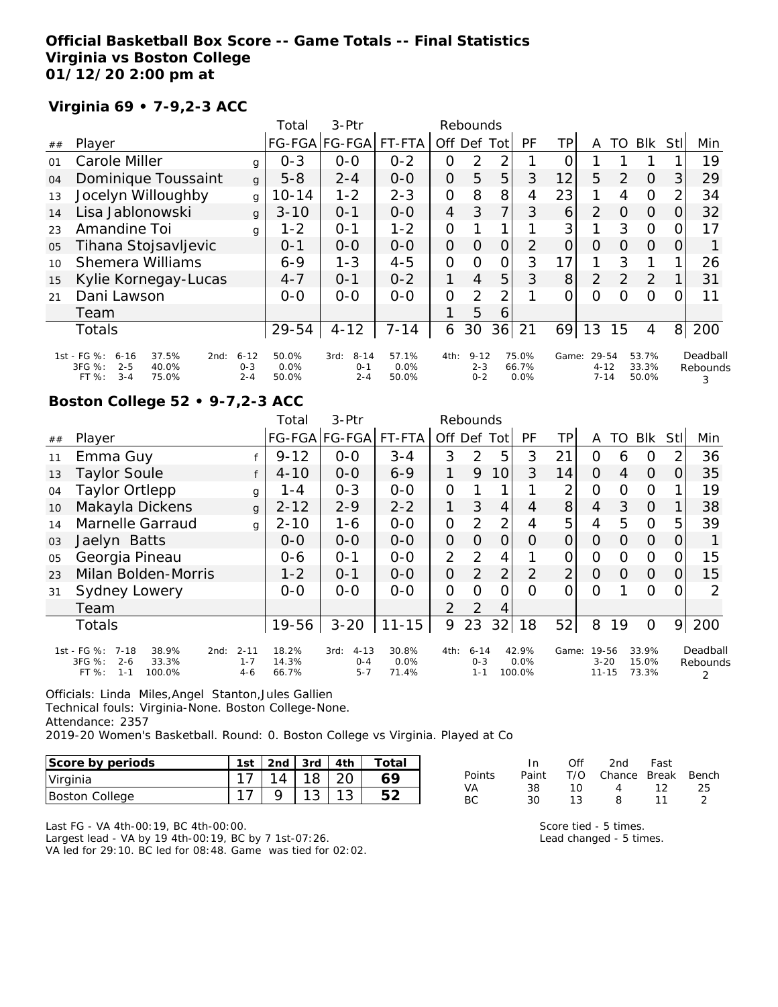## **Official Basketball Box Score -- Game Totals -- Final Statistics Virginia vs Boston College 01/12/20 2:00 pm at**

## **Virginia 69 • 7-9,2-3 ACC**

|    |                                                                                                     |                                | Total                  | $3-Ptr$                                |                        |                | Rebounds                       |             |                        |                 |                               |                |                         |                |                           |
|----|-----------------------------------------------------------------------------------------------------|--------------------------------|------------------------|----------------------------------------|------------------------|----------------|--------------------------------|-------------|------------------------|-----------------|-------------------------------|----------------|-------------------------|----------------|---------------------------|
| ## | Player                                                                                              |                                |                        | FG-FGA FG-FGA                          | FT-FTA                 | Off            | Def                            | Tot         | PF                     | TP              | Α                             | TO             | <b>BIK</b>              | Stll           | Min                       |
| 01 | Carole Miller                                                                                       | g                              | $O - 3$                | $0-0$                                  | $0 - 2$                | 0              | 2                              | 2           |                        |                 |                               |                |                         |                | 19                        |
| 04 | Dominique Toussaint                                                                                 | $\mathbf{q}$                   | $5 - 8$                | $2 - 4$                                | $0 - 0$                | 0              | 5                              | 5           | 3                      | 12              | 5                             | $\mathcal{P}$  | $\Omega$                | 31             | 29                        |
| 13 | Jocelyn Willoughby                                                                                  | g                              | $10 - 14$              | $1 - 2$                                | $2 - 3$                | $\overline{O}$ | 8                              | 8           | 4                      | 23              |                               | 4              | $\Omega$                | 2              | 34                        |
| 14 | Lisa Jablonowski                                                                                    | g                              | $3 - 10$               | $O - 1$                                | $0 - 0$                | $\overline{4}$ | 3                              | 7           | 3                      | 6               | 2                             | $\Omega$       | $\Omega$                | 0              | 32                        |
| 23 | Amandine Toi                                                                                        | g                              | $1 - 2$                | 0-1                                    | $1 - 2$                | 0              |                                |             |                        | 3               |                               | 3              | $\Omega$                | 0              | 17                        |
| 05 | Tihana Stojsavljevic                                                                                |                                | $0 - 1$                | $0 - 0$                                | $0 - 0$                | 0              | $\Omega$                       | $\mathbf 0$ | $\overline{2}$         | 0               | O                             | $\Omega$       | $\Omega$                | O              |                           |
| 10 | <b>Shemera Williams</b>                                                                             |                                | $6 - 9$                | $1 - 3$                                | $4 - 5$                | $\Omega$       | $\Omega$                       | $\Omega$    | 3                      | 17 <sub>1</sub> |                               | 3              |                         |                | 26                        |
| 15 | Kylie Kornegay-Lucas                                                                                |                                | $4 - 7$                | $0 - 1$                                | $0 - 2$                | 1              | 4                              | 5           | 3                      | 8 <sup>1</sup>  | $\overline{2}$                | $\overline{2}$ | 2                       |                | 31                        |
| 21 | Dani Lawson                                                                                         |                                | $0 - 0$                | $0 - 0$                                | $0 - 0$                | 0              | 2                              | っ           |                        | O               | 0                             | Ω              | $\circ$                 |                | 11                        |
|    | Team                                                                                                |                                |                        |                                        |                        |                | 5                              | 6           |                        |                 |                               |                |                         |                |                           |
|    | <b>Totals</b>                                                                                       |                                | 29-54                  | $4 - 12$                               | $7 - 14$               | 6              | 30                             | 36          | 21                     | 69              | 13                            | 15             | 4                       | 8 <sup>1</sup> | 200                       |
|    | 1st - FG %:<br>37.5%<br>$6 - 16$<br>2nd:<br>3FG %:<br>$2 - 5$<br>40.0%<br>$3 - 4$<br>FT %:<br>75.0% | $6 - 12$<br>$0 - 3$<br>$2 - 4$ | 50.0%<br>0.0%<br>50.0% | $8 - 14$<br>3rd:<br>$0 - 1$<br>$2 - 4$ | 57.1%<br>0.0%<br>50.0% | 4th:           | $9 - 12$<br>$2 - 3$<br>$0 - 2$ |             | 75.0%<br>66.7%<br>0.0% | Game:           | 29-54<br>$4 - 12$<br>$7 - 14$ |                | 53.7%<br>33.3%<br>50.0% |                | Deadball<br>Rebounds<br>3 |

# **Boston College 52 • 9-7,2-3 ACC**

|    |                                                                                                    |                                | Total                   | $3-$ Ptr                               |                        | Rebounds       |                                |                 |                         |                |                                |    |                         |     |                           |
|----|----------------------------------------------------------------------------------------------------|--------------------------------|-------------------------|----------------------------------------|------------------------|----------------|--------------------------------|-----------------|-------------------------|----------------|--------------------------------|----|-------------------------|-----|---------------------------|
| ## | Player                                                                                             |                                |                         | FG-FGA FG-FGA                          | FT-FTA                 | Off Def        |                                | Tot             | PF                      | ΤP             | A                              | TO | <b>Blk</b>              | Stl | Min                       |
| 11 | Emma Guy                                                                                           |                                | $9 - 12$                | $0 - 0$                                | $3 - 4$                | 3              | 2                              | 5               | 3                       | 21             | 0                              | 6  | O                       |     | 36                        |
| 13 | <b>Taylor Soule</b>                                                                                | f                              | $4 - 10$                | $0 - 0$                                | $6 - 9$                | 1              | 9                              | 10 <sup>1</sup> | 3                       | 14             | $\Omega$                       | 4  | $\Omega$                | 0   | 35                        |
| 04 | <b>Taylor Ortlepp</b>                                                                              | g                              | 1 - 4                   | $0 - 3$                                | $0-0$                  | $\mathcal{O}$  |                                |                 |                         | 2              | 0                              | Ο  | $\Omega$                |     | 19                        |
| 10 | Makayla Dickens                                                                                    | g                              | $2 - 12$                | $2 - 9$                                | $2 - 2$                | 1              | 3                              | $\overline{4}$  | 4                       | 8 <sup>1</sup> | $\overline{4}$                 | 3  | $\Omega$                |     | 38                        |
| 14 | Marnelle Garraud                                                                                   | g                              | $2 - 10$                | $1 - 6$                                | $0 - 0$                | $\mathcal{O}$  | 2                              | $\overline{2}$  | 4                       | 5              | 4                              | 5  | $\Omega$                | 5   | 39                        |
| 03 | Jaelyn Batts                                                                                       |                                | $O - O$                 | $0-0$                                  | $0-0$                  | $\overline{O}$ | $\Omega$                       | 0               | O                       | 0              | O                              | Ω  | $\Omega$                |     |                           |
| 05 | Georgia Pineau                                                                                     |                                | $0 - 6$                 | $O - 1$                                | $0 - 0$                | $\overline{2}$ | 2                              | 4               |                         | 0              | 0                              | O  | $\Omega$                | O   | 15                        |
| 23 | Milan Bolden-Morris                                                                                |                                | $1 - 2$                 | $0 - 1$                                | $0 - 0$                | $\overline{O}$ | $\overline{2}$                 | $\overline{2}$  | 2                       | $\overline{2}$ | O                              | 0  | $\Omega$                | Ο   | 15                        |
| 31 | Sydney Lowery                                                                                      |                                | $0-0$                   | $0 - 0$                                | $0 - 0$                | $\mathcal{O}$  | $\Omega$                       | 0               | Ω                       | Ω              | Ο                              |    | 0                       |     | 2                         |
|    | Team                                                                                               |                                |                         |                                        |                        | $\mathcal{P}$  | 2                              | 4               |                         |                |                                |    |                         |     |                           |
|    | Totals                                                                                             |                                | 19-56                   | $3 - 20$                               | $11 - 15$              | 9              | 23                             | 32              | 18                      | 52             | 8                              | 19 | $\Omega$                | 9   | 200                       |
|    | 1st - FG %:<br>$7 - 18$<br>38.9%<br>2nd:<br>3FG %:<br>$2 - 6$<br>33.3%<br>FT%<br>$1 - 1$<br>100.0% | $2 - 11$<br>$1 - 7$<br>$4 - 6$ | 18.2%<br>14.3%<br>66.7% | $4 - 13$<br>3rd:<br>$0 - 4$<br>$5 - 7$ | 30.8%<br>0.0%<br>71.4% | 4th:           | $6 - 14$<br>$0 - 3$<br>$1 - 1$ |                 | 42.9%<br>0.0%<br>100.0% | Game:          | 19-56<br>$3 - 20$<br>$11 - 15$ |    | 33.9%<br>15.0%<br>73.3% |     | Deadball<br>Rebounds<br>2 |

Officials: Linda Miles,Angel Stanton,Jules Gallien Technical fouls: Virginia-None. Boston College-None. Attendance: 2357

2019-20 Women's Basketball. Round: 0. Boston College vs Virginia. Played at Co

| Score by periods      | 1st | 2nd $\sqrt{3}$ 3rd |    | 4th | Total |
|-----------------------|-----|--------------------|----|-----|-------|
| Virginia              |     | 14                 | 18 |     |       |
| <b>Boston College</b> |     |                    |    |     |       |

|        | In.   | Off  | 2nd                    | Fast |     |
|--------|-------|------|------------------------|------|-----|
| Points | Paint |      | T/O Chance Break Bench |      |     |
| VA     | 38.   | 10 I | 4 12                   |      | -25 |
| ВC     | 30.   | 13.  | 8                      | 11   |     |

Last FG - VA 4th-00:19, BC 4th-00:00. Largest lead - VA by 19 4th-00:19, BC by 7 1st-07:26. VA led for 29:10. BC led for 08:48. Game was tied for 02:02. Score tied - 5 times. Lead changed - 5 times.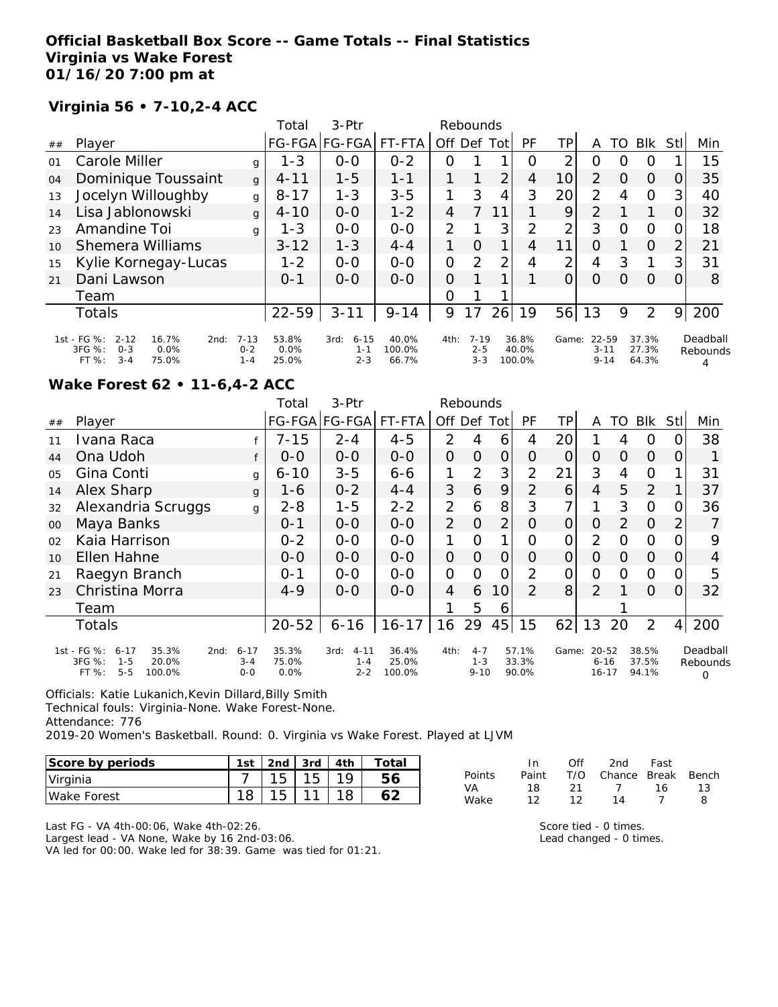### **Official Basketball Box Score -- Game Totals -- Final Statistics Virginia vs Wake Forest 01/16/20 7:00 pm at**

## **Virginia 56 • 7-10,2-4 ACC**

|            |                                                                                                    |                                | Total                  | $3-Ptr$                                |                          |                | Rebounds                       |      |                          |                |                               |          |                         |          |                      |
|------------|----------------------------------------------------------------------------------------------------|--------------------------------|------------------------|----------------------------------------|--------------------------|----------------|--------------------------------|------|--------------------------|----------------|-------------------------------|----------|-------------------------|----------|----------------------|
| ##         | Player                                                                                             |                                |                        | FG-FGA FG-FGA                          | FT-FTA                   | Off Def        |                                | Totl | PF                       | TP             | Α                             | TO       | <b>BIK</b>              | Stll     | Min                  |
| $\Omega$ 1 | Carole Miller                                                                                      | g                              | $1 - 3$                | $0 - 0$                                | $0 - 2$                  | Ω              |                                |      | $\Omega$                 | 2              | O                             | Ω        | O                       |          | 15                   |
| 04         | Dominique Toussaint                                                                                | $\mathbf{q}$                   | $4 - 11$               | $1 - 5$                                | $1 - 1$                  |                |                                | 2    | 4                        | 10             | 2                             | O        | $\Omega$                | O        | 35                   |
| 13         | Jocelyn Willoughby                                                                                 | g                              | $8 - 17$               | $1 - 3$                                | $3 - 5$                  |                | 3                              | 4    | 3                        | 20             | $\overline{2}$                | 4        | $\Omega$                | 3        | 40                   |
| 14         | Lisa Jablonowski                                                                                   | g                              | $4 - 10$               | $O-O$                                  | $1 - 2$                  | 4              |                                |      |                          | 9              | 2                             |          |                         | O        | 32                   |
| 23         | Amandine Toi                                                                                       | g                              | $1 - 3$                | $0 - 0$                                | $0 - 0$                  | $\overline{2}$ |                                | 3    | 2                        | $\overline{2}$ | 3                             | Ω        | O                       | Ω        | 18                   |
| 10         | Shemera Williams                                                                                   |                                | $3 - 12$               | $1 - 3$                                | $4 - 4$                  |                | $\Omega$                       | 1    | 4                        | 11             | $\Omega$                      |          | $\Omega$                | 2        | 21                   |
| 15         | Kylie Kornegay-Lucas                                                                               |                                | $1 - 2$                | $0 - 0$                                | $0 - 0$                  | $\overline{O}$ | 2                              | 2    | 4                        | 2              | 4                             | 3        | 1                       | 3        | 31                   |
| 21         | Dani Lawson                                                                                        |                                | $0 - 1$                | $O-O$                                  | $O-O$                    | $\Omega$       |                                |      |                          | 0              | $\Omega$                      | $\Omega$ | $\Omega$                | $\Omega$ | 8                    |
|            | Team                                                                                               |                                |                        |                                        |                          | 0              |                                |      |                          |                |                               |          |                         |          |                      |
|            | Totals                                                                                             |                                | $22 - 59$              | $3 - 11$                               | $9 - 14$                 | 9              | 17                             | 26   | 19                       | 56             | 13                            | 9        | 2                       | 9        | 200                  |
|            | 1st - FG %:<br>$2 - 12$<br>16.7%<br>2nd:<br>3FG %:<br>0.0%<br>$O - 3$<br>$3 - 4$<br>FT %:<br>75.0% | $7 - 13$<br>$0 - 2$<br>$1 - 4$ | 53.8%<br>0.0%<br>25.0% | $6 - 15$<br>3rd:<br>$1 - 1$<br>$2 - 3$ | 40.0%<br>100.0%<br>66.7% | 4th:           | $7 - 19$<br>$2 - 5$<br>$3 - 3$ |      | 36.8%<br>40.0%<br>100.0% | Game:          | 22-59<br>$3 - 11$<br>$9 - 14$ |          | 37.3%<br>27.3%<br>64.3% |          | Deadball<br>Rebounds |

#### **Wake Forest 62 • 11-6,4-2 ACC**

|                |                                                                                                      |                                | Total                  | 3-Ptr                                  |                          |                | Rebounds                       |                |                         |       |                                    |    |                         |                |                           |
|----------------|------------------------------------------------------------------------------------------------------|--------------------------------|------------------------|----------------------------------------|--------------------------|----------------|--------------------------------|----------------|-------------------------|-------|------------------------------------|----|-------------------------|----------------|---------------------------|
| ##             | Player                                                                                               |                                |                        | FG-FGA FG-FGA                          | FT-FTA                   | Off            | Def                            | Tot            | <b>PF</b>               | TP.   | A                                  | TO | <b>BIK</b>              | Stll           | Min                       |
| 11             | Ivana Raca                                                                                           |                                | $7 - 15$               | $2 - 4$                                | $4 - 5$                  | $\overline{2}$ | 4                              | 6              | 4                       | 20    |                                    | 4  | O                       |                | 38                        |
| 44             | Ona Udoh                                                                                             |                                | $0 - 0$                | $0-0$                                  | $0-0$                    | $\overline{O}$ | 0                              | 0              | Ο                       | 0     | 0                                  | O  | $\overline{O}$          | O              |                           |
| O <sub>5</sub> | Gina Conti                                                                                           | g                              | $6 - 10$               | $3 - 5$                                | $6 - 6$                  |                | 2                              | 3              | 2                       | 21    | 3                                  | 4  | $\overline{O}$          |                | 31                        |
| 14             | Alex Sharp                                                                                           | g                              | 1-6                    | $0 - 2$                                | $4 - 4$                  | 3              | 6                              | 9              | $\mathcal{P}$           | 6     | 4                                  | 5  | 2                       |                | 37                        |
| 32             | Alexandria Scruggs                                                                                   | g                              | $2 - 8$                | $1 - 5$                                | $2 - 2$                  | $\overline{2}$ | 6                              | 8              | 3                       |       | 1                                  | 3  | $\Omega$                | O              | 36                        |
| 00             | Maya Banks                                                                                           |                                | $0 - 1$                | $0-0$                                  | $0-0$                    | 2              | $\Omega$                       | $\overline{2}$ | 0                       | 0     | 0                                  | 2  | $\overline{O}$          | 2              |                           |
| 02             | Kaia Harrison                                                                                        |                                | $0 - 2$                | $0-0$                                  | $0 - 0$                  |                | Ω                              | 1              | Ω                       | 0     | $\overline{2}$                     | O  | 0                       |                | 9                         |
| 10             | Ellen Hahne                                                                                          |                                | $0 - 0$                | $0 - 0$                                | $0 - 0$                  | $\Omega$       | 0                              | 0              | Ο                       | O     | 0                                  | 0  | $\Omega$                | $\Omega$       | 4                         |
| 21             | Raegyn Branch                                                                                        |                                | $0 - 1$                | $0-0$                                  | $0-0$                    | 0              | $\Omega$                       | Ω              | 2                       | 0     | Ω                                  | Ω  | $\overline{O}$          |                | 5                         |
| 23             | Christina Morra                                                                                      |                                | $4 - 9$                | $0 - 0$                                | $0 - 0$                  | $\overline{4}$ | 6                              | 10             | $\mathcal{P}$           | 8     | $\overline{2}$                     |    | $\Omega$                | 0              | 32                        |
|                | Team                                                                                                 |                                |                        |                                        |                          |                | 5                              | 6              |                         |       |                                    |    |                         |                |                           |
|                | <b>Totals</b>                                                                                        |                                | $20 - 52$              | $6 - 16$                               | $16 - 17$                | 16             | 29                             | 45             | 15                      | 62    | 13                                 | 20 | $\overline{2}$          | $\overline{4}$ | 200                       |
|                | 1st - FG %:<br>35.3%<br>$6 - 17$<br>2nd:<br>3FG %:<br>$1 - 5$<br>20.0%<br>FT %:<br>$5 - 5$<br>100.0% | $6 - 17$<br>$3 - 4$<br>$0 - 0$ | 35.3%<br>75.0%<br>0.0% | $4 - 11$<br>3rd:<br>$1 - 4$<br>$2 - 2$ | 36.4%<br>25.0%<br>100.0% | 4th:           | $4 - 7$<br>$1 - 3$<br>$9 - 10$ |                | 57.1%<br>33.3%<br>90.0% | Game: | $20 - 52$<br>$6 - 16$<br>$16 - 17$ |    | 38.5%<br>37.5%<br>94.1% |                | Deadball<br>Rebounds<br>O |

Officials: Katie Lukanich,Kevin Dillard,Billy Smith Technical fouls: Virginia-None. Wake Forest-None.

Attendance: 776

2019-20 Women's Basketball. Round: 0. Virginia vs Wake Forest. Played at LJVM

| Score by periods | 1st | 2nd | 3rd             | 4th | Total |
|------------------|-----|-----|-----------------|-----|-------|
| Virginia         |     | 15  | 15 <sub>1</sub> |     |       |
| Wake Forest      |     | 15  |                 |     |       |

|        | In.   | ∩ff | 2nd -                  | - Fast |    |
|--------|-------|-----|------------------------|--------|----|
| Points | Paint |     | T/O Chance Break Bench |        |    |
| VA.    | 18.   | -21 | $\overline{1}$         | - 16 - | 13 |
| Wake   | 12.   | 12  | 14                     |        | я  |

Last FG - VA 4th-00:06, Wake 4th-02:26.

Largest lead - VA None, Wake by 16 2nd-03:06. VA led for 00:00. Wake led for 38:39. Game was tied for 01:21. Score tied - 0 times. Lead changed - 0 times.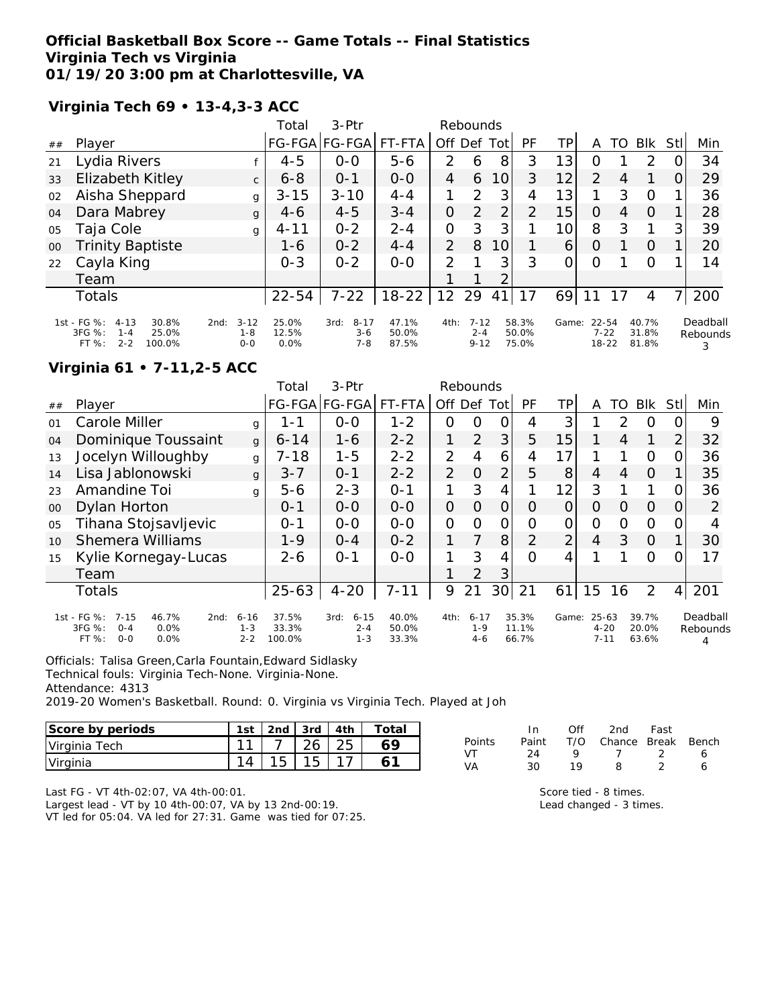#### **Official Basketball Box Score -- Game Totals -- Final Statistics Virginia Tech vs Virginia 01/19/20 3:00 pm at Charlottesville, VA**

**Virginia Tech 69 • 13-4,3-3 ACC**

|    |                                                                                                  |                                        | Total                  | $3-$ Ptr                             |                         | Rebounds       |                                 |    |                         |                 |                            |    |                         |      |                      |
|----|--------------------------------------------------------------------------------------------------|----------------------------------------|------------------------|--------------------------------------|-------------------------|----------------|---------------------------------|----|-------------------------|-----------------|----------------------------|----|-------------------------|------|----------------------|
| ## | Player                                                                                           |                                        |                        | FG-FGA FG-FGA                        | FT-FTA                  | Off Def Tot    |                                 |    | PF                      | TP              | Α                          | TO | <b>BIK</b>              | Stll | Min                  |
| 21 | Lydia Rivers                                                                                     |                                        | $4 - 5$                | $0 - 0$                              | $5 - 6$                 | 2              | 6                               | 8  | 3                       | 13              | Ο                          |    | $\mathcal{P}$           |      | 34                   |
| 33 | Elizabeth Kitley                                                                                 | $\mathsf{C}$                           | $6 - 8$                | $0 - 1$                              | $0 - 0$                 | 4              | 6                               | 10 | 3                       | 12              | $\overline{2}$             | 4  |                         | O    | 29                   |
| 02 | Aisha Sheppard                                                                                   | g                                      | $3 - 15$               | $3 - 10$                             | $4 - 4$                 | 1              | $\mathcal{P}$                   | 3  | 4                       | 13              | 1                          | 3  | 0                       |      | 36                   |
| 04 | Dara Mabrey                                                                                      | $\mathbf{q}$                           | $4-6$                  | $4 - 5$                              | $3 - 4$                 | O              | $\mathcal{P}$                   | 2  | 2                       | 15              | $\Omega$                   | 4  | $\Omega$                |      | 28                   |
| 05 | Taja Cole                                                                                        | g                                      | $4 - 11$               | $0 - 2$                              | $2 - 4$                 | O              | 3                               | 3  |                         | 10 <sup>1</sup> | 8                          | 3  | 1                       | 3    | 39                   |
| 00 | <b>Trinity Baptiste</b>                                                                          |                                        | 1-6                    | $0 - 2$                              | $4 - 4$                 | $\overline{2}$ | 8                               | 10 |                         | 6               | O                          |    | $\Omega$                | 1.   | 20                   |
| 22 | Cayla King                                                                                       |                                        | $0 - 3$                | $0 - 2$                              | $0-0$                   | 2              |                                 | 3  | 3                       | $\Omega$        | O                          |    | $\Omega$                |      | 14                   |
|    | Team                                                                                             |                                        |                        |                                      |                         |                |                                 | 2  |                         |                 |                            |    |                         |      |                      |
|    | Totals                                                                                           |                                        | $22 - 54$              | $7 - 22$                             | $18-22$                 | 12             | 29                              | 41 |                         | 69              |                            |    | 4                       | 7    | 200                  |
|    | 1st - FG %:<br>30.8%<br>$4 - 13$<br>$3FG \%$ :<br>25.0%<br>$1 - 4$<br>FT %:<br>$2 - 2$<br>100.0% | $3 - 12$<br>2nd:<br>$1 - 8$<br>$0 - 0$ | 25.0%<br>12.5%<br>0.0% | $8 - 17$<br>3rd:<br>$3-6$<br>$7 - 8$ | 47.1%<br>50.0%<br>87.5% | 4th:           | $7 - 12$<br>$2 - 4$<br>$9 - 12$ |    | 58.3%<br>50.0%<br>75.0% | Game:           | 22-54<br>$7 - 22$<br>18-22 |    | 40.7%<br>31.8%<br>81.8% |      | Deadball<br>Rebounds |

# **Virginia 61 • 7-11,2-5 ACC**

|                |                                                                                                   |                                | Total                    | 3-Ptr                                  |                         | Rebounds       |                              |                |                         |                |                                   |    |                         |                |                      |
|----------------|---------------------------------------------------------------------------------------------------|--------------------------------|--------------------------|----------------------------------------|-------------------------|----------------|------------------------------|----------------|-------------------------|----------------|-----------------------------------|----|-------------------------|----------------|----------------------|
| ##             | Player                                                                                            |                                |                          | FG-FGA FG-FGA                          | FT-FTA                  | Off.           | Def                          | Tot            | PF                      | ТP             | A                                 | TO | <b>BIK</b>              | Stl            | Min                  |
| $\Omega$ 1     | Carole Miller                                                                                     | q                              | 1 - 1                    | $0 - 0$                                | $1 - 2$                 | Ο              | 0                            |                | 4                       | 3              |                                   | 2  | O                       | O              | 9                    |
| 04             | Dominique Toussaint                                                                               | $\mathbf{q}$                   | $6 - 14$                 | $1 - 6$                                | $2 - 2$                 | 1              | 2                            | 3              | 5                       | 15             |                                   | 4  | 1                       | 2              | 32                   |
| 13             | Jocelyn Willoughby                                                                                | g                              | $7 - 18$                 | $1 - 5$                                | $2 - 2$                 | $\overline{2}$ | 4                            | 6              | 4                       | 17             |                                   |    | $\Omega$                | 0              | 36                   |
| 14             | Lisa Jablonowski                                                                                  | g                              | $3 - 7$                  | $O - 1$                                | $2 - 2$                 | 2              | O                            | $\overline{2}$ | 5                       | 8              | 4                                 | 4  | $\Omega$                |                | 35                   |
| 23             | Amandine Toi                                                                                      | g                              | $5 - 6$                  | $2 - 3$                                | $O - 1$                 | 1              | 3                            | 4              |                         | 12             | 3                                 |    | 1                       | Ω              | 36                   |
| $00\,$         | Dylan Horton                                                                                      |                                | $0 - 1$                  | $0 - 0$                                | $0 - 0$                 | 0              | Ω                            | Ο              | Ω                       | Ο              | O                                 | O  | $\Omega$                | $\Omega$       | 2                    |
| O <sub>5</sub> | Tihana Stojsavljevic                                                                              |                                | $0 - 1$                  | $0 - 0$                                | $0 - 0$                 | O              | O                            | 0              | O                       | O              | 0                                 | 0  | $\Omega$                | 0              | 4                    |
| 10             | <b>Shemera Williams</b>                                                                           |                                | $1 - 9$                  | $O - 4$                                | $0 - 2$                 | 1              | 7                            | 8              | $\overline{2}$          | $\overline{2}$ | $\overline{4}$                    | 3  | $\Omega$                |                | 30                   |
| 15             | Kylie Kornegay-Lucas                                                                              |                                | $2 - 6$                  | $O - 1$                                | $O-O$                   |                | 3                            | 4              | ∩                       | 4              |                                   |    | 0                       | Ω              | 17                   |
|                | Team                                                                                              |                                |                          |                                        |                         |                | 2                            | 3              |                         |                |                                   |    |                         |                |                      |
|                | Totals                                                                                            |                                | $25 - 63$                | $4 - 20$                               | $7 - 11$                | 9              | 21                           | 30             | 21                      | 61             | 15                                | 16 | $\overline{2}$          | $\overline{4}$ | 201                  |
|                | 1st - FG %:<br>$7 - 15$<br>46.7%<br>2nd:<br>3FG %:<br>$O - 4$<br>0.0%<br>$0 - 0$<br>0.0%<br>FT %: | $6 - 16$<br>$1 - 3$<br>$2 - 2$ | 37.5%<br>33.3%<br>100.0% | $6 - 15$<br>3rd:<br>$2 - 4$<br>$1 - 3$ | 40.0%<br>50.0%<br>33.3% | 4th:           | $6 - 17$<br>$1 - 9$<br>$4-6$ |                | 35.3%<br>11.1%<br>66.7% | Game:          | $25 - 63$<br>$4 - 20$<br>$7 - 11$ |    | 39.7%<br>20.0%<br>63.6% |                | Deadball<br>Rebounds |

Officials: Talisa Green,Carla Fountain,Edward Sidlasky

Technical fouls: Virginia Tech-None. Virginia-None.

Attendance: 4313

2019-20 Women's Basketball. Round: 0. Virginia vs Virginia Tech. Played at Joh

| Score by periods | 1st | 2 <sub>nd</sub> | 3rd | 4th | Totai |
|------------------|-----|-----------------|-----|-----|-------|
| Virginia Tech    | -11 |                 | 26  |     |       |
| Virginia         |     | ィに              | 1 F |     |       |

|        | In.   | ∩ff | 2nd                    | Fast |   |
|--------|-------|-----|------------------------|------|---|
| Points | Paint |     | T/O Chance Break Bench |      |   |
| VT     | 24    | Q   | $\sqrt{1}$             | - 2  | 6 |
| VA     | 30    | 19  | 8                      | -2   | 6 |
|        |       |     |                        |      |   |

Last FG - VT 4th-02:07, VA 4th-00:01.

Largest lead - VT by 10 4th-00:07, VA by 13 2nd-00:19.

VT led for 05:04. VA led for 27:31. Game was tied for 07:25.

| Score tied - 8 times.   |
|-------------------------|
| Lead changed - 3 times. |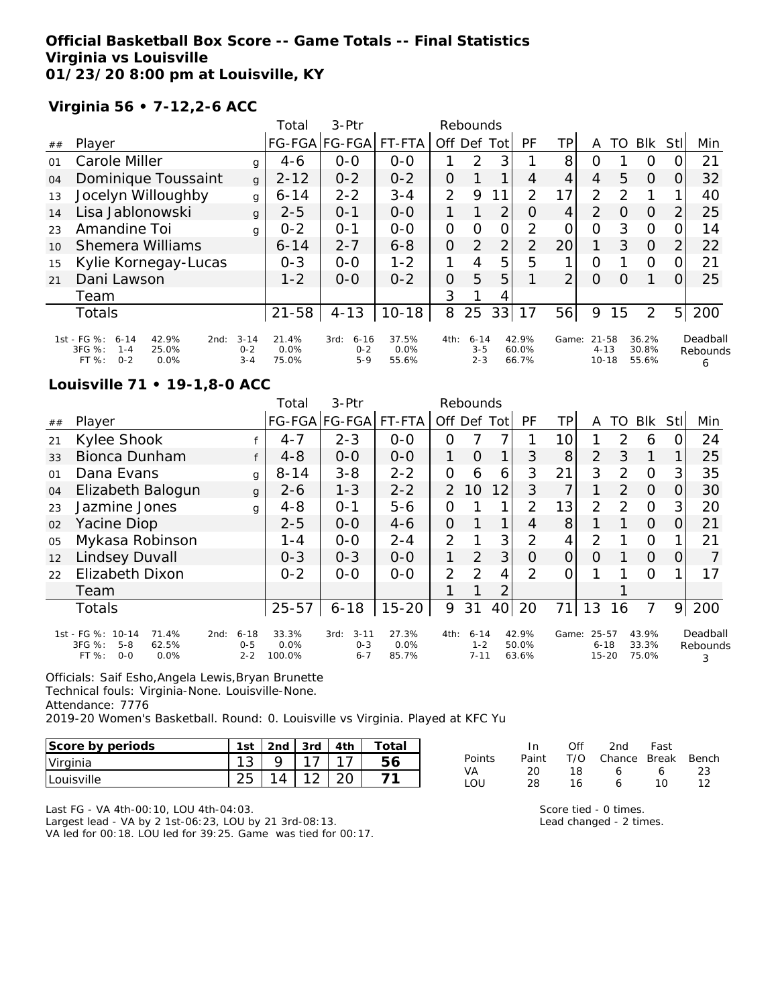## **Official Basketball Box Score -- Game Totals -- Final Statistics Virginia vs Louisville 01/23/20 8:00 pm at Louisville, KY**

# **Virginia 56 • 7-12,2-6 ACC**

|    |                                                                                                  |                                | Total                     | 3-Ptr                                |                        |                | Rebounds                       |                |                         |                |                                    |    |                         |                |                           |
|----|--------------------------------------------------------------------------------------------------|--------------------------------|---------------------------|--------------------------------------|------------------------|----------------|--------------------------------|----------------|-------------------------|----------------|------------------------------------|----|-------------------------|----------------|---------------------------|
| ## | Player                                                                                           |                                | <b>FG-FGA</b>             | FG-FGA                               | FT-FTA                 | Off Def        |                                | Tot            | <b>PF</b>               | ΤP             | Α                                  | TO | <b>BIK</b>              | Stll           | Min                       |
| 01 | Carole Miller                                                                                    | g                              | $4 - 6$                   | $0 - 0$                              | $0 - 0$                | 1              | $\mathcal{P}$                  | 3              |                         | 8              | O                                  |    | O                       | 0              | 21                        |
| 04 | Dominique Toussaint                                                                              | $\mathbf{q}$                   | $2 - 12$                  | $0 - 2$                              | $0 - 2$                | 0              |                                |                | 4                       | 4              | 4                                  | 5  | $\Omega$                | O              | 32                        |
| 13 | Jocelyn Willoughby                                                                               | g                              | $6 - 14$                  | $2 - 2$                              | $3 - 4$                | 2              | 9                              | 1              | $\mathcal{P}$           | 17             | $\mathcal{P}$                      | っ  |                         |                | 40                        |
| 14 | Lisa Jablonowski                                                                                 | g                              | $2 - 5$                   | $0 - 1$                              | $0 - 0$                |                |                                | 2              | O                       | 4              | $\mathcal{P}$                      | O  | $\Omega$                | $\overline{2}$ | 25                        |
| 23 | Amandine Toi                                                                                     | g                              | $0 - 2$                   | $O - 1$                              | $0 - 0$                | 0              | $\Omega$                       | $\overline{O}$ | 2                       | 0              | O                                  | 3  | $\circ$                 | 0              | 14                        |
| 10 | <b>Shemera Williams</b>                                                                          |                                | $6 - 14$                  | $2 - 7$                              | $6 - 8$                | $\overline{O}$ | 2                              | 2              | $\overline{2}$          | 20             |                                    | 3  | $\Omega$                | 2              | 22                        |
| 15 | Kylie Kornegay-Lucas                                                                             |                                | $0 - 3$                   | $0 - 0$                              | $1 - 2$                | 1              | 4                              | 5              | 5                       |                | O                                  |    | $\circ$                 | 0              | 21                        |
| 21 | Dani Lawson                                                                                      |                                | $1 - 2$                   | $0 - 0$                              | $0 - 2$                | 0              | 5                              | 5              |                         | $\overline{2}$ | O                                  | O  |                         | $\Omega$       | 25                        |
|    | Team                                                                                             |                                |                           |                                      |                        | 3              |                                | 4              |                         |                |                                    |    |                         |                |                           |
|    | <b>Totals</b>                                                                                    |                                | $21 - 58$                 | $4 - 13$                             | $10 - 18$              | 8              | 25                             | 33             | 17                      | 56             | 9                                  | 15 | 2                       | 5 <sup>1</sup> | 200                       |
|    | 1st - FG %:<br>42.9%<br>$6 - 14$<br>2nd:<br>3FG %:<br>25.0%<br>$1 - 4$<br>$0 - 2$<br>FT%<br>0.0% | $3 - 14$<br>$0 - 2$<br>$3 - 4$ | 21.4%<br>$0.0\%$<br>75.0% | $6 - 16$<br>3rd:<br>$0 - 2$<br>$5-9$ | 37.5%<br>0.0%<br>55.6% | 4th:           | $6 - 14$<br>$3 - 5$<br>$2 - 3$ |                | 42.9%<br>60.0%<br>66.7% | Game:          | $21 - 58$<br>$4 - 13$<br>$10 - 18$ |    | 36.2%<br>30.8%<br>55.6% |                | Deadball<br>Rebounds<br>6 |

#### **Louisville 71 • 19-1,8-0 ACC**

|    |                                                                                      |                                        | Total                   | $3-$ Ptr                               |                        |                | Rebounds                        |                 |                         |                |                                    |               |                         |                  |                           |
|----|--------------------------------------------------------------------------------------|----------------------------------------|-------------------------|----------------------------------------|------------------------|----------------|---------------------------------|-----------------|-------------------------|----------------|------------------------------------|---------------|-------------------------|------------------|---------------------------|
| ## | Player                                                                               |                                        |                         | FG-FGA FG-FGA                          | FT-FTA                 | Off            | Def                             | Totl            | <b>PF</b>               | TР             | A                                  | TO            | Blk                     | Stll             | Min                       |
| 21 | Kylee Shook                                                                          |                                        | $4 - 7$                 | $2 - 3$                                | $0-0$                  | 0              |                                 |                 |                         | 10             |                                    | 2             | 6                       |                  | 24                        |
| 33 | <b>Bionca Dunham</b>                                                                 | f                                      | $4 - 8$                 | $0 - 0$                                | $0-0$                  | 1              | $\Omega$                        | 1               | 3                       | 8              | 2                                  | 3             | 1                       |                  | 25                        |
| 01 | Dana Evans                                                                           | g                                      | $8 - 14$                | $3 - 8$                                | $2 - 2$                | O              | 6                               | 6               | 3                       | 21             | 3                                  | 2             | $\Omega$                | 3                | 35                        |
| 04 | Elizabeth Balogun                                                                    | g                                      | $2 - 6$                 | $1 - 3$                                | $2 - 2$                | $\mathcal{P}$  | 10                              | 12              | 3                       | 7              |                                    | 2             | $\Omega$                | O                | 30                        |
| 23 | Jazmine Jones                                                                        | g                                      | $4 - 8$                 | $O - 1$                                | $5 - 6$                | 0              |                                 | 1               | 2                       | 13             | 2                                  | $\mathcal{P}$ | $\Omega$                | 3                | 20                        |
| 02 | Yacine Diop                                                                          |                                        | $2 - 5$                 | $0-0$                                  | $4 - 6$                | 0              |                                 | 1               | 4                       | 8              |                                    |               | $\Omega$                | $\left( \right)$ | 21                        |
| 05 | Mykasa Robinson                                                                      |                                        | 1 - 4                   | $0 - 0$                                | $2 - 4$                | $\overline{2}$ |                                 | 3               | 2                       | 4              | $\overline{2}$                     |               | $\circ$                 |                  | 21                        |
| 12 | Lindsey Duvall                                                                       |                                        | $0 - 3$                 | $0 - 3$                                | $0-0$                  | $\mathbf{1}$   | 2                               | 3               | $\Omega$                | $\overline{O}$ | $\Omega$                           |               | $\Omega$                | Ω                |                           |
| 22 | Elizabeth Dixon                                                                      |                                        | $0 - 2$                 | $0 - 0$                                | $0-0$                  | $\overline{2}$ | 2                               | 4               | $\mathcal{P}$           | 0              |                                    |               | $\Omega$                |                  | 17                        |
|    | Team                                                                                 |                                        |                         |                                        |                        |                |                                 | 2               |                         |                |                                    |               |                         |                  |                           |
|    | <b>Totals</b>                                                                        |                                        | $25 - 57$               | $6 - 18$                               | $15 - 20$              | 9              | 31                              | 40 <sub>l</sub> | 20                      | 71             | 13                                 | 16            | 7                       | 9                | 200                       |
|    | 1st - FG %: 10-14<br>71.4%<br>3FG %:<br>62.5%<br>$5 - 8$<br>FT %:<br>$0 - 0$<br>0.0% | $6 - 18$<br>2nd:<br>$0 - 5$<br>$2 - 2$ | 33.3%<br>0.0%<br>100.0% | $3 - 11$<br>3rd:<br>$0 - 3$<br>$6 - 7$ | 27.3%<br>0.0%<br>85.7% | 4th:           | $6 - 14$<br>$1 - 2$<br>$7 - 11$ |                 | 42.9%<br>50.0%<br>63.6% | Game:          | $25 - 57$<br>$6 - 18$<br>$15 - 20$ |               | 43.9%<br>33.3%<br>75.0% |                  | Deadball<br>Rebounds<br>3 |

Officials: Saif Esho,Angela Lewis,Bryan Brunette

Technical fouls: Virginia-None. Louisville-None.

Attendance: 7776

2019-20 Women's Basketball. Round: 0. Louisville vs Virginia. Played at KFC Yu

| Score by periods | 1st | 2nd | 3rd | 4th | Total |
|------------------|-----|-----|-----|-----|-------|
| Virginia         |     |     |     |     |       |
| Louisville       |     |     |     |     |       |

|        | In.   | Off | 2nd                    | Fast |    |
|--------|-------|-----|------------------------|------|----|
| Points | Paint |     | T/O Chance Break Bench |      |    |
| VA     | 20    | 18. | 6                      | 6.   | 23 |
| LOU    | 28    | 16. | 6                      | 1 O  | 12 |

Last FG - VA 4th-00:10, LOU 4th-04:03.

Largest lead - VA by 2 1st-06:23, LOU by 21 3rd-08:13. VA led for 00:18. LOU led for 39:25. Game was tied for 00:17. Score tied - 0 times.

Lead changed - 2 times.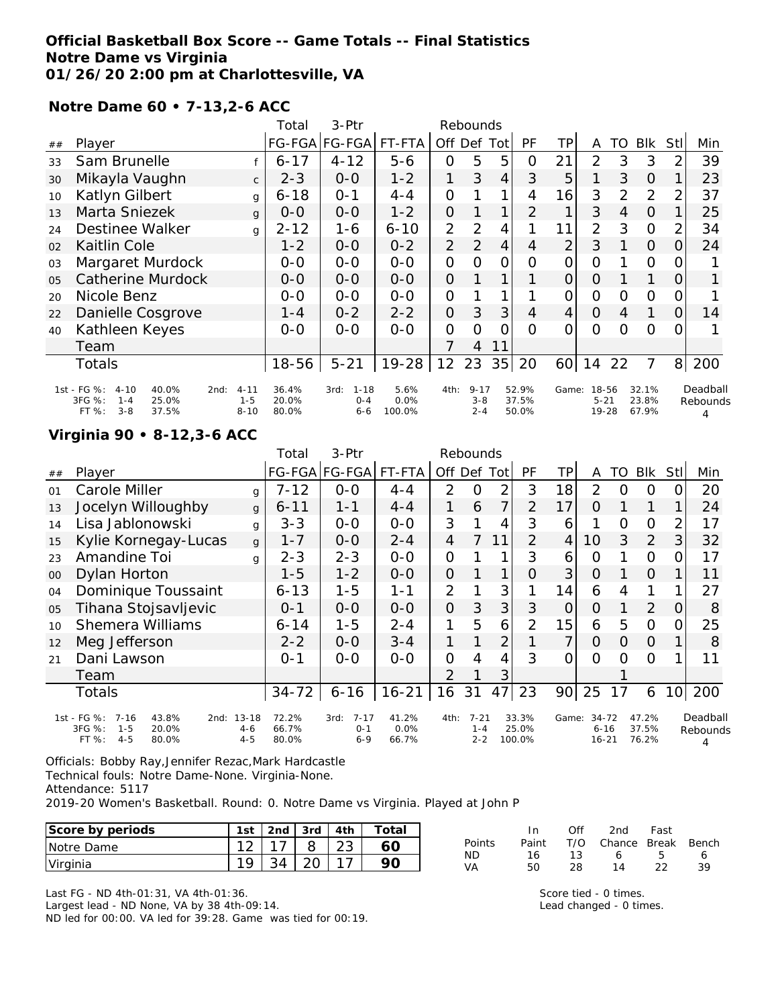#### **Official Basketball Box Score -- Game Totals -- Final Statistics Notre Dame vs Virginia 01/26/20 2:00 pm at Charlottesville, VA**

**Notre Dame 60 • 7-13,2-6 ACC**

|                |                                                                        |                     | Total          | 3-Ptr                       |              |                | Rebounds            |                |                |                |                   |                |                |                |                      |
|----------------|------------------------------------------------------------------------|---------------------|----------------|-----------------------------|--------------|----------------|---------------------|----------------|----------------|----------------|-------------------|----------------|----------------|----------------|----------------------|
| ##             | Player                                                                 |                     |                | FG-FGA FG-FGA               | FT-FTA       | Off            |                     | Def Tot        | <b>PF</b>      | ΤP             | A                 | TO             | <b>BIK</b>     | Stl            | Min                  |
| 33             | Sam Brunelle                                                           |                     | $6 - 17$       | $4 - 12$                    | $5 - 6$      | 0              | 5                   | 5              | 0              | 21             | $\overline{2}$    | 3              | 3              | 2              | 39                   |
| 30             | Mikayla Vaughn                                                         | $\mathsf{C}$        | $2 - 3$        | $O-O$                       | $1 - 2$      | 1              | 3                   | $\overline{4}$ | 3              | 5              |                   | 3              | $\Omega$       |                | 23                   |
| 10             | Katlyn Gilbert                                                         | g                   | $6 - 18$       | $O - 1$                     | $4 - 4$      | 0              |                     | 1              | 4              | 16             | 3                 | 2              | $\overline{2}$ | 2              | 37                   |
| 13             | Marta Sniezek                                                          | $\mathbf{q}$        | $0 - 0$        | $0 - 0$                     | $1 - 2$      | $\overline{O}$ |                     | $\mathbf 1$    | $\overline{2}$ | 1              | 3                 | $\overline{4}$ | $\Omega$       |                | 25                   |
| 24             | Destinee Walker                                                        | q                   | $2 - 12$       | $1 - 6$                     | $6 - 10$     | $\overline{2}$ | 2                   | $\overline{4}$ |                | 11             | $\overline{2}$    | 3              | $\mathbf{O}$   |                | 34                   |
| 02             | Kaitlin Cole                                                           |                     | $1 - 2$        | $0 - 0$                     | $0 - 2$      | 2              | 2                   | $\overline{4}$ | $\overline{4}$ | $\overline{2}$ | 3                 |                | $\Omega$       | O              | 24                   |
| 03             | Margaret Murdock                                                       |                     | $0 - 0$        | $0 - 0$                     | $0 - 0$      | O              | Ω                   | Ο              | 0              | 0              | 0                 |                | $\Omega$       |                |                      |
| 0 <sub>5</sub> | <b>Catherine Murdock</b>                                               |                     | $0 - 0$        | $0 - 0$                     | $0-0$        | $\Omega$       |                     | 1.             |                | 0              | $\Omega$          |                |                | $\Omega$       |                      |
| 20             | Nicole Benz                                                            |                     | $0 - 0$        | $0 - 0$                     | $O-O$        | $\overline{O}$ |                     | 1.             |                | 0              | $\Omega$          | $\Omega$       | $\Omega$       | O              |                      |
| 22             | Danielle Cosgrove                                                      |                     | $1 - 4$        | $0 - 2$                     | $2 - 2$      | $\overline{O}$ | 3                   | 3              | 4              | $\overline{4}$ | $\Omega$          | 4              | 1              | $\Omega$       | 14                   |
| 40             | Kathleen Keyes                                                         |                     | $0-0$          | $0 - 0$                     | $0-0$        | 0              | $\Omega$            | Ω              | 0              | 0              | 0                 | Ω              | $\Omega$       |                |                      |
|                | Team                                                                   |                     |                |                             |              | 7              | $\overline{4}$      | 11             |                |                |                   |                |                |                |                      |
|                | Totals                                                                 |                     | $18 - 56$      | $5 - 21$                    | $19 - 28$    | 12             | 23                  | 35             | 20             | 60             | 14                | 22             | $\overline{7}$ | 8 <sup>1</sup> | 200                  |
|                | 1st - FG %:<br>40.0%<br>$4 - 10$<br>2nd:<br>3FG %:<br>25.0%<br>$1 - 4$ | $4 - 11$<br>$1 - 5$ | 36.4%<br>20.0% | $1 - 18$<br>3rd:<br>$O - 4$ | 5.6%<br>0.0% | 4th:           | $9 - 17$<br>$3 - 8$ |                | 52.9%<br>37.5% | Game:          | 18-56<br>$5 - 21$ |                | 32.1%<br>23.8% |                | Deadball<br>Rebounds |
|                | FT %:<br>37.5%<br>$3 - 8$                                              | $8 - 10$            | 80.0%          | $6 - 6$                     | 100.0%       |                | $2 - 4$             |                | 50.0%          |                | 19-28             |                | 67.9%          |                | 4                    |

#### **Virginia 90 • 8-12,3-6 ACC**

|    |                                                                                                       |                                 | Total                   | 3-Ptr                                  |                        |                | Rebounds                       |                |                          |                 |                                    |    |                         |                 |                      |
|----|-------------------------------------------------------------------------------------------------------|---------------------------------|-------------------------|----------------------------------------|------------------------|----------------|--------------------------------|----------------|--------------------------|-----------------|------------------------------------|----|-------------------------|-----------------|----------------------|
| ## | Player                                                                                                |                                 |                         | FG-FGA FG-FGA                          | FT-FTA                 | Off Def Tot    |                                |                | <b>PF</b>                | ΤP              | A                                  | TO | <b>BIK</b>              | StII            | Min                  |
| 01 | Carole Miller                                                                                         | g                               | 7-12                    | $0-0$                                  | $4 - 4$                | 2              | O                              | 2              | 3                        | 18              | 2                                  | Ω  | Ο                       | O.              | 20                   |
| 13 | Jocelyn Willoughby                                                                                    | g                               | $6 - 11$                | $1 - 1$                                | $4 - 4$                | 1              | 6                              | 7              | $\overline{2}$           | 17              | $\Omega$                           |    |                         | 1               | 24                   |
| 14 | Lisa Jablonowski                                                                                      | g                               | $3 - 3$                 | $0 - 0$                                | $O-O$                  | 3              |                                | 4              | 3                        | 6               |                                    | 0  | $\Omega$                | $\overline{2}$  | 17                   |
| 15 | Kylie Kornegay-Lucas                                                                                  | g                               | 1-7                     | $0 - 0$                                | $2 - 4$                | 4              | $\overline{7}$                 | 11             | $\overline{2}$           | 4               | 10                                 | 3  | 2                       | 3               | 32                   |
| 23 | Amandine Toi                                                                                          | a                               | $2 - 3$                 | $2 - 3$                                | $0 - 0$                | $\mathcal{O}$  |                                |                | 3                        | 6               | O                                  |    | $\Omega$                | 0               | 17                   |
| 00 | Dylan Horton                                                                                          |                                 | 1-5                     | $1 - 2$                                | $0-0$                  | $\overline{O}$ |                                | 1              | 0                        | 3               | O                                  |    | $\Omega$                |                 | 11                   |
| 04 | Dominique Toussaint                                                                                   |                                 | $6 - 13$                | $1 - 5$                                | $1 - 1$                | $\overline{2}$ |                                | 3              |                          | 14              | 6                                  | 4  |                         |                 | 27                   |
| 05 | Tihana Stojsavljevic                                                                                  |                                 | $0 - 1$                 | $0-0$                                  | $0 - 0$                | 0              | 3                              | 3              | 3                        | $\overline{O}$  | 0                                  |    | $\overline{2}$          | 0               | 8                    |
| 10 | <b>Shemera Williams</b>                                                                               |                                 | $6 - 14$                | $1 - 5$                                | $2 - 4$                | 1              | 5                              | 6              | $\overline{2}$           | 15              | 6                                  | 5  | $\Omega$                | 0               | 25                   |
| 12 | Meg Jefferson                                                                                         |                                 | $2 - 2$                 | $0 - 0$                                | $3 - 4$                | 1              |                                | 2              |                          | 7               | $\Omega$                           | 0  | $\Omega$                |                 | 8                    |
| 21 | Dani Lawson                                                                                           |                                 | $0 - 1$                 | $0 - 0$                                | $0 - 0$                | $\Omega$       | 4                              | $\overline{4}$ | 3                        | $\Omega$        | $\Omega$                           | Ω  | $\Omega$                |                 | 11                   |
|    | Team                                                                                                  |                                 |                         |                                        |                        | $\mathcal{P}$  |                                | 3              |                          |                 |                                    |    |                         |                 |                      |
|    | Totals                                                                                                |                                 | $34 - 72$               | $6 - 16$                               | $16 - 21$              | 16             | 31                             | 47             | 23                       | 90 <sub>1</sub> | 25                                 | 17 | 6                       | 10 <sup>1</sup> | 200                  |
|    | 1st - FG %:<br>$7 - 16$<br>43.8%<br>2nd:<br>3FG %:<br>$1 - 5$<br>20.0%<br>$4 - 5$<br>$FT \%$<br>80.0% | $13 - 18$<br>$4 - 6$<br>$4 - 5$ | 72.2%<br>66.7%<br>80.0% | $7 - 17$<br>3rd:<br>$0 - 1$<br>$6 - 9$ | 41.2%<br>0.0%<br>66.7% | 4th:           | $7 - 21$<br>$1 - 4$<br>$2 - 2$ |                | 33.3%<br>25.0%<br>100.0% | Game:           | $34 - 72$<br>$6 - 16$<br>$16 - 21$ |    | 47.2%<br>37.5%<br>76.2% |                 | Deadball<br>Rebounds |

Officials: Bobby Ray,Jennifer Rezac,Mark Hardcastle

Technical fouls: Notre Dame-None. Virginia-None.

Attendance: 5117

2019-20 Women's Basketball. Round: 0. Notre Dame vs Virginia. Played at John P

| Score by periods | 1st                                     | 2nd | 3rd     | 4th          | Total |                 |          | Ofi           | 2nd            | Fast                |       |
|------------------|-----------------------------------------|-----|---------|--------------|-------|-----------------|----------|---------------|----------------|---------------------|-------|
| Notre Dame       | $\sim$<br>_                             |     | . .     | $\cap$<br>∠◡ | 60    | Points          | Paint    | T/O<br>$\sim$ | Chance         | Break               | Bench |
| Virginia         | $\sim$<br>$\overline{\phantom{a}}$<br>◡ |     | ົ<br>-- | ◢            | 90    | <b>ND</b><br>VA | 16<br>50 | 28            | $\overline{4}$ | $\sim$<br><u>__</u> | 39    |

Last FG - ND 4th-01:31, VA 4th-01:36.

Largest lead - ND None, VA by 38 4th-09:14.

ND led for 00:00. VA led for 39:28. Game was tied for 00:19.

Score tied - 0 times. Lead changed - 0 times.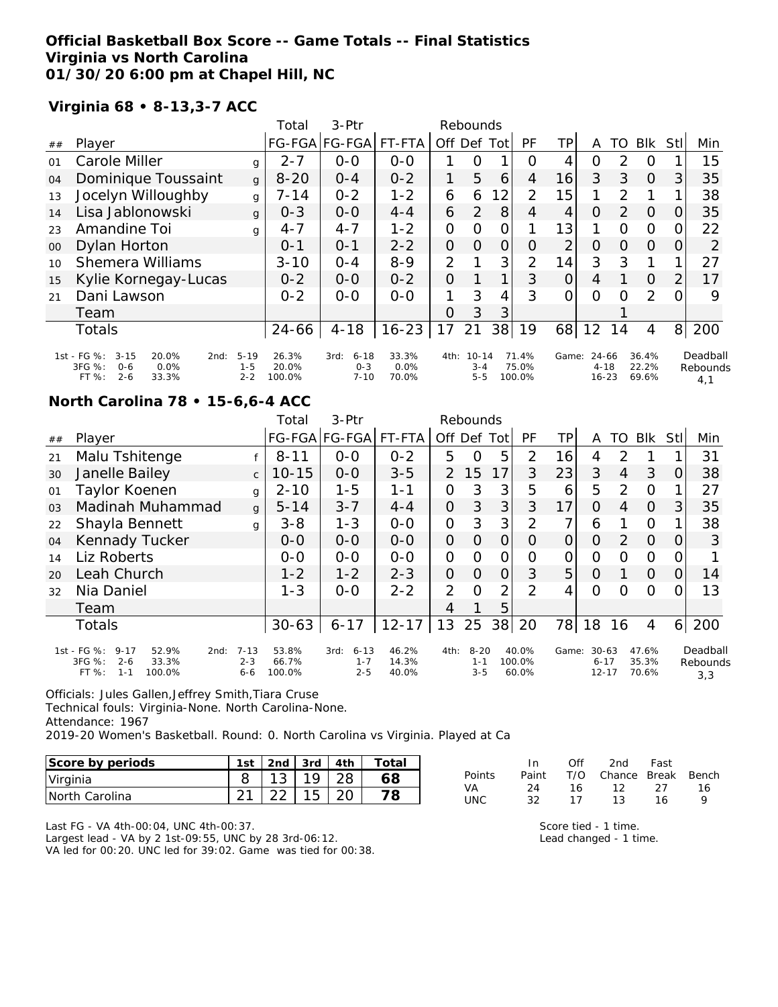#### **Official Basketball Box Score -- Game Totals -- Final Statistics Virginia vs North Carolina 01/30/20 6:00 pm at Chapel Hill, NC**

#### **Virginia 68 • 8-13,3-7 ACC**

|            |                                                                                                    |                                | Total                    | 3-Ptr                                   |                        |                | Rebounds                        |          |                          |                 |                                |                |                         |                |                             |
|------------|----------------------------------------------------------------------------------------------------|--------------------------------|--------------------------|-----------------------------------------|------------------------|----------------|---------------------------------|----------|--------------------------|-----------------|--------------------------------|----------------|-------------------------|----------------|-----------------------------|
| ##         | Player                                                                                             |                                |                          | FG-FGA FG-FGA FT-FTA                    |                        | Off Def        |                                 | Tot      | PF                       | TP              | A                              | TO             | Blk                     | Stll           | Min                         |
| $\Omega$ 1 | Carole Miller                                                                                      | g                              | $2 - 7$                  | $0 - 0$                                 | $O - O$                |                | O                               |          | $\left( \right)$         | 4               | O                              | 2              | $\Omega$                |                | 15                          |
| 04         | Dominique Toussaint                                                                                | $\mathbf{g}$                   | $8 - 20$                 | $0 - 4$                                 | $0 - 2$                | 1              | 5                               | 6        | 4                        | 16              | 3                              | 3              | $\Omega$                | 3              | 35                          |
| 13         | Jocelyn Willoughby                                                                                 | g                              | 7-14                     | $0 - 2$                                 | $1 - 2$                | 6              | 6                               | 12       | 2                        | 15 <sub>1</sub> | 1                              | 2              |                         |                | 38                          |
| 14         | Lisa Jablonowski                                                                                   | q                              | $0 - 3$                  | $0 - 0$                                 | $4 - 4$                | 6              | 2                               | 8        | 4                        | $\overline{4}$  | $\Omega$                       | $\overline{2}$ | $\Omega$                | $\overline{O}$ | 35                          |
| 23         | Amandine Toi                                                                                       | g                              | $4 - 7$                  | $4 - 7$                                 | $1 - 2$                | 0              | $\Omega$                        | $\Omega$ |                          | 13              |                                | $\Omega$       | $\Omega$                | 0              | 22                          |
| 00         | Dylan Horton                                                                                       |                                | $O - 1$                  | $0 - 1$                                 | $2 - 2$                | $\Omega$       | $\Omega$                        | 0        | $\Omega$                 | $\overline{2}$  | $\Omega$                       | $\Omega$       | $\Omega$                | 0              | 2                           |
| 10         | <b>Shemera Williams</b>                                                                            |                                | $3 - 10$                 | $O - 4$                                 | $8 - 9$                | $\overline{2}$ |                                 | 3        | 2                        | 14              | 3                              | 3              | 1                       | 1              | 27                          |
| 15         | Kylie Kornegay-Lucas                                                                               |                                | $0 - 2$                  | $O-O$                                   | $0 - 2$                | 0              |                                 |          | 3                        | $\Omega$        | 4                              |                | $\Omega$                | 2              | 17                          |
| 21         | Dani Lawson                                                                                        |                                | $0 - 2$                  | $0 - 0$                                 | $O-O$                  |                | 3                               | 4        | 3                        | $\Omega$        | $\Omega$                       | $\Omega$       | $\overline{2}$          | $\Omega$       | 9                           |
|            | Team                                                                                               |                                |                          |                                         |                        | O              | 3                               | 3        |                          |                 |                                |                |                         |                |                             |
|            | Totals                                                                                             |                                | $24 - 66$                | $4 - 18$                                | $16 - 23$              | 17             | 21                              | 38       | 19                       | 68              | 12                             | 14             | 4                       | 8              | 200                         |
|            | 1st - FG %:<br>$3 - 15$<br>20.0%<br>2nd:<br>3FG %:<br>0.0%<br>$0 - 6$<br>FT %:<br>$2 - 6$<br>33.3% | $5 - 19$<br>$1 - 5$<br>$2 - 2$ | 26.3%<br>20.0%<br>100.0% | $6 - 18$<br>3rd:<br>$0 - 3$<br>$7 - 10$ | 33.3%<br>0.0%<br>70.0% | 4th:           | $10 - 14$<br>$3 - 4$<br>$5 - 5$ |          | 71.4%<br>75.0%<br>100.0% | Game:           | 24-66<br>$4 - 18$<br>$16 - 23$ |                | 36.4%<br>22.2%<br>69.6% |                | Deadball<br>Rebounds<br>4,1 |

#### **North Carolina 78 • 15-6,6-4 ACC**

|                |                                                                                                    |                                | Total                    | 3-Ptr                                  |                         |                | Rebounds                       |                |                          |       |                                    |               |                         |     |                             |
|----------------|----------------------------------------------------------------------------------------------------|--------------------------------|--------------------------|----------------------------------------|-------------------------|----------------|--------------------------------|----------------|--------------------------|-------|------------------------------------|---------------|-------------------------|-----|-----------------------------|
| ##             | Player                                                                                             |                                |                          | FG-FGA FG-FGA                          | FT-FTA                  | Off            | Def                            | Totl           | <b>PF</b>                | TΡ    | A                                  | TO            | <b>BIK</b>              | Stl | Min                         |
| 21             | Malu Tshitenge                                                                                     |                                | $8 - 11$                 | $0-0$                                  | $0 - 2$                 | 5              | O                              | 5              | 2                        | 16    | 4                                  | 2             |                         |     | 31                          |
| 30             | Janelle Bailey                                                                                     | $\mathsf{C}$                   | $10 - 15$                | $0-0$                                  | $3 - 5$                 | $\mathcal{P}$  | 15                             | 17             | 3                        | 23    | 3                                  | 4             | 3                       | O   | 38                          |
| 01             | Taylor Koenen                                                                                      | g                              | $2 - 10$                 | $1 - 5$                                | $1 - 1$                 | $\Omega$       | 3                              | 3              | 5                        | 6     | 5                                  | 2             | $\Omega$                |     | 27                          |
| 0 <sub>3</sub> | Madinah Muhammad                                                                                   | $\mathbf{q}$                   | $5 - 14$                 | $3 - 7$                                | $4 - 4$                 | 0              | 3                              | 3              | 3                        | 17    | $\Omega$                           | 4             | $\Omega$                | 3   | 35                          |
| 22             | Shayla Bennett                                                                                     | g                              | $3 - 8$                  | $1 - 3$                                | $O - O$                 | $\mathcal{O}$  | 3                              | 3              | 2                        | 7     | 6                                  |               | $\Omega$                |     | 38                          |
| 04             | Kennady Tucker                                                                                     |                                | $0 - 0$                  | $0-0$                                  | $0-0$                   | $\overline{O}$ | $\Omega$                       | 0              | $\Omega$                 | 0     | O                                  | $\mathcal{P}$ | $\Omega$                | O   | 3                           |
| 14             | Liz Roberts                                                                                        |                                | $0 - 0$                  | $0 - 0$                                | $0 - 0$                 | $\Omega$       | $\Omega$                       | 0              | O                        | 0     | 0                                  | O             | $\Omega$                | O   |                             |
| 20             | Leah Church                                                                                        |                                | $1 - 2$                  | $1 - 2$                                | $2 - 3$                 | $\Omega$       | $\Omega$                       | $\overline{O}$ | 3                        | 5     | O                                  |               | $\Omega$                | 0   | 14                          |
| 32             | Nia Daniel                                                                                         |                                | $1 - 3$                  | $0 - 0$                                | $2 - 2$                 | $\overline{2}$ | $\Omega$                       | 2              | $\mathcal{P}$            | 4     | Ω                                  | Ω             | 0                       |     | 13                          |
|                | Team                                                                                               |                                |                          |                                        |                         | 4              |                                | 5              |                          |       |                                    |               |                         |     |                             |
|                | <b>Totals</b>                                                                                      |                                | $30 - 63$                | $6 - 17$                               | $12 - 17$               | 13             | 25                             |                | 38 20                    | 78    | 18                                 | 16            | 4                       | 6   | 200                         |
|                | 1st - FG %:<br>$9 - 17$<br>52.9%<br>2nd:<br>3FG %:<br>33.3%<br>$2 - 6$<br>FT%<br>100.0%<br>$1 - 1$ | $7 - 13$<br>$2 - 3$<br>$6 - 6$ | 53.8%<br>66.7%<br>100.0% | $6 - 13$<br>3rd:<br>$1 - 7$<br>$2 - 5$ | 46.2%<br>14.3%<br>40.0% | 4th:           | $8 - 20$<br>$1 - 1$<br>$3 - 5$ |                | 40.0%<br>100.0%<br>60.0% | Game: | $30 - 63$<br>$6 - 17$<br>$12 - 17$ |               | 47.6%<br>35.3%<br>70.6% |     | Deadball<br>Rebounds<br>3,3 |

Officials: Jules Gallen,Jeffrey Smith,Tiara Cruse

Technical fouls: Virginia-None. North Carolina-None.

Attendance: 1967

2019-20 Women's Basketball. Round: 0. North Carolina vs Virginia. Played at Ca

| Score by periods | 1st | 2nd | 3rd l | 4th | Total |
|------------------|-----|-----|-------|-----|-------|
| Virginia         |     |     | 1 Q   |     | 68    |
| INorth Carolina  |     |     | 15    |     | 8     |

|        | In.   | Off | 2nd                    | Fast |    |
|--------|-------|-----|------------------------|------|----|
| Points | Paint |     | T/O Chance Break Bench |      |    |
| VA     | - 24  | 16  | 12                     | 27   | 16 |
| UNC.   | -32   | 17  | ่ 1 ?                  | 16   | Q  |

Last FG - VA 4th-00:04, UNC 4th-00:37. Largest lead - VA by 2 1st-09:55, UNC by 28 3rd-06:12. VA led for 00:20. UNC led for 39:02. Game was tied for 00:38. Score tied - 1 time. Lead changed - 1 time.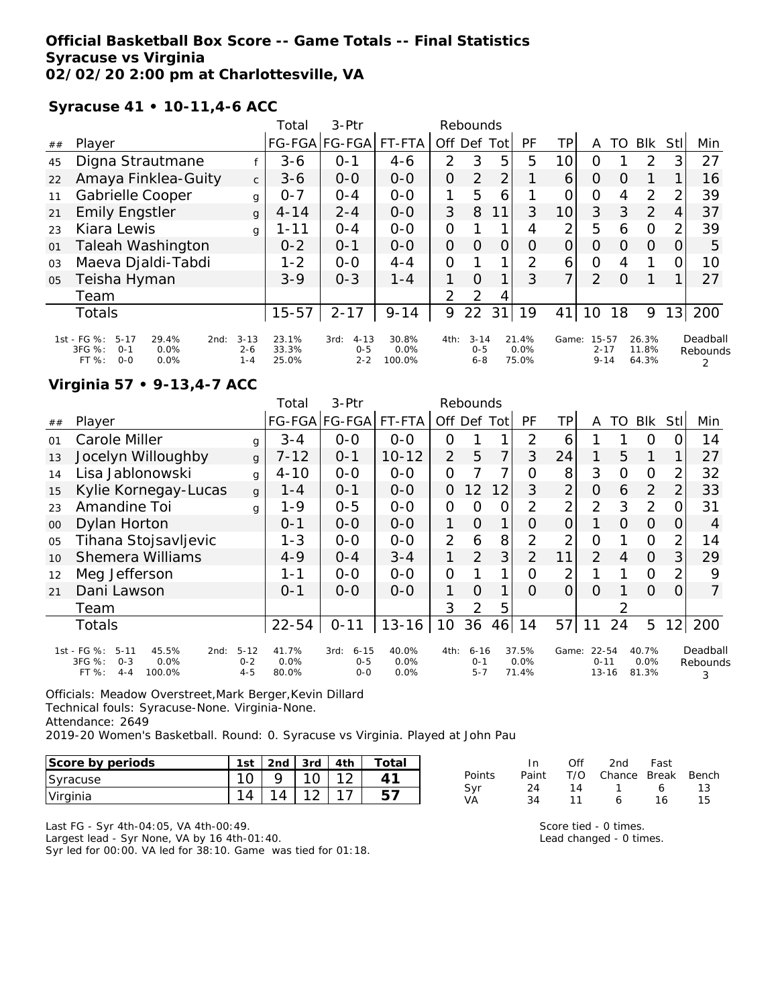### **Official Basketball Box Score -- Game Totals -- Final Statistics Syracuse vs Virginia 02/02/20 2:00 pm at Charlottesville, VA**

**Syracuse 41 • 10-11,4-6 ACC**

|    |                                                                                                 |                                | Total                   | 3-Ptr                                  |                         |                | Rebounds                       |          |                        |                 |                               |          |                         |                |                      |
|----|-------------------------------------------------------------------------------------------------|--------------------------------|-------------------------|----------------------------------------|-------------------------|----------------|--------------------------------|----------|------------------------|-----------------|-------------------------------|----------|-------------------------|----------------|----------------------|
| ## | Player                                                                                          |                                | <b>FG-FGA</b>           | FG-FGA                                 | FT-FTA                  | Off Def        |                                | Tot      | PF                     | ΤP              | Α                             | TO       | <b>BIK</b>              | Stll           | Min                  |
| 45 | Digna Strautmane                                                                                |                                | $3 - 6$                 | $O - 1$                                | $4 - 6$                 | 2              | 3                              | 5        | 5                      | 10 <sup>1</sup> | $\Omega$                      |          | $\mathcal{P}$           | 3              | 27                   |
| 22 | Amaya Finklea-Guity                                                                             | $\mathsf{C}$                   | $3 - 6$                 | $0-0$                                  | $0-0$                   | 0              | 2                              | 2        |                        | 6               | $\Omega$                      | O        |                         |                | 16                   |
| 11 | Gabrielle Cooper                                                                                | g                              | $0 - 7$                 | $O - 4$                                | $O - O$                 | 1              | 5                              | 6        |                        | O               | $\Omega$                      | 4        | $\overline{2}$          | $\mathcal{P}$  | 39                   |
| 21 | <b>Emily Engstler</b>                                                                           | $\mathbf{q}$                   | $4 - 14$                | $2 - 4$                                | $0 - 0$                 | 3              | 8                              | 11       | 3                      | 10              | 3                             | 3        | 2                       | 4              | 37                   |
| 23 | Kiara Lewis                                                                                     | g                              | 1-11                    | $O - 4$                                | $0 - 0$                 | 0              |                                |          | 4                      | 2               | 5                             | 6        | $\Omega$                | $\overline{2}$ | 39                   |
| 01 | <b>Taleah Washington</b>                                                                        |                                | $0 - 2$                 | $O - 1$                                | $O - O$                 | $\overline{O}$ | $\Omega$                       | $\Omega$ | $\Omega$               | 0               | $\Omega$                      | $\Omega$ | $\Omega$                | 0              | 5                    |
| 03 | Maeva Djaldi-Tabdi                                                                              |                                | $1 - 2$                 | $0 - 0$                                | $4 - 4$                 | $\overline{O}$ |                                | 1        | 2                      | 6               | $\Omega$                      | 4        |                         | 0              | 10                   |
| 05 | Teisha Hyman                                                                                    |                                | $3-9$                   | $0 - 3$                                | $1 - 4$                 | 1              | $\Omega$                       | 1        | 3                      | $\overline{7}$  | $\overline{2}$                | $\Omega$ |                         |                | 27                   |
|    | Team                                                                                            |                                |                         |                                        |                         | $\mathcal{P}$  | 2                              | 4        |                        |                 |                               |          |                         |                |                      |
|    | <b>Totals</b>                                                                                   |                                | $15 - 57$               | $2 - 17$                               | $9 - 14$                | 9              | 22                             | 31       | 19                     | 41              | 10                            | 18       | 9                       | 131            | 200                  |
|    | 1st - FG %:<br>$5 - 17$<br>29.4%<br>2nd:<br>3FG %:<br>0.0%<br>$0 - 1$<br>FT%<br>$0 - 0$<br>0.0% | $3 - 13$<br>$2 - 6$<br>$1 - 4$ | 23.1%<br>33.3%<br>25.0% | $4 - 13$<br>3rd:<br>$0 - 5$<br>$2 - 2$ | 30.8%<br>0.0%<br>100.0% | 4th:           | $3 - 14$<br>$0 - 5$<br>$6 - 8$ |          | 21.4%<br>0.0%<br>75.0% | Game:           | 15-57<br>$2 - 17$<br>$9 - 14$ |          | 26.3%<br>11.8%<br>64.3% |                | Deadball<br>Rebounds |

#### **Virginia 57 • 9-13,4-7 ACC**

|                |                                                                                                     |                                | Total                  | 3-Ptr                                  |                       |                | Rebounds                       |     |                        |       |                                |          |                        |      |                           |
|----------------|-----------------------------------------------------------------------------------------------------|--------------------------------|------------------------|----------------------------------------|-----------------------|----------------|--------------------------------|-----|------------------------|-------|--------------------------------|----------|------------------------|------|---------------------------|
| ##             | Player                                                                                              |                                |                        | FG-FGA FG-FGA                          | FT-FTA                | Off.           | Def                            | Tot | PF                     | TР    | Α                              | TO       | <b>BIK</b>             | Stll | Min                       |
| 01             | Carole Miller                                                                                       | g                              | $3 - 4$                | $0 - 0$                                | $0-0$                 | 0              |                                | 1   | 2                      | 6     |                                |          | $\Omega$               |      | 14                        |
| 13             | Jocelyn Willoughby                                                                                  | g                              | $7 - 12$               | $0 - 1$                                | $10 - 12$             | $\overline{2}$ | 5                              | 7   | 3                      | 24    | 1                              | 5        | 1                      |      | 27                        |
| 14             | Lisa Jablonowski                                                                                    | g                              | $4 - 10$               | $0 - 0$                                | $0-0$                 | 0              |                                | 7   | Ω                      | 8     | 3                              | O        | $\Omega$               | 2    | 32                        |
| 15             | Kylie Kornegay-Lucas                                                                                | g                              | $1 - 4$                | $0 - 1$                                | $0 - 0$               | 0              | 12 <sup>°</sup>                | 12  | 3                      | 2     | 0                              | 6        | 2                      | 2    | 33                        |
| 23             | Amandine Toi                                                                                        | g                              | $1 - 9$                | $0 - 5$                                | $0 - 0$               | 0              | Ω                              | Ο   | $\overline{2}$         | 2     | $\overline{2}$                 | 3        | 2                      |      | 31                        |
| 00             | Dylan Horton                                                                                        |                                | $0 - 1$                | $0-0$                                  | $0 - 0$               | 1              | $\Omega$                       | 1   | 0                      | 0     |                                | $\Omega$ | $\Omega$               | O    | 4                         |
| O <sub>5</sub> | Tihana Stojsavljevic                                                                                |                                | $1 - 3$                | $0 - 0$                                | $0-0$                 | $\overline{2}$ | 6                              | 8   | 2                      | っ     | 0                              |          | 0                      | 2    | 14                        |
| 10             | <b>Shemera Williams</b>                                                                             |                                | $4 - 9$                | $O - 4$                                | $3 - 4$               |                | 2                              | 3   | $\overline{2}$         | 11    | 2                              | 4        | $\Omega$               | 3    | 29                        |
| 12             | Meg Jefferson                                                                                       |                                | 1-1                    | $0-0$                                  | $0 - 0$               | O              |                                | 1   | Ω                      | っ     |                                |          | $\overline{O}$         | 2    | 9                         |
| 21             | Dani Lawson                                                                                         |                                | $0 - 1$                | $0 - 0$                                | $0 - 0$               | 1.             | O                              | 1   | Ω                      | 0     | Ω                              |          | $\Omega$               | 0    | $\overline{7}$            |
|                | Team                                                                                                |                                |                        |                                        |                       | 3              | 2                              | 5   |                        |       |                                |          |                        |      |                           |
|                | <b>Totals</b>                                                                                       |                                | $22 - 54$              | $0 - 11$                               | $13 - 16$             | 10             | 36                             | 46  | 14                     | 57    |                                | 24       | 5                      | 12   | 200                       |
|                | 1st - FG %:<br>45.5%<br>$5 - 11$<br>2nd:<br>3FG %:<br>$O - 3$<br>0.0%<br>FT %:<br>100.0%<br>$4 - 4$ | $5 - 12$<br>$0 - 2$<br>$4 - 5$ | 41.7%<br>0.0%<br>80.0% | $6 - 15$<br>3rd:<br>$0 - 5$<br>$0 - 0$ | 40.0%<br>0.0%<br>0.0% | 4th:           | $6 - 16$<br>$0 - 1$<br>$5 - 7$ |     | 37.5%<br>0.0%<br>71.4% | Game: | 22-54<br>$0 - 11$<br>$13 - 16$ |          | 40.7%<br>0.0%<br>81.3% |      | Deadball<br>Rebounds<br>3 |

Officials: Meadow Overstreet,Mark Berger,Kevin Dillard Technical fouls: Syracuse-None. Virginia-None. Attendance: 2649 2019-20 Women's Basketball. Round: 0. Syracuse vs Virginia. Played at John Pau

| Score by periods | 1st | 2 <sub>nd</sub> | 3rd    | 4 <sub>th</sub> | Totai |
|------------------|-----|-----------------|--------|-----------------|-------|
| Syracuse         |     |                 |        |                 |       |
| Virginia         |     |                 | $\sim$ |                 |       |

|        | In.   | Off | 2nd                    | Fast |     |
|--------|-------|-----|------------------------|------|-----|
| Points | Paint |     | T/O Chance Break Bench |      |     |
| Svr    | 24    | 14  | $\overline{1}$         | 6.   | -13 |
| VA     | 34    | 11  | 6                      | 16.  | 15  |

Last FG - Syr 4th-04:05, VA 4th-00:49. Largest lead - Syr None, VA by 16 4th-01:40. Syr led for 00:00. VA led for 38:10. Game was tied for 01:18. Score tied - 0 times. Lead changed - 0 times.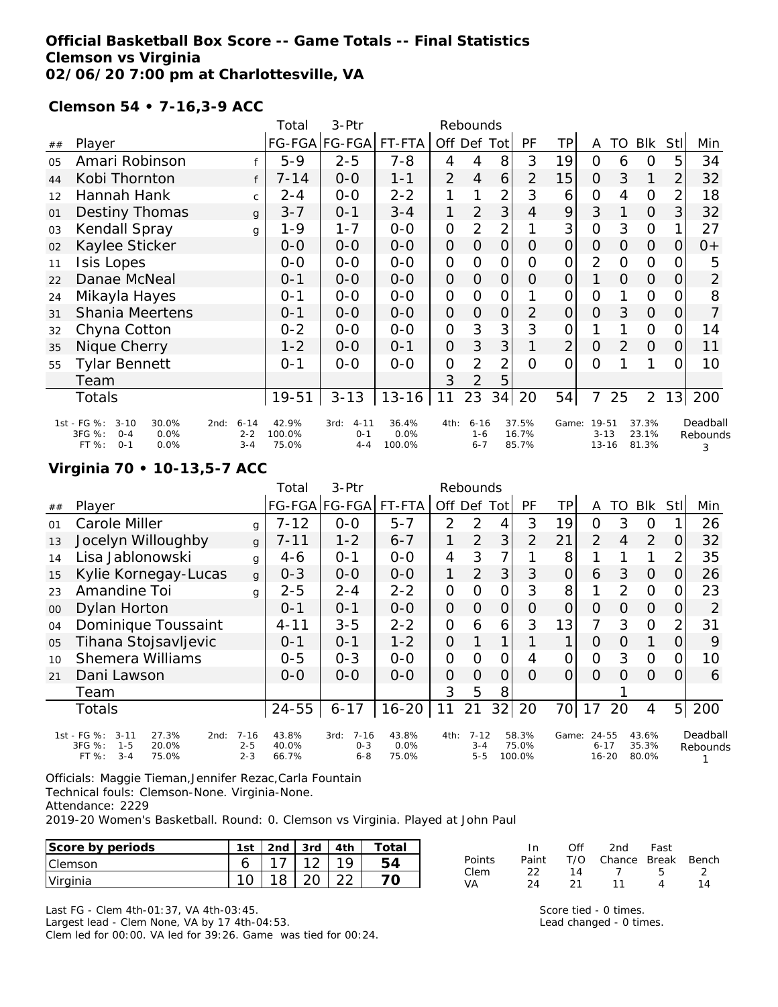# **Official Basketball Box Score -- Game Totals -- Final Statistics Clemson vs Virginia 02/06/20 7:00 pm at Charlottesville, VA**

**Clemson 54 • 7-16,3-9 ACC**

|    |                                                                                                   |                                | Total                    | 3-Ptr                                  |                         |                | Rebounds                       |                |                         |                |                                      |                |                         |                |                           |
|----|---------------------------------------------------------------------------------------------------|--------------------------------|--------------------------|----------------------------------------|-------------------------|----------------|--------------------------------|----------------|-------------------------|----------------|--------------------------------------|----------------|-------------------------|----------------|---------------------------|
| ## | Player                                                                                            |                                |                          | FG-FGA FG-FGA                          | FT-FTA                  |                | Off Def Tot                    |                | PF                      | ΤP             | A                                    | TO             | Blk                     | <b>Stll</b>    | Min                       |
| 05 | Amari Robinson                                                                                    |                                | $5 - 9$                  | $2 - 5$                                | $7 - 8$                 | 4              | 4                              | 8              | 3                       | 19             | 0                                    | 6              | 0                       | 5              | 34                        |
| 44 | Kobi Thornton                                                                                     | f                              | $7 - 14$                 | $0-0$                                  | $1 - 1$                 | $\overline{2}$ | 4                              | 6              | $\overline{2}$          | 15             | $\Omega$                             | 3              | 1                       | $\overline{2}$ | 32                        |
| 12 | Hannah Hank                                                                                       | $\mathsf{C}$                   | 2-4                      | $O-O$                                  | $2 - 2$                 | 1              | 1                              | $\overline{2}$ | 3                       | 6              | $\overline{O}$                       | 4              | $\Omega$                | $\overline{2}$ | 18                        |
| 01 | <b>Destiny Thomas</b>                                                                             | g                              | $3 - 7$                  | $0 - 1$                                | $3 - 4$                 | 1              | $\overline{2}$                 | 3              | $\overline{4}$          | 9              | 3                                    |                | $\Omega$                | 3              | 32                        |
| 03 | <b>Kendall Spray</b>                                                                              | g                              | $1 - 9$                  | $1 - 7$                                | $0-0$                   | $\mathcal{O}$  | $\overline{2}$                 | $\overline{2}$ |                         | 3              | $\overline{O}$                       | 3              | $\Omega$                | 1.             | 27                        |
| 02 | Kaylee Sticker                                                                                    |                                | $O - O$                  | $O - O$                                | $O-O$                   | $\mathcal{O}$  | $\overline{O}$                 | $\overline{O}$ | 0                       | $\overline{O}$ | $\overline{O}$                       | 0              | $\mathbf{O}$            | 0              | $0+$                      |
| 11 | Isis Lopes                                                                                        |                                | $0-0$                    | $0-0$                                  | $O-O$                   | $\mathcal{O}$  | $\overline{O}$                 | $\mathcal{O}$  | 0                       | 0              | $\overline{2}$                       | O              | $\mathbf 0$             | 0              | 5                         |
| 22 | Danae McNeal                                                                                      |                                | $0 - 1$                  | $0-0$                                  | $O-O$                   | $\mathcal{O}$  | 0                              | $\overline{O}$ | 0                       | $\mathcal{O}$  |                                      | $\overline{O}$ | $\mathbf{O}$            | O              | $\overline{2}$            |
| 24 | Mikayla Hayes                                                                                     |                                | $0 - 1$                  | $0-0$                                  | $0-0$                   | $\mathcal{O}$  | $\mathcal{O}$                  | $\mathcal{O}$  |                         | 0              | $\overline{O}$                       |                | $\Omega$                | O.             | 8                         |
| 31 | Shania Meertens                                                                                   |                                | $0 - 1$                  | $0-0$                                  | $0-0$                   | $\overline{O}$ | 0                              | 0              | $\overline{2}$          | 0              | $\overline{O}$                       | 3              | $\overline{O}$          | O              | 7                         |
| 32 | Chyna Cotton                                                                                      |                                | $0 - 2$                  | $0-0$                                  | $0-0$                   | $\mathcal{O}$  | 3                              | 3              | 3                       | 0              |                                      |                | $\Omega$                | 0              | 14                        |
| 35 | Nique Cherry                                                                                      |                                | $1 - 2$                  | $0-0$                                  | $0 - 1$                 | $\overline{O}$ | 3                              | 3              | 1                       | $\overline{2}$ | $\Omega$                             | 2              | $\overline{O}$          | $\Omega$       | 11                        |
| 55 | <b>Tylar Bennett</b>                                                                              |                                | $0 - 1$                  | $0 - 0$                                | $0 - 0$                 | $\mathcal{O}$  | $\overline{2}$                 | $\overline{2}$ | $\Omega$                | $\Omega$       | $\Omega$                             |                | 1                       | 0              | 10                        |
|    | Team                                                                                              |                                |                          |                                        |                         | 3              | 2                              | 5              |                         |                |                                      |                |                         |                |                           |
|    | Totals                                                                                            |                                | 19-51                    | $3 - 13$                               | $13 - 16$               | 11             | 23                             | 34             | 20                      | 54             | $\overline{7}$                       | 25             | $\overline{2}$          | 13             | 200                       |
|    | 1st - FG %:<br>$3 - 10$<br>30.0%<br>2nd:<br>3FG %:<br>0.0%<br>$O - 4$<br>FT %:<br>$0 - 1$<br>0.0% | $6 - 14$<br>$2 - 2$<br>$3 - 4$ | 42.9%<br>100.0%<br>75.0% | $4 - 11$<br>3rd:<br>$0 - 1$<br>$4 - 4$ | 36.4%<br>0.0%<br>100.0% | 4th:           | $6 - 16$<br>$1 - 6$<br>$6 - 7$ |                | 37.5%<br>16.7%<br>85.7% |                | Game: 19-51<br>$3 - 13$<br>$13 - 16$ |                | 37.3%<br>23.1%<br>81.3% |                | Deadball<br>Rebounds<br>3 |

# **Virginia 70 • 10-13,5-7 ACC**

|    |                                                                        |                     | Total          | 3-Ptr                       |               |                | Rebounds            |                |                |                |                   |                |                |                |                      |
|----|------------------------------------------------------------------------|---------------------|----------------|-----------------------------|---------------|----------------|---------------------|----------------|----------------|----------------|-------------------|----------------|----------------|----------------|----------------------|
| ## | Player                                                                 |                     |                | FG-FGA FG-FGA               | FT-FTA        |                | Off Def             | Tot            | <b>PF</b>      | TP             | A                 | TO             | <b>Blk</b>     | StII           | Min                  |
| 01 | Carole Miller                                                          | q                   | $7 - 12$       | $0-0$                       | $5 - 7$       | 2              | 2                   | 4              | 3              | 19             | 0                 | 3              | O              |                | 26                   |
| 13 | Jocelyn Willoughby                                                     | g                   | $7 - 11$       | $1 - 2$                     | $6 - 7$       |                | $\overline{2}$      | 3              | $\overline{2}$ | 21             | $\overline{2}$    | $\overline{4}$ | 2              | 0              | 32                   |
| 14 | Lisa Jablonowski                                                       | g                   | $4-6$          | $O - 1$                     | $0 - 0$       | $\overline{4}$ | 3                   | 7              |                | 8              |                   |                | 1              | 2              | 35                   |
| 15 | Kylie Kornegay-Lucas                                                   | g                   | $0 - 3$        | $0 - 0$                     | $0 - 0$       | 1              | $\overline{2}$      | 3              | 3              | 0              | 6                 | 3              | $\Omega$       | 0              | 26                   |
| 23 | Amandine Toi                                                           | g                   | $2 - 5$        | $2 - 4$                     | $2 - 2$       | $\Omega$       | $\Omega$            | 0              | 3              | 8              |                   | $\mathcal{P}$  | $\circ$        | 0              | 23                   |
| 00 | Dylan Horton                                                           |                     | $O - 1$        | $0 - 1$                     | $0-0$         | 0              | $\Omega$            | $\overline{O}$ | O              | $\overline{O}$ | O                 | $\Omega$       | $\Omega$       | 0              | 2                    |
| 04 | Dominique Toussaint                                                    |                     | $4 - 11$       | $3 - 5$                     | $2 - 2$       | 0              | 6                   | 6              | 3              | 13             | 7                 | 3              | $\Omega$       | $\overline{2}$ | 31                   |
| 05 | Tihana Stojsavljevic                                                   |                     | $0 - 1$        | $O - 1$                     | $1 - 2$       | $\overline{O}$ |                     |                |                | 1              | $\Omega$          | $\Omega$       |                | 0              | 9                    |
| 10 | <b>Shemera Williams</b>                                                |                     | $0 - 5$        | $0 - 3$                     | $0 - 0$       | $\overline{O}$ | O                   | O              | 4              | O              | $\Omega$          | 3              | $\circ$        | 0              | 10                   |
| 21 | Dani Lawson                                                            |                     | $O - O$        | $0 - 0$                     | $0 - 0$       | 0              | 0                   | 0              | $\Omega$       | 0              | $\Omega$          | Ω              | $\Omega$       | 0              | 6                    |
|    | Team                                                                   |                     |                |                             |               | 3              | 5                   | 8              |                |                |                   |                |                |                |                      |
|    | Totals                                                                 |                     | 24-55          | $6 - 17$                    | $16 - 20$     | 11             | 21                  | 32             | 20             | 70             | 17                | 20             | $\overline{4}$ | 5 <sup>1</sup> | 200                  |
|    | 1st - FG %:<br>$3 - 11$<br>27.3%<br>2nd:<br>3FG %:<br>20.0%<br>$1 - 5$ | $7 - 16$<br>$2 - 5$ | 43.8%<br>40.0% | $7 - 16$<br>3rd:<br>$0 - 3$ | 43.8%<br>0.0% | 4th:           | $7 - 12$<br>$3 - 4$ |                | 58.3%<br>75.0% | Game:          | 24-55<br>$6 - 17$ |                | 43.6%<br>35.3% |                | Deadball<br>Rebounds |

Officials: Maggie Tieman,Jennifer Rezac,Carla Fountain

Technical fouls: Clemson-None. Virginia-None.

Attendance: 2229

FT %: 3-4 75.0%

2019-20 Women's Basketball. Round: 0. Clemson vs Virginia. Played at John Paul

2-3 66.7%

| Score by periods | l st | $2nd$ . | 3rd      | 4th      | `otal |            | ín.         | Ofi                | 2nd    | Fast         |          |
|------------------|------|---------|----------|----------|-------|------------|-------------|--------------------|--------|--------------|----------|
| Clemson          |      | –       | $\sim$   | 1 Q      | 54    | Points     | Paint<br>ົາ | T/O                | Chance | <b>Break</b> | Bench    |
| <b>Virginia</b>  | 10   | 10<br>∼ | ററ<br>∠∪ | ററ<br>∠∠ | ℸ⌒    | Clem<br>VA | ∸<br>24     | $\sim$<br><u>.</u> |        | ັ            | -<br>l 4 |

6-8 75.0%

5-5 100.0%

Last FG - Clem 4th-01:37, VA 4th-03:45. Largest lead - Clem None, VA by 17 4th-04:53. Clem led for 00:00. VA led for 39:26. Game was tied for 00:24.

Score tied - 0 times. Lead changed - 0 times.

16-20 80.0%

1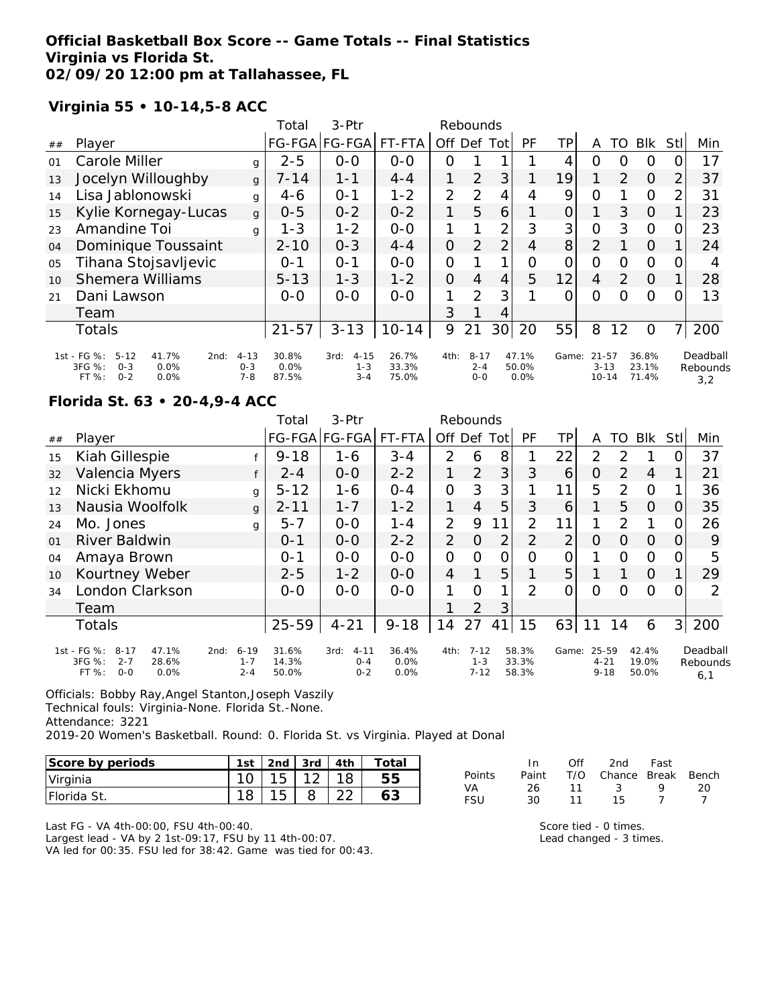## **Official Basketball Box Score -- Game Totals -- Final Statistics Virginia vs Florida St. 02/09/20 12:00 pm at Tallahassee, FL**

**Virginia 55 • 10-14,5-8 ACC**

|    |                                                                                                 |                                | Total                  | $3-Ptr$                                |                         |          | Rebounds                     |                 |                        |                |                                    |               |                         |                |                             |
|----|-------------------------------------------------------------------------------------------------|--------------------------------|------------------------|----------------------------------------|-------------------------|----------|------------------------------|-----------------|------------------------|----------------|------------------------------------|---------------|-------------------------|----------------|-----------------------------|
| ## | Player                                                                                          |                                |                        | FG-FGA FG-FGA                          | FT-FTA                  | Off.     | Def                          | Tot             | PF                     | TP             | Α                                  | TO            | <b>Blk</b>              | <b>Stl</b>     | Min                         |
| 01 | Carole Miller                                                                                   | g                              | $2 - 5$                | $0-0$                                  | $0 - 0$                 | Ο        |                              |                 |                        | 4              | Ο                                  | O             | O                       |                | 17                          |
| 13 | Jocelyn Willoughby                                                                              | g                              | $7 - 14$               | $1 - 1$                                | $4 - 4$                 | 1        | $\overline{2}$               | 3               |                        | 19             |                                    | 2             | $\Omega$                | 2              | 37                          |
| 14 | Lisa Jablonowski                                                                                | g                              | $4-6$                  | $0 - 1$                                | $1 - 2$                 | 2        | 2                            | 4               | 4                      | 9              | $\overline{O}$                     |               | $\Omega$                | $\overline{2}$ | 31                          |
| 15 | Kylie Kornegay-Lucas                                                                            | g                              | $0 - 5$                | $0 - 2$                                | $0 - 2$                 | 1        | 5                            | 6               |                        | 0              |                                    | 3             | $\Omega$                |                | 23                          |
| 23 | Amandine Toi                                                                                    | g                              | $1 - 3$                | $1 - 2$                                | $0 - 0$                 |          |                              | 2               | 3                      | 3 <sub>1</sub> | $\overline{O}$                     | 3             | $\circ$                 | 0              | 23                          |
| 04 | Dominique Toussaint                                                                             |                                | $2 - 10$               | $0 - 3$                                | $4 - 4$                 | 0        | $\overline{2}$               | $\overline{2}$  | 4                      | 8 <sup>1</sup> | 2                                  |               | $\Omega$                |                | 24                          |
| 05 | Tihana Stojsavljevic                                                                            |                                | $O - 1$                | $0 - 1$                                | $0 - 0$                 | $\Omega$ |                              |                 | Ο                      | 0              | 0                                  | $\Omega$      | $\circ$                 | O              |                             |
| 10 | <b>Shemera Williams</b>                                                                         |                                | $5 - 13$               | $1 - 3$                                | $1 - 2$                 | 0        | 4                            | 4               | 5                      | 12             | 4                                  | $\mathcal{P}$ | $\Omega$                |                | 28                          |
| 21 | Dani Lawson                                                                                     |                                | $0 - 0$                | $0 - 0$                                | $0-0$                   | 1        | $\mathcal{P}$                | 3               |                        | $\Omega$       | $\Omega$                           | Ω             | $\Omega$                | 0              | 13                          |
|    | Team                                                                                            |                                |                        |                                        |                         | 3        |                              | 4               |                        |                |                                    |               |                         |                |                             |
|    | Totals                                                                                          |                                | $21 - 57$              | $3 - 13$                               | $10 - 14$               | 9        | 21                           | 30 <sup>1</sup> | 20                     | 55             | 8                                  | 12            | O                       | 7              | 200                         |
|    | 1st - FG %:<br>$5 - 12$<br>41.7%<br>2nd:<br>3FG %:<br>$O - 3$<br>0.0%<br>$0 - 2$<br>FT%<br>0.0% | $4 - 13$<br>$0 - 3$<br>$7 - 8$ | 30.8%<br>0.0%<br>87.5% | $4 - 15$<br>3rd:<br>$1 - 3$<br>$3 - 4$ | 26.7%<br>33.3%<br>75.0% | 4th:     | $8 - 17$<br>$2 - 4$<br>$O-O$ |                 | 47.1%<br>50.0%<br>0.0% | Game:          | $21 - 57$<br>$3 - 13$<br>$10 - 14$ |               | 36.8%<br>23.1%<br>71.4% |                | Deadball<br>Rebounds<br>3,2 |

#### **Florida St. 63 • 20-4,9-4 ACC**

|    |                                                                                          |                                        | Total                   | $3-$ Ptr                               |                       |                | Rebounds                        |                |                         |       |                               |               |                         |                |                             |
|----|------------------------------------------------------------------------------------------|----------------------------------------|-------------------------|----------------------------------------|-----------------------|----------------|---------------------------------|----------------|-------------------------|-------|-------------------------------|---------------|-------------------------|----------------|-----------------------------|
| ## | Player                                                                                   |                                        |                         | FG-FGA FG-FGA                          | FT-FTA                | Off            | Def                             | Totl           | <b>PF</b>               | TΡ    | A                             | TO            | <b>Blk</b>              | Stl            | Min                         |
| 15 | Kiah Gillespie                                                                           |                                        | $9 - 18$                | 1-6                                    | $3 - 4$               | 2              | 6                               | 8              |                         | 22    | 2                             | 2             |                         |                | 37                          |
| 32 | Valencia Myers                                                                           | f                                      | $2 - 4$                 | $0 - 0$                                | $2 - 2$               |                | 2                               | 3 <sup>1</sup> | 3                       | 6     | O                             | $\mathcal{P}$ | $\overline{4}$          |                | 21                          |
| 12 | Nicki Ekhomu                                                                             | g                                      | $5 - 12$                | $1 - 6$                                | $0 - 4$               | $\mathcal{O}$  | 3                               | 3              |                         | 11    | 5                             | 2             | $\Omega$                |                | 36                          |
| 13 | Nausia Woolfolk                                                                          | g                                      | $2 - 11$                | $1 - 7$                                | $1 - 2$               | 1              | 4                               | 5              | 3                       | 6     |                               | 5             | $\Omega$                | Ω              | 35                          |
| 24 | Mo. Jones                                                                                | g                                      | $5 - 7$                 | $0 - 0$                                | $1 - 4$               | 2              | 9                               | 11             | 2                       | 11    | 1                             | 2             | 1                       |                | 26                          |
| 01 | River Baldwin                                                                            |                                        | $O - 1$                 | $0-0$                                  | $2 - 2$               | $\overline{2}$ | $\Omega$                        | $\overline{2}$ | $\overline{2}$          | 2     | 0                             | $\Omega$      | $\Omega$                |                | 9                           |
| 04 | Amaya Brown                                                                              |                                        | $0 - 1$                 | $0 - 0$                                | $0 - 0$               | $\mathcal{O}$  | $\Omega$                        | 0              | Ω                       | 0     | 1                             | O             | $\Omega$                | O              | 5                           |
| 10 | Kourtney Weber                                                                           |                                        | $2 - 5$                 | $1 - 2$                                | $0 - 0$               | 4              | 1                               | 5              |                         | 5     |                               |               | $\Omega$                |                | 29                          |
| 34 | London Clarkson                                                                          |                                        | $0-0$                   | $0 - 0$                                | $0-0$                 |                | $\Omega$                        | 1              | 2                       | Ω     | Ω                             | Ω             | $\Omega$                |                | 2                           |
|    | Team                                                                                     |                                        |                         |                                        |                       |                | $\overline{2}$                  | 3              |                         |       |                               |               |                         |                |                             |
|    | <b>Totals</b>                                                                            |                                        | $25 - 59$               | $4 - 21$                               | $9 - 18$              | 14             | 27                              | 41             | 15                      | 63    | 11                            | 14            | 6                       | 3 <sup>1</sup> | 200                         |
|    | 1st - FG %:<br>$8 - 17$<br>47.1%<br>3FG %:<br>$2 - 7$<br>28.6%<br>FT%<br>$0 - 0$<br>0.0% | $6 - 19$<br>2nd:<br>$1 - 7$<br>$2 - 4$ | 31.6%<br>14.3%<br>50.0% | 3rd:<br>$4 - 11$<br>$0 - 4$<br>$0 - 2$ | 36.4%<br>0.0%<br>0.0% | 4th:           | $7 - 12$<br>$1 - 3$<br>$7 - 12$ |                | 58.3%<br>33.3%<br>58.3% | Game: | 25-59<br>$4 - 21$<br>$9 - 18$ |               | 42.4%<br>19.0%<br>50.0% |                | Deadball<br>Rebounds<br>6,1 |

Officials: Bobby Ray,Angel Stanton,Joseph Vaszily Technical fouls: Virginia-None. Florida St.-None. Attendance: 3221 2019-20 Women's Basketball. Round: 0. Florida St. vs Virginia. Played at Donal

| Score by periods | 1st | 2 <sub>nd</sub> | 3rd         | 4th    | Totai |
|------------------|-----|-----------------|-------------|--------|-------|
| Virginia         |     |                 | $1^{\circ}$ |        |       |
| Florida St.      |     |                 |             | $\cap$ |       |

|        | In.   | ∩ff | 2nd                    | Fast |    |
|--------|-------|-----|------------------------|------|----|
| Points | Paint |     | T/O Chance Break Bench |      |    |
| VA     | 26.   | 11  | $\sim$ 3.              | o    | 20 |
| FSU    | 30.   | -11 | 15.                    |      |    |

Last FG - VA 4th-00:00, FSU 4th-00:40. Largest lead - VA by 2 1st-09:17, FSU by 11 4th-00:07. VA led for 00:35. FSU led for 38:42. Game was tied for 00:43. Score tied - 0 times. Lead changed - 3 times.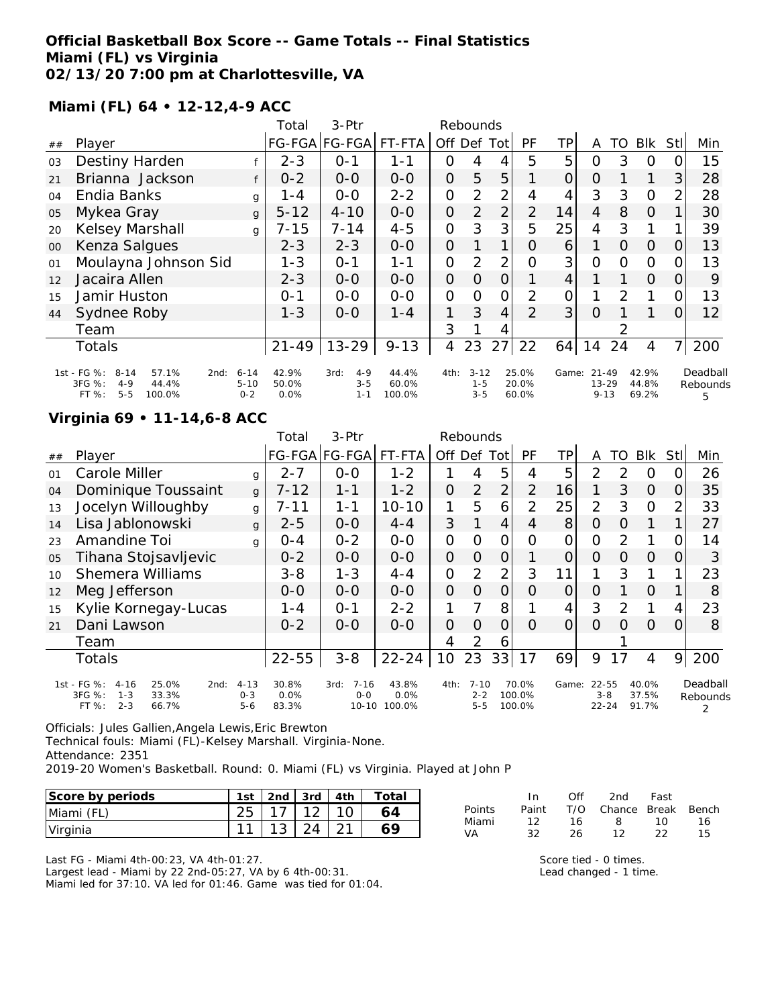### **Official Basketball Box Score -- Game Totals -- Final Statistics Miami (FL) vs Virginia 02/13/20 7:00 pm at Charlottesville, VA**

**Miami (FL) 64 • 12-12,4-9 ACC**

|        |                                                                                                      |                                 | Total                  | 3-Ptr                                 |                          | Rebounds       |                                |                |                         |       |                                    |          |                         |          |                           |
|--------|------------------------------------------------------------------------------------------------------|---------------------------------|------------------------|---------------------------------------|--------------------------|----------------|--------------------------------|----------------|-------------------------|-------|------------------------------------|----------|-------------------------|----------|---------------------------|
| ##     | Player                                                                                               |                                 |                        | FG-FGA FG-FGA                         | FT-FTA                   | Off            | Def                            | Tot            | PF                      | ΤP    | A                                  | TO       | <b>BIK</b>              | Stl      | Min                       |
| 03     | Destiny Harden                                                                                       |                                 | $2 - 3$                | 0-1                                   | 1-1                      | 0              | 4                              | 4              | 5                       | 5     | 0                                  | 3        | $\Omega$                |          | 15                        |
| 21     | Brianna Jackson                                                                                      |                                 | $0 - 2$                | $O-O$                                 | $0 - 0$                  | $\overline{O}$ | 5                              | 5              |                         | 0     | $\overline{O}$                     |          |                         | 3        | 28                        |
| 04     | Endia Banks                                                                                          | $\mathbf{q}$                    | 1 - 4                  | $0-0$                                 | $2 - 2$                  | 0              | 2                              | $\overline{2}$ | 4                       | 4     | 3                                  | 3        | $\Omega$                | 2        | 28                        |
| 05     | Mykea Gray                                                                                           | $\mathbf{q}$                    | $5 - 12$               | $4 - 10$                              | $O-O$                    | $\overline{O}$ | 2                              | $\overline{2}$ | 2                       | 14    | 4                                  | 8        | $\Omega$                |          | 30                        |
| 20     | Kelsey Marshall                                                                                      | $\mathbf{q}$                    | $7 - 15$               | $7 - 14$                              | $4 - 5$                  | 0              | 3                              | 3              | 5                       | 25    | 4                                  | 3        |                         |          | 39                        |
| $00\,$ | Kenza Salgues                                                                                        |                                 | $2 - 3$                | $2 - 3$                               | $0 - 0$                  | $\overline{O}$ |                                | $\mathbf 1$    | O                       | 6     |                                    | $\Omega$ | $\overline{O}$          | $\Omega$ | 13                        |
| 01     | Moulayna Johnson Sid                                                                                 |                                 | $1 - 3$                | $O - 1$                               | $1 - 1$                  | 0              | $\overline{2}$                 | $\overline{2}$ | O                       | 3     | 0                                  | 0        | $\Omega$                |          | 13                        |
| 12     | Jacaira Allen                                                                                        |                                 | $2 - 3$                | $0 - 0$                               | $0 - 0$                  | $\overline{O}$ | O                              | 0              |                         | 4     |                                    |          | $\Omega$                | 0        | 9                         |
| 15     | Jamir Huston                                                                                         |                                 | $0 - 1$                | $0 - 0$                               | $0 - 0$                  | O              | $\Omega$                       | Ω              | 2                       | 0     |                                    | 2        |                         |          | 13                        |
| 44     | Sydnee Roby                                                                                          |                                 | $1 - 3$                | $0 - 0$                               | $1 - 4$                  | 1              | 3                              | 4              | $\mathcal{P}$           | 3     | $\Omega$                           |          |                         | $\Omega$ | $12 \overline{ }$         |
|        | Team                                                                                                 |                                 |                        |                                       |                          | 3              |                                | 4              |                         |       |                                    |          |                         |          |                           |
|        | <b>Totals</b>                                                                                        |                                 | $21 - 49$              | $13 - 29$                             | $9 - 13$                 | 4              | 23                             | 27             | 22                      | 64    | 14                                 | 24       | 4                       | 7        | 200                       |
|        | 1st - FG %:<br>$8 - 14$<br>57.1%<br>2nd:<br>3FG %:<br>$4 - 9$<br>44.4%<br>$5 - 5$<br>FT %:<br>100.0% | $6 - 14$<br>$5 - 10$<br>$0 - 2$ | 42.9%<br>50.0%<br>0.0% | $4 - 9$<br>3rd:<br>$3 - 5$<br>$1 - 1$ | 44.4%<br>60.0%<br>100.0% | 4th:           | $3 - 12$<br>$1 - 5$<br>$3 - 5$ |                | 25.0%<br>20.0%<br>60.0% | Game: | $21 - 49$<br>$13 - 29$<br>$9 - 13$ |          | 42.9%<br>44.8%<br>69.2% |          | Deadball<br>Rebounds<br>5 |

#### **Virginia 69 • 11-14,6-8 ACC**

|    |                                                                                                       |                                | Total                  | 3-Ptr                                    |                            |                | Rebounds                       |                |                           |       |                               |          |                         |          |                      |
|----|-------------------------------------------------------------------------------------------------------|--------------------------------|------------------------|------------------------------------------|----------------------------|----------------|--------------------------------|----------------|---------------------------|-------|-------------------------------|----------|-------------------------|----------|----------------------|
| ## | Player                                                                                                |                                |                        | FG-FGA FG-FGA                            | FT-FTA                     | Off            | Def                            | <b>Tot</b>     | PF                        | TР    | A                             | TO       | <b>BIK</b>              | Stll     | Min                  |
| 01 | Carole Miller                                                                                         | g                              | $2 - 7$                | $O-O$                                    | $1 - 2$                    |                | 4                              | 5              | 4                         | 5     | $\overline{2}$                | 2        | $\Omega$                |          | 26                   |
| 04 | Dominique Toussaint                                                                                   | $\mathbf{q}$                   | $7 - 12$               | $1 - 1$                                  | $1 - 2$                    | 0              | $\overline{2}$                 | $\overline{2}$ | 2                         | 16    | 1                             | 3        | $\Omega$                | O        | 35                   |
| 13 | Jocelyn Willoughby                                                                                    | g                              | 7-11                   | 1-1                                      | $10 - 10$                  | 1              | 5                              | 6              | 2                         | 25    | $\overline{2}$                | 3        | $\Omega$                | 2        | 33                   |
| 14 | Lisa Jablonowski                                                                                      | g                              | $2 - 5$                | $0 - 0$                                  | $4 - 4$                    | 3              |                                | 4              | 4                         | 8     | O                             | $\Omega$ | 1                       |          | 27                   |
| 23 | Amandine Toi                                                                                          | q                              | 0-4                    | $0 - 2$                                  | $O-O$                      | O              | Ω                              | Ω              | Ω                         |       | Ω                             | 2        |                         |          | 14                   |
| 05 | Tihana Stojsavljevic                                                                                  |                                | $0 - 2$                | $O-O$                                    | $O-O$                      | $\overline{O}$ | O                              | 0              |                           |       | Ο                             | O        | $\Omega$                | $\Omega$ | 3                    |
| 10 | <b>Shemera Williams</b>                                                                               |                                | $3 - 8$                | $1 - 3$                                  | $4 - 4$                    | 0              | 2                              | 2              | 3                         | 11    | 1                             | 3        |                         |          | 23                   |
| 12 | Meg Jefferson                                                                                         |                                | $O-O$                  | $0 - 0$                                  | $0 - 0$                    | O              | O                              | $\overline{O}$ | Ω                         | 0     | O                             |          | $\Omega$                |          | 8                    |
| 15 | Kylie Kornegay-Lucas                                                                                  |                                | 1 - 4                  | $0 - 1$                                  | $2 - 2$                    |                | 7                              | 8              |                           | 4     | 3                             | 2        | 1                       | 4        | 23                   |
| 21 | Dani Lawson                                                                                           |                                | $0 - 2$                | $0 - 0$                                  | $0 - 0$                    | O              | $\Omega$                       | $\circ$        | $\Omega$                  | 0     | $\Omega$                      | $\Omega$ | $\Omega$                | 0        | 8                    |
|    | Team                                                                                                  |                                |                        |                                          |                            | 4              | 2                              | 6              |                           |       |                               |          |                         |          |                      |
|    | Totals                                                                                                |                                | $22 - 55$              | $3 - 8$                                  | $22 - 24$                  | 10             | 23                             | 33             | 17                        | 69    | 9                             | 17       | 4                       | 9        | 200                  |
|    | 1st - FG %:<br>$4 - 16$<br>25.0%<br>2nd:<br>3FG %:<br>33.3%<br>$1 - 3$<br>$2 - 3$<br>$FT$ %:<br>66.7% | $4 - 13$<br>$0 - 3$<br>$5 - 6$ | 30.8%<br>0.0%<br>83.3% | $7 - 16$<br>3rd:<br>$0 - 0$<br>$10 - 10$ | 43.8%<br>$0.0\%$<br>100.0% | 4th:           | $7 - 10$<br>$2 - 2$<br>$5 - 5$ |                | 70.0%<br>100.0%<br>100.0% | Game: | 22-55<br>$3 - 8$<br>$22 - 24$ |          | 40.0%<br>37.5%<br>91.7% |          | Deadball<br>Rebounds |

Officials: Jules Gallien,Angela Lewis,Eric Brewton

Technical fouls: Miami (FL)-Kelsey Marshall. Virginia-None.

Attendance: 2351

2019-20 Women's Basketball. Round: 0. Miami (FL) vs Virginia. Played at John P

| Score by periods |                              |  | 1st   2nd   3rd   4th   Total |
|------------------|------------------------------|--|-------------------------------|
| Miami (FL)       | $25 \mid 17 \mid 12 \mid 10$ |  |                               |
| Virginia         | $11$   13   24   21          |  |                               |

Last FG - Miami 4th-00:23, VA 4th-01:27. Largest lead - Miami by 22 2nd-05:27, VA by 6 4th-00:31. Miami led for 37:10. VA led for 01:46. Game was tied for 01:04.

|        | In.   | Off | 2nd                    | Fast |    |
|--------|-------|-----|------------------------|------|----|
| Points | Paint |     | T/O Chance Break Bench |      |    |
| Miami  | 12.   | 16  | - 8                    | 10   | 16 |
| VA     | 32.   | 26  | 12.                    | つつ   | 15 |

Score tied - 0 times. Lead changed - 1 time.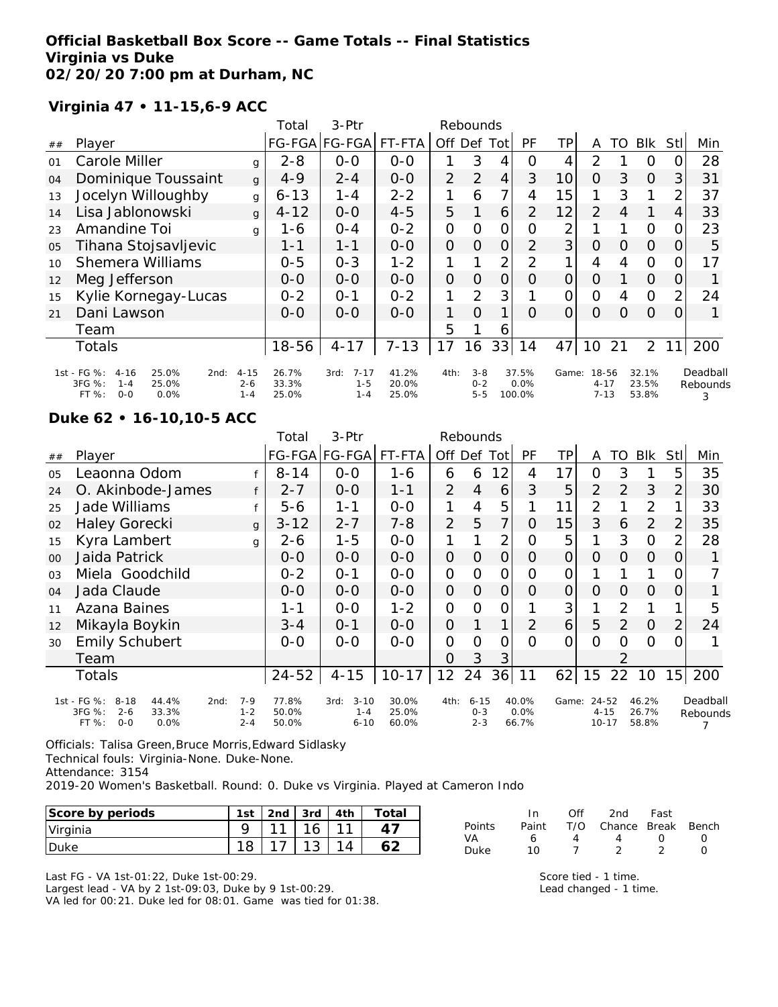### **Official Basketball Box Score -- Game Totals -- Final Statistics Virginia vs Duke 02/20/20 7:00 pm at Durham, NC**

## **Virginia 47 • 11-15,6-9 ACC**

|    |                                                                                                    |                                | Total                   | 3-Ptr                                  |                         |                | Rebounds                      |                |                         |                 |                               |                |                         |                 |                           |
|----|----------------------------------------------------------------------------------------------------|--------------------------------|-------------------------|----------------------------------------|-------------------------|----------------|-------------------------------|----------------|-------------------------|-----------------|-------------------------------|----------------|-------------------------|-----------------|---------------------------|
| ## | Player                                                                                             |                                |                         | FG-FGA FG-FGA                          | FT-FTA                  | Off            | Def                           | Tot            | PF                      | TP              | Α                             | TO             | <b>BIK</b>              | Stll            | Min                       |
| 01 | Carole Miller                                                                                      | g                              | $2 - 8$                 | $0-0$                                  | $0-0$                   |                | 3                             | 4              | O                       | 4               | 2                             |                | O                       | 0               | 28                        |
| 04 | Dominique Toussaint                                                                                | $\mathbf{q}$                   | $4 - 9$                 | $2 - 4$                                | $0-0$                   | $\overline{2}$ | 2                             | 4              | 3                       | 10 <sup>1</sup> | $\Omega$                      | 3              | $\Omega$                | $\overline{3}$  | 31                        |
| 13 | Jocelyn Willoughby                                                                                 | g                              | $6 - 13$                | $1 - 4$                                | $2 - 2$                 |                | 6                             | $\overline{7}$ | 4                       | 15              |                               | 3              |                         | 2               | 37                        |
| 14 | Lisa Jablonowski                                                                                   | g                              | $4 - 12$                | $O-O$                                  | $4 - 5$                 | 5              |                               | 6              | $\mathcal{P}$           | 12              | 2                             | $\overline{4}$ |                         | 4               | 33                        |
| 23 | Amandine Toi                                                                                       | g                              | 1-6                     | $O - 4$                                | $0 - 2$                 | $\Omega$       | 0                             | 0              | $\Omega$                | 2               |                               |                | $\circ$                 | 0               | 23                        |
| 05 | Tihana Stojsavljevic                                                                               |                                | $1 - 1$                 | $1 - 1$                                | $0 - 0$                 | $\overline{O}$ | $\Omega$                      | $\overline{O}$ | $\mathcal{P}$           | 3               | $\Omega$                      | 0              | $\Omega$                | 0               | 5                         |
| 10 | <b>Shemera Williams</b>                                                                            |                                | $0 - 5$                 | $0 - 3$                                | $1 - 2$                 |                |                               | 2              | 2                       |                 | 4                             | 4              | $\Omega$                | O               | 17                        |
| 12 | Meg Jefferson                                                                                      |                                | $O-O$                   | $0 - 0$                                | $0 - 0$                 | $\Omega$       | 0                             | $\overline{O}$ | O                       | $\overline{O}$  | $\Omega$                      |                | $\Omega$                | O               |                           |
| 15 | Kylie Kornegay-Lucas                                                                               |                                | $0 - 2$                 | $O - 1$                                | $0 - 2$                 | 1              | 2                             | 3              |                         | 0               | $\Omega$                      | 4              | $\circ$                 | $\overline{2}$  | 24                        |
| 21 | Dani Lawson                                                                                        |                                | $0 - 0$                 | $0 - 0$                                | $0 - 0$                 | 1              | $\Omega$                      | 1              | $\Omega$                | $\overline{O}$  | $\Omega$                      | O              | $\Omega$                | $\Omega$        |                           |
|    | Team                                                                                               |                                |                         |                                        |                         | 5              |                               | 6              |                         |                 |                               |                |                         |                 |                           |
|    | <b>Totals</b>                                                                                      |                                | 18-56                   | $4 - 17$                               | $7 - 13$                | 17             | 16                            | 33             | 14                      | 47              | 10                            | 21             | $\overline{2}$          | 11 <sub>1</sub> | 200                       |
|    | 1st - FG %:<br>$4 - 16$<br>25.0%<br>2nd:<br>3FG %:<br>25.0%<br>$1 - 4$<br>FT %:<br>$O - O$<br>0.0% | $4 - 15$<br>$2 - 6$<br>$1 - 4$ | 26.7%<br>33.3%<br>25.0% | $7 - 17$<br>3rd:<br>$1 - 5$<br>$1 - 4$ | 41.2%<br>20.0%<br>25.0% | 4th:           | $3 - 8$<br>$0 - 2$<br>$5 - 5$ |                | 37.5%<br>0.0%<br>100.0% | Game:           | 18-56<br>$4 - 17$<br>$7 - 13$ |                | 32.1%<br>23.5%<br>53.8% |                 | Deadball<br>Rebounds<br>3 |

#### **Duke 62 • 16-10,10-5 ACC**

|    |                                                                                                |                               | Total                   | 3-Ptr                                   |                         |                   | Rebounds                       |                |                           |                |                                |                |                         |                |                      |
|----|------------------------------------------------------------------------------------------------|-------------------------------|-------------------------|-----------------------------------------|-------------------------|-------------------|--------------------------------|----------------|---------------------------|----------------|--------------------------------|----------------|-------------------------|----------------|----------------------|
| ## | Player                                                                                         |                               |                         | FG-FGA FG-FGA                           | FT-FTA                  |                   |                                | Off Def Tot    | <b>PF</b>                 | ΤP             | A                              | TO             | <b>BIK</b>              | Stll           | Min                  |
| 05 | Leaonna Odom                                                                                   |                               | $8 - 14$                | $0 - 0$                                 | $1 - 6$                 | 6                 | 6                              | 12             | 4                         | 17             | 0                              | 3              |                         | 5              | 35                   |
| 24 | O. Akinbode-James                                                                              |                               | $2 - 7$                 | $0 - 0$                                 | $1 - 1$                 | $\overline{2}$    | 4                              | 6              | 3                         | 5              | 2                              | $\overline{2}$ | 3                       | $\overline{2}$ | 30                   |
| 25 | Jade Williams                                                                                  |                               | 5-6                     | $1 - 1$                                 | $0-0$                   | 1                 | 4                              | 5              |                           | 11             | $\overline{2}$                 |                | 2                       |                | 33                   |
| 02 | <b>Haley Gorecki</b>                                                                           | $\mathbf{q}$                  | $3 - 12$                | $2 - 7$                                 | $7 - 8$                 | $\overline{2}$    | 5                              | 7              | 0                         | 15             | 3                              | 6              | $\overline{2}$          | $\overline{2}$ | 35                   |
| 15 | Kyra Lambert                                                                                   | g                             | 2-6                     | $1 - 5$                                 | $O-O$                   | 1                 |                                | 2              | O                         | 5              |                                | 3              | $\mathbf 0$             | $\overline{2}$ | 28                   |
| 00 | Jaida Patrick                                                                                  |                               | $O-O$                   | $0-0$                                   | $0-0$                   | $\mathcal{O}$     | $\Omega$                       | $\overline{O}$ | O                         | 0              | $\Omega$                       | 0              | 0                       | 0              |                      |
| 03 | Miela Goodchild                                                                                |                               | $0 - 2$                 | $0 - 1$                                 | $0 - 0$                 | $\mathbf{O}$      | 0                              | $\mathcal{O}$  | 0                         | 0              |                                |                |                         | 0              |                      |
| 04 | Jada Claude                                                                                    |                               | $O - O$                 | $0-0$                                   | $O-O$                   | $\overline{O}$    | $\overline{O}$                 | $\overline{O}$ | 0                         | $\overline{O}$ | 0                              | 0              | $\Omega$                | $\Omega$       |                      |
| 11 | Azana Baines                                                                                   |                               | $1 - 1$                 | $0 - 0$                                 | $1 - 2$                 | $\mathbf{O}$      | O                              | $\mathcal{O}$  |                           | 3              |                                | $\overline{2}$ |                         |                | 5                    |
| 12 | Mikayla Boykin                                                                                 |                               | $3 - 4$                 | $0 - 1$                                 | $0 - 0$                 | $\Omega$          |                                | 1.             | $\mathcal{P}$             | 6              | 5                              | 2              | $\Omega$                | $\overline{2}$ | 24                   |
| 30 | <b>Emily Schubert</b>                                                                          |                               | $O-O$                   | $0 - 0$                                 | $0 - 0$                 | $\mathcal{O}$     | $\Omega$                       | 0              | $\Omega$                  | $\Omega$       | $\Omega$                       | Ω              | $\circ$                 | 0              |                      |
|    | Team                                                                                           |                               |                         |                                         |                         | O                 | 3                              | 3              |                           |                |                                | $\mathcal{P}$  |                         |                |                      |
|    | Totals                                                                                         |                               | $24 - 52$               | $4 - 15$                                | $10 - 17$               | $12 \overline{ }$ | 24                             | 36             | 11                        | 62             | 15                             | 22             | 10                      | 15             | 200                  |
|    | 1st - FG %:<br>8-18<br>44.4%<br>2nd:<br>3FG %:<br>$2 - 6$<br>33.3%<br>FT %:<br>$O - O$<br>0.0% | $7 - 9$<br>$1 - 2$<br>$2 - 4$ | 77.8%<br>50.0%<br>50.0% | $3 - 10$<br>3rd:<br>$1 - 4$<br>$6 - 10$ | 30.0%<br>25.0%<br>60.0% | 4th:              | $6 - 15$<br>$O - 3$<br>$2 - 3$ |                | 40.0%<br>$0.0\%$<br>66.7% | Game:          | 24-52<br>$4 - 15$<br>$10 - 17$ |                | 46.2%<br>26.7%<br>58.8% |                | Deadball<br>Rebounds |

Officials: Talisa Green,Bruce Morris,Edward Sidlasky Technical fouls: Virginia-None. Duke-None. Attendance: 3154

2019-20 Women's Basketball. Round: 0. Duke vs Virginia. Played at Cameron Indo

| Score by periods | 1st | 2 <sub>nd</sub> | 3rd | 4th | Totai  |
|------------------|-----|-----------------|-----|-----|--------|
| Virginia         |     | $\sim$          | 16  |     |        |
| <b>Duke</b>      |     |                 | ٮ   |     | $\sim$ |

|               | In.   | ∩ff | 2nd                    | Fast       |                  |
|---------------|-------|-----|------------------------|------------|------------------|
| <b>Points</b> | Paint |     | T/O Chance Break Bench |            |                  |
| VA            | 6     | Δ   | 4                      | $^{\circ}$ | $\left( \right)$ |
| Duke          | 10.   |     |                        |            |                  |

Last FG - VA 1st-01:22, Duke 1st-00:29.

Largest lead - VA by 2 1st-09:03, Duke by 9 1st-00:29.

VA led for 00:21. Duke led for 08:01. Game was tied for 01:38.

Score tied - 1 time. Lead changed - 1 time.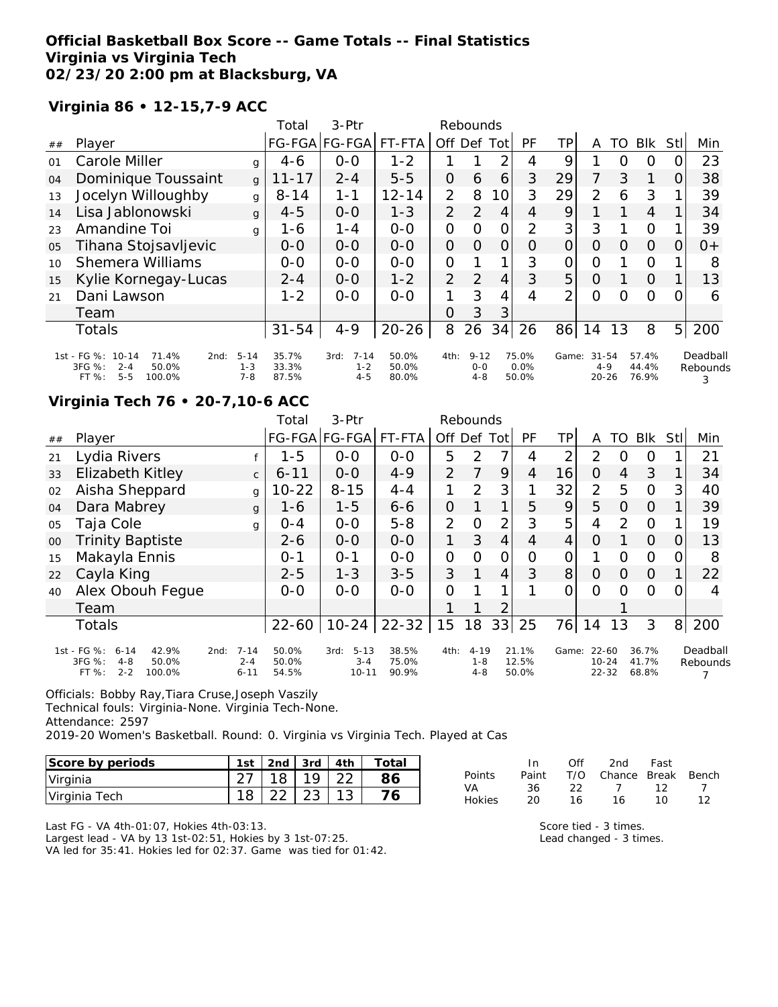## **Official Basketball Box Score -- Game Totals -- Final Statistics Virginia vs Virginia Tech 02/23/20 2:00 pm at Blacksburg, VA**

# **Virginia 86 • 12-15,7-9 ACC**

|    |                                                                                                     |                                | Total                   | $3-Ptr$                                |                         |                | Rebounds                       |                |                        |       |                                   |    |                         |                |                           |
|----|-----------------------------------------------------------------------------------------------------|--------------------------------|-------------------------|----------------------------------------|-------------------------|----------------|--------------------------------|----------------|------------------------|-------|-----------------------------------|----|-------------------------|----------------|---------------------------|
| ## | Player                                                                                              |                                | <b>FG-FGA</b>           | $FG-FGA$                               | FT-FTA                  | Off            | Def                            | Tot            | PF                     | ΤP    | A                                 | TO | <b>Blk</b>              | Stll           | Min                       |
| 01 | Carole Miller                                                                                       | q                              | $4 - 6$                 | $0 - 0$                                | $1 - 2$                 |                |                                | 2              | 4                      | 9     |                                   | O  | O                       |                | 23                        |
| 04 | Dominique Toussaint                                                                                 | g                              | $11 - 17$               | $2 - 4$                                | $5 - 5$                 | 0              | 6                              | 6              | 3                      | 29    | 7                                 | 3  | 1                       | 0              | 38                        |
| 13 | Jocelyn Willoughby                                                                                  | g                              | $8 - 14$                | $1 - 1$                                | $12 - 14$               | $\overline{2}$ | 8                              | 10             | 3                      | 29    | $\overline{2}$                    | 6  | 3                       |                | 39                        |
| 14 | Lisa Jablonowski                                                                                    | g                              | $4 - 5$                 | $0 - 0$                                | $1 - 3$                 | $\overline{2}$ | $\overline{2}$                 | $\overline{4}$ | 4                      | 9     |                                   |    | $\overline{4}$          |                | 34                        |
| 23 | Amandine Toi                                                                                        | g                              | $1 - 6$                 | $1 - 4$                                | $0 - 0$                 | 0              | $\Omega$                       | O              | 2                      | 3     | 3                                 |    | $\circ$                 |                | 39                        |
| 05 | Tihana Stojsavljevic                                                                                |                                | $O-O$                   | $0 - 0$                                | $0 - 0$                 | 0              | $\Omega$                       | $\overline{O}$ | O                      | 0     | $\Omega$                          | Ω  | $\Omega$                | O              | $O +$                     |
| 10 | <b>Shemera Williams</b>                                                                             |                                | $0-0$                   | $0 - 0$                                | $O - O$                 | 0              |                                | 1              | 3                      | O     | $\Omega$                          |    | $\circ$                 |                | 8                         |
| 15 | Kylie Kornegay-Lucas                                                                                |                                | $2 - 4$                 | $0 - 0$                                | $1 - 2$                 | 2              | $\overline{2}$                 | 4              | 3                      | 5     | O                                 |    | $\Omega$                |                | 13                        |
| 21 | Dani Lawson                                                                                         |                                | $1 - 2$                 | $0 - 0$                                | $0 - 0$                 | 1              | 3                              | 4              | 4                      | 2     | 0                                 | Ω  | $\Omega$                | O              | 6                         |
|    | Team                                                                                                |                                |                         |                                        |                         | O              | 3                              | 3              |                        |       |                                   |    |                         |                |                           |
|    | <b>Totals</b>                                                                                       |                                | $31 - 54$               | $4 - 9$                                | $20 - 26$               | 8              | 26                             | 34             | 26                     | 86    | 14                                | 13 | 8                       | 5 <sub>l</sub> | 200                       |
|    | 1st - FG %:<br>$10 - 14$<br>71.4%<br>2nd:<br>3FG %:<br>50.0%<br>$2 - 4$<br>$5 - 5$<br>100.0%<br>FT% | $5 - 14$<br>$1 - 3$<br>$7 - 8$ | 35.7%<br>33.3%<br>87.5% | $7 - 14$<br>3rd:<br>$1 - 2$<br>$4 - 5$ | 50.0%<br>50.0%<br>80.0% | 4th:           | $9 - 12$<br>$0 - 0$<br>$4 - 8$ |                | 75.0%<br>0.0%<br>50.0% | Game: | $31 - 54$<br>$4 - 9$<br>$20 - 26$ |    | 57.4%<br>44.4%<br>76.9% |                | Deadball<br>Rebounds<br>3 |

# **Virginia Tech 76 • 20-7,10-6 ACC**

|        |                                                                                                    |                                 | Total                   | $3-Ptr$                                  |                         |                | Rebounds                       |                |                         |       |                                 |          |                         |                  |                      |
|--------|----------------------------------------------------------------------------------------------------|---------------------------------|-------------------------|------------------------------------------|-------------------------|----------------|--------------------------------|----------------|-------------------------|-------|---------------------------------|----------|-------------------------|------------------|----------------------|
| ##     | Player                                                                                             |                                 |                         | FG-FGA FG-FGA                            | FT-FTA                  | Off Def        |                                | Tot            | PF                      | TP    | A                               | TO       | Blk                     | Stll             | Min                  |
| 21     | Lydia Rivers                                                                                       |                                 | $1 - 5$                 | $O-O$                                    | $0-0$                   | 5              | 2                              |                | 4                       | 2     | 2                               | O        | 0                       |                  | 21                   |
| 33     | Elizabeth Kitley                                                                                   | $\mathsf{C}$                    | $6 - 11$                | $0 - 0$                                  | $4 - 9$                 | 2              | 7                              | 9              | 4                       | 16    | $\overline{O}$                  | 4        | 3                       |                  | 34                   |
| 02     | Aisha Sheppard                                                                                     | g                               | $10 - 22$               | $8 - 15$                                 | $4 - 4$                 | 1              | $\mathcal{P}$                  | 3              | 1                       | 32    | $\overline{2}$                  | 5        | $\overline{O}$          | 3                | 40                   |
| 04     | Dara Mabrey                                                                                        | g                               | $1 - 6$                 | $1 - 5$                                  | $6 - 6$                 | $\Omega$       |                                | $\mathbf 1$    | 5                       | 9     | 5                               | $\Omega$ | $\Omega$                |                  | 39                   |
| 05     | Taja Cole                                                                                          | g                               | $O - 4$                 | $0 - 0$                                  | $5 - 8$                 | 2              | $\Omega$                       | 2              | 3                       | 5     | 4                               | 2        | 0                       |                  | 19                   |
| $00\,$ | <b>Trinity Baptiste</b>                                                                            |                                 | $2 - 6$                 | $0-0$                                    | $0-0$                   | 1              | 3                              | $\overline{4}$ | 4                       | 4     | $\Omega$                        |          | $\Omega$                | $\left( \right)$ | 13                   |
| 15     | Makayla Ennis                                                                                      |                                 | $0 - 1$                 | $O - 1$                                  | $0 - 0$                 | $\overline{O}$ | $\Omega$                       | $\overline{O}$ | $\Omega$                | 0     |                                 | O        | $\overline{O}$          | Ω                | 8                    |
| 22     | Cayla King                                                                                         |                                 | $2 - 5$                 | $1 - 3$                                  | $3 - 5$                 | 3              |                                | 4              | 3                       | 8     | $\Omega$                        | O        | $\Omega$                |                  | 22                   |
| 40     | Alex Obouh Feque                                                                                   |                                 | $0 - 0$                 | $0 - 0$                                  | $0 - 0$                 | 0              |                                |                |                         | 0     | $\Omega$                        | Ω        | Ω                       |                  | 4                    |
|        | Team                                                                                               |                                 |                         |                                          |                         |                |                                | $\overline{2}$ |                         |       |                                 |          |                         |                  |                      |
|        | <b>Totals</b>                                                                                      |                                 | $22 - 60$               | $10 - 24$                                | $22 - 32$               | 15             | 18                             | 33             | 25                      | 76    | 14                              | 13       | 3                       | 8 <sup>1</sup>   | 200                  |
|        | 1st - FG %:<br>$6 - 14$<br>42.9%<br>2nd:<br>3FG %:<br>50.0%<br>$4 - 8$<br>$2 - 2$<br>FT%<br>100.0% | $7 - 14$<br>$2 - 4$<br>$6 - 11$ | 50.0%<br>50.0%<br>54.5% | $5 - 13$<br>3rd:<br>$3 - 4$<br>$10 - 11$ | 38.5%<br>75.0%<br>90.9% | 4th:           | $4 - 19$<br>$1 - 8$<br>$4 - 8$ |                | 21.1%<br>12.5%<br>50.0% | Game: | 22-60<br>$10 - 24$<br>$22 - 32$ |          | 36.7%<br>41.7%<br>68.8% |                  | Deadball<br>Rebounds |

Officials: Bobby Ray,Tiara Cruse,Joseph Vaszily

Technical fouls: Virginia-None. Virginia Tech-None.

Attendance: 2597

2019-20 Women's Basketball. Round: 0. Virginia vs Virginia Tech. Played at Cas

| Score by periods | 1st | $\vert$ 2nd $\vert$ 3rd $\vert$ 4th |       | Total |
|------------------|-----|-------------------------------------|-------|-------|
| Virginia         |     | $18$ .                              | 19122 |       |
| Virginia Tech    |     |                                     |       |       |

|               | In.   | Off | 2nd                    | Fast |    |
|---------------|-------|-----|------------------------|------|----|
| Points        | Paint |     | T/O Chance Break Bench |      |    |
| VA.           | 36.   | フフ  | $\overline{1}$         | -12  |    |
| <b>Hokies</b> | 20    | 16. | 16                     | 1 O  | 12 |

Last FG - VA 4th-01:07, Hokies 4th-03:13.

Largest lead - VA by 13 1st-02:51, Hokies by 3 1st-07:25. VA led for 35:41. Hokies led for 02:37. Game was tied for 01:42. Score tied - 3 times. Lead changed - 3 times.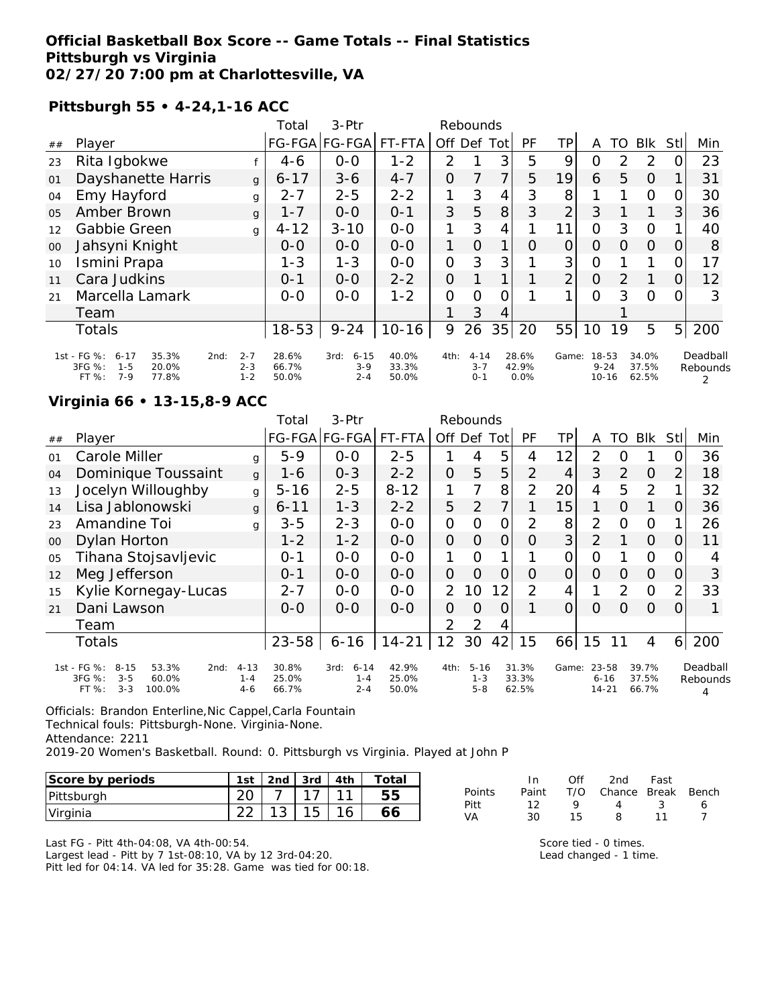### **Official Basketball Box Score -- Game Totals -- Final Statistics Pittsburgh vs Virginia 02/27/20 7:00 pm at Charlottesville, VA**

**Pittsburgh 55 • 4-24,1-16 ACC**

|                |                                                                                                     |                               | Total                   | $3-Ptr$                              |                         |                | Rebounds                       |                |                        |                |                                |    |                         |                |                      |
|----------------|-----------------------------------------------------------------------------------------------------|-------------------------------|-------------------------|--------------------------------------|-------------------------|----------------|--------------------------------|----------------|------------------------|----------------|--------------------------------|----|-------------------------|----------------|----------------------|
| ##             | Player                                                                                              |                               |                         | FG-FGA FG-FGA                        | FT-FTA                  | Off            | Def                            | Tot            | PF                     | TP             | A                              | TO | <b>BIK</b>              | <b>Stll</b>    | Min                  |
| 23             | Rita Igbokwe                                                                                        |                               | 4-6                     | $0-0$                                | $1 - 2$                 | 2              |                                | 3              | 5                      | 9              | Ο                              | 2  | 2                       |                | 23                   |
| 01             | Dayshanette Harris                                                                                  | g                             | $6 - 17$                | $3 - 6$                              | $4 - 7$                 | $\overline{O}$ |                                | $\overline{7}$ | 5                      | 19             | 6                              | 5  | $\Omega$                |                | 31                   |
| 04             | Emy Hayford                                                                                         | g                             | $2 - 7$                 | $2 - 5$                              | $2 - 2$                 | 1              | 3                              | 4              | 3                      | 8              |                                |    | $\Omega$                | 0              | 30                   |
| 0 <sub>5</sub> | Amber Brown                                                                                         | g                             | $1 - 7$                 | $0 - 0$                              | $O - 1$                 | 3              | 5                              | 8              | 3                      | $\overline{2}$ | 3                              |    |                         | 3              | 36                   |
| 12             | Gabbie Green                                                                                        | g                             | $4 - 12$                | $3 - 10$                             | $0-0$                   | 1              | 3                              | $\overline{4}$ |                        | 11             | $\Omega$                       | 3  | $\circ$                 |                | 40                   |
| 00             | Jahsyni Knight                                                                                      |                               | $0 - 0$                 | $0-0$                                | $0-0$                   | 1              | $\Omega$                       | 1              | O                      | 0              | $\Omega$                       | 0  | 0                       | O              | 8                    |
| 10             | Ismini Prapa                                                                                        |                               | $1 - 3$                 | $1 - 3$                              | $0-0$                   | $\overline{O}$ | 3                              | 3              |                        | 3              | $\circ$                        |    |                         | $\Omega$       | 17                   |
| 11             | Cara Judkins                                                                                        |                               | $O - 1$                 | $0 - 0$                              | $2 - 2$                 | $\overline{O}$ |                                |                |                        | $\overline{2}$ | $\Omega$                       | 2  |                         | 0              | 12                   |
| 21             | Marcella Lamark                                                                                     |                               | $0 - 0$                 | $0 - 0$                              | $1 - 2$                 | 0              | 0                              | 0              |                        |                | 0                              | 3  | $\circ$                 | 0              | 3                    |
|                | Team                                                                                                |                               |                         |                                      |                         |                | 3                              | 4              |                        |                |                                |    |                         |                |                      |
|                | <b>Totals</b>                                                                                       |                               | $18 - 53$               | $9 - 24$                             | $10 - 16$               | 9              | 26                             | 35             | 20                     | 55             | 10                             | 19 | 5                       | 5 <sup>1</sup> | 200                  |
|                | 1st - FG %:<br>35.3%<br>$6 - 17$<br>2nd:<br>3FG %:<br>$1 - 5$<br>20.0%<br>FT %:<br>$7 - 9$<br>77.8% | $2 - 7$<br>$2 - 3$<br>$1 - 2$ | 28.6%<br>66.7%<br>50.0% | $6 - 15$<br>3rd:<br>$3-9$<br>$2 - 4$ | 40.0%<br>33.3%<br>50.0% | 4th:           | $4 - 14$<br>$3 - 7$<br>$0 - 1$ |                | 28.6%<br>42.9%<br>0.0% | Game:          | 18-53<br>$9 - 24$<br>$10 - 16$ |    | 34.0%<br>37.5%<br>62.5% |                | Deadball<br>Rebounds |

## **Virginia 66 • 13-15,8-9 ACC**

|    |                                                                                                    |                                | Total                   | 3-Ptr                                  |                         |                | Rebounds                       |                |                         |                |                                |               |                         |                |                      |
|----|----------------------------------------------------------------------------------------------------|--------------------------------|-------------------------|----------------------------------------|-------------------------|----------------|--------------------------------|----------------|-------------------------|----------------|--------------------------------|---------------|-------------------------|----------------|----------------------|
| ## | Player                                                                                             |                                |                         | FG-FGA FG-FGA                          | FT-FTA                  |                | Off Def Tot                    |                | PF                      | TPI            | A                              | TO.           | <b>BIK</b>              | StII           | Min                  |
| 01 | Carole Miller                                                                                      | g                              | $5 - 9$                 | $0 - 0$                                | $2 - 5$                 |                | 4                              | 5              | 4                       | 12             | 2                              | Ω             |                         | 0              | 36                   |
| 04 | Dominique Toussaint                                                                                | g                              | 1-6                     | $0 - 3$                                | $2 - 2$                 | 0              | 5                              | 5              | $\overline{2}$          | 4              | 3                              | 2             | $\Omega$                | 2              | 18                   |
| 13 | Jocelyn Willoughby                                                                                 | g                              | $5 - 16$                | $2 - 5$                                | $8 - 12$                | 1              |                                | 8              | 2                       | 20             | 4                              | 5             | 2                       |                | 32                   |
| 14 | Lisa Jablonowski                                                                                   | g                              | $6 - 11$                | $1 - 3$                                | $2 - 2$                 | 5              | 2                              |                |                         | 15             | 1                              | $\Omega$      | 1                       | 0              | 36                   |
| 23 | Amandine Toi                                                                                       | g                              | $3 - 5$                 | $2 - 3$                                | $0 - 0$                 | 0              | O                              | 0              | 2                       | 8              | $\overline{2}$                 | O             | $\Omega$                |                | 26                   |
| 00 | Dylan Horton                                                                                       |                                | $1 - 2$                 | $1 - 2$                                | $0-0$                   | $\overline{O}$ | $\Omega$                       | $\overline{O}$ | O                       | 3 <sup>1</sup> | $\overline{2}$                 |               | $\Omega$                | 0              | 11                   |
| 05 | Tihana Stojsavljevic                                                                               |                                | $0 - 1$                 | $0-0$                                  | $0 - 0$                 | 1              | 0                              |                |                         | 0              | 0                              |               | $\circ$                 | O              |                      |
| 12 | Meg Jefferson                                                                                      |                                | $0 - 1$                 | $0 - 0$                                | $0 - 0$                 | $\overline{O}$ | $\Omega$                       | 0              | O                       | $\Omega$       | $\Omega$                       | 0             | $\Omega$                | O              | 3                    |
| 15 | Kylie Kornegay-Lucas                                                                               |                                | $2 - 7$                 | $0 - 0$                                | $0 - 0$                 | 2              | 10                             | 12             | 2                       | 4              |                                | $\mathcal{P}$ | $\circ$                 | $\overline{2}$ | 33                   |
| 21 | Dani Lawson                                                                                        |                                | $0 - 0$                 | $0 - 0$                                | $0 - 0$                 | 0              | $\Omega$                       | $\circ$        |                         | $\Omega$       | $\Omega$                       | $\Omega$      | $\Omega$                | $\Omega$       |                      |
|    | Team                                                                                               |                                |                         |                                        |                         | 2              | 2                              | 4              |                         |                |                                |               |                         |                |                      |
|    | <b>Totals</b>                                                                                      |                                | $23 - 58$               | $6 - 16$                               | $14 - 21$               | 12             | 30                             | 42             | 15                      | 66             | 15                             | 11            | 4                       | $6 \mid$       | 200                  |
|    | 1st - FG %:<br>$8 - 15$<br>53.3%<br>2nd:<br>3FG %:<br>$3 - 5$<br>60.0%<br>$3 - 3$<br>100.0%<br>FT% | $4 - 13$<br>$1 - 4$<br>$4 - 6$ | 30.8%<br>25.0%<br>66.7% | $6 - 14$<br>3rd:<br>$1 - 4$<br>$2 - 4$ | 42.9%<br>25.0%<br>50.0% | 4th:           | $5 - 16$<br>$1 - 3$<br>$5 - 8$ |                | 31.3%<br>33.3%<br>62.5% | Game:          | 23-58<br>$6 - 16$<br>$14 - 21$ |               | 39.7%<br>37.5%<br>66.7% |                | Deadball<br>Rebounds |

Officials: Brandon Enterline,Nic Cappel,Carla Fountain Technical fouls: Pittsburgh-None. Virginia-None. Attendance: 2211 2019-20 Women's Basketball. Round: 0. Pittsburgh vs Virginia. Played at John P

| Score by periods | 1st    | 2 <sub>nd</sub> | 3rd | 4th | Totai |
|------------------|--------|-----------------|-----|-----|-------|
| Pittsburgh       |        |                 |     |     | ხხ    |
| Virginia         | $\sim$ | $\sim$          |     |     |       |

Last FG - Pitt 4th-04:08, VA 4th-00:54. Largest lead - Pitt by 7 1st-08:10, VA by 12 3rd-04:20. Pitt led for 04:14. VA led for 35:28. Game was tied for 00:18.

|        | In.   | ∩ff | 2nd                    | Fast |   |
|--------|-------|-----|------------------------|------|---|
| Points | Paint |     | T/O Chance Break Bench |      |   |
| Pitt   | 12    | Q   | $\overline{4}$         | -3   | 6 |
| VA     | 30.   | 15  | 8.                     | 11   |   |

Score tied - 0 times. Lead changed - 1 time.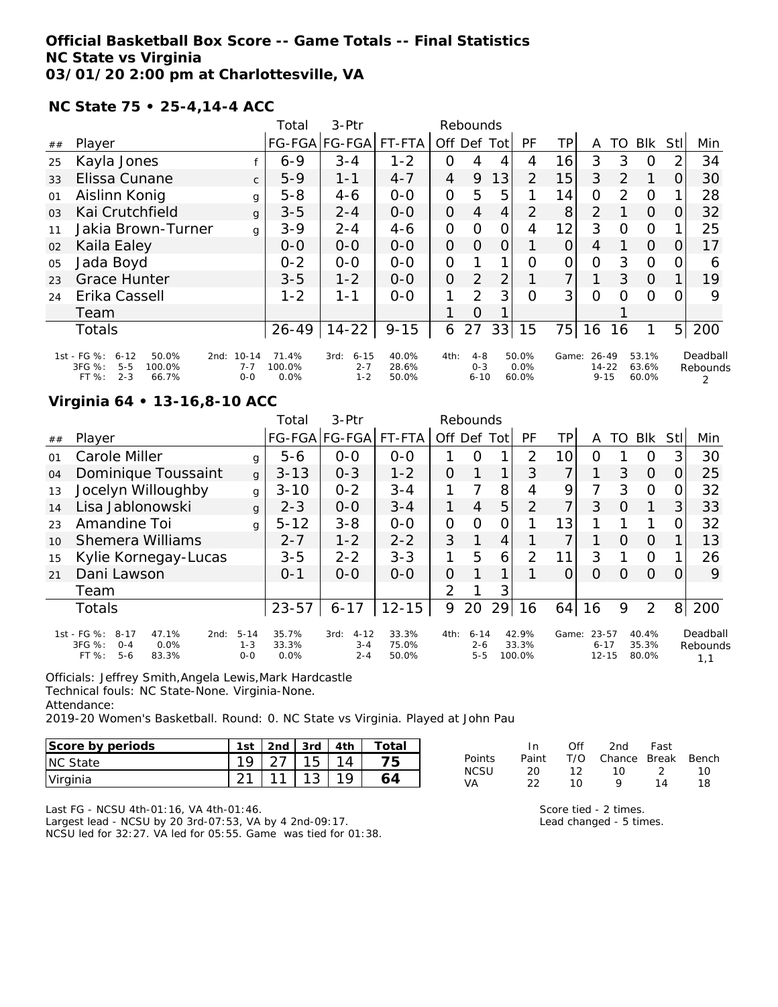### **Official Basketball Box Score -- Game Totals -- Final Statistics NC State vs Virginia 03/01/20 2:00 pm at Charlottesville, VA**

**NC State 75 • 25-4,14-4 ACC**

|                |                                                                                                      |                                 | Total                   | $3-Ptr$                                |                         | Rebounds       |                                |     |                        |                |                            |          |                         |                |                      |
|----------------|------------------------------------------------------------------------------------------------------|---------------------------------|-------------------------|----------------------------------------|-------------------------|----------------|--------------------------------|-----|------------------------|----------------|----------------------------|----------|-------------------------|----------------|----------------------|
| ##             | Player                                                                                               |                                 |                         | FG-FGA FG-FGA                          | FT-FTA                  | Off            | Def                            | Tot | PF                     | TP             | A                          | TO       | <b>BIK</b>              | <b>Stll</b>    | Min                  |
| 25             | Kayla Jones                                                                                          |                                 | $6 - 9$                 | $3 - 4$                                | $1 - 2$                 | 0              | 4                              | 4   | 4                      | 16             | 3                          | 3        | O                       | 2              | 34                   |
| 33             | Elissa Cunane                                                                                        | $\mathsf{C}$                    | $5-9$                   | $1 - 1$                                | $4 - 7$                 | $\overline{4}$ | 9                              | 13  | $\overline{2}$         | 15             | 3                          | 2        | 1                       | $\Omega$       | 30                   |
| 01             | Aislinn Konig                                                                                        | g                               | $5 - 8$                 | $4 - 6$                                | $0-0$                   | $\overline{O}$ | 5                              | 5   |                        | 14             | 0                          | 2        | $\Omega$                |                | 28                   |
| 0 <sub>3</sub> | Kai Crutchfield                                                                                      | g                               | $3 - 5$                 | $2 - 4$                                | $0 - 0$                 | $\overline{O}$ | 4                              | 4   | 2                      | 8 <sup>1</sup> | 2                          |          | $\Omega$                | 0              | 32                   |
| 11             | Jakia Brown-Turner                                                                                   | g                               | $3 - 9$                 | $2 - 4$                                | $4-6$                   | $\overline{O}$ | $\Omega$                       | 0   | 4                      | 12             | 3                          | $\Omega$ | $\circ$                 |                | 25                   |
| 02             | Kaila Ealey                                                                                          |                                 | $O - O$                 | $0 - 0$                                | $0 - 0$                 | 0              | $\Omega$                       | 0   |                        | 0              | 4                          |          | $\overline{O}$          | O              | 17                   |
| 05             | Jada Boyd                                                                                            |                                 | $0 - 2$                 | $0 - 0$                                | $0 - 0$                 | $\overline{O}$ |                                |     | Ω                      | 0              | $\overline{O}$             | 3        | $\Omega$                | $\Omega$       | 6                    |
| 23             | <b>Grace Hunter</b>                                                                                  |                                 | $3 - 5$                 | $1 - 2$                                | $0 - 0$                 | 0              | $\overline{2}$                 | 2   |                        | 7              |                            | 3        | $\Omega$                |                | 19                   |
| 24             | Erika Cassell                                                                                        |                                 | $1 - 2$                 | 1-1                                    | $0 - 0$                 | 1              | 2                              | 3   | $\Omega$               | 3              | 0                          | $\Omega$ | $\Omega$                | O              | 9                    |
|                | Team                                                                                                 |                                 |                         |                                        |                         |                | $\Omega$                       |     |                        |                |                            |          |                         |                |                      |
|                | <b>Totals</b>                                                                                        |                                 | $26 - 49$               | $14 - 22$                              | $9 - 15$                | 6              | 27                             | 33  | 15                     | 75             | 16                         | 16       | 1                       | 5 <sup>1</sup> | 200                  |
|                | 1st - FG %:<br>$6 - 12$<br>50.0%<br>2nd:<br>3FG %:<br>$5 - 5$<br>100.0%<br>$2 - 3$<br>FT %:<br>66.7% | $10 - 14$<br>$7 - 7$<br>$0 - 0$ | 71.4%<br>100.0%<br>0.0% | $6 - 15$<br>3rd:<br>$2 - 7$<br>$1 - 2$ | 40.0%<br>28.6%<br>50.0% | 4th:           | $4 - 8$<br>$0 - 3$<br>$6 - 10$ |     | 50.0%<br>0.0%<br>60.0% | Game:          | 26-49<br>14-22<br>$9 - 15$ |          | 53.1%<br>63.6%<br>60.0% |                | Deadball<br>Rebounds |

## **Virginia 64 • 13-16,8-10 ACC**

|            |                                                                                                  |                                | Total                     | $3-Ptr$                                |                         |               | Rebounds                       |      |                          |       |                                |    |                         |                |                             |
|------------|--------------------------------------------------------------------------------------------------|--------------------------------|---------------------------|----------------------------------------|-------------------------|---------------|--------------------------------|------|--------------------------|-------|--------------------------------|----|-------------------------|----------------|-----------------------------|
| ##         | Player                                                                                           |                                |                           | FG-FGA FG-FGA                          | FT-FTA                  | Off Def       |                                | Totl | PF                       | ΤP    | A                              | TO | <b>BIK</b>              | Stll           | Min                         |
| $\Omega$ 1 | Carole Miller                                                                                    | g                              | $5 - 6$                   | $0 - 0$                                | $0 - 0$                 |               | $\Omega$                       | 1    | $\mathcal{P}$            | 10I   | Ω                              |    | O                       | 3              | 30                          |
| 04         | Dominique Toussaint                                                                              | $\mathbf{q}$                   | $3 - 13$                  | $0 - 3$                                | $1 - 2$                 | 0             |                                | 1    | 3                        | 7     |                                | 3  | $\Omega$                |                | 25                          |
| 13         | Jocelyn Willoughby                                                                               | g                              | $3 - 10$                  | $0 - 2$                                | $3 - 4$                 |               | 7                              | 8    | 4                        | 9     | 7                              | 3  | 0                       |                | 32                          |
| 14         | Lisa Jablonowski                                                                                 | $\mathbf{q}$                   | $2 - 3$                   | $O-O$                                  | $3 - 4$                 |               | 4                              | 5    | 2                        | 7     | 3                              | O  | 1                       | 3              | 33                          |
| 23         | Amandine Toi                                                                                     | g                              | $5 - 12$                  | $3 - 8$                                | $0 - 0$                 | $\mathcal{O}$ | $\Omega$                       | 0    |                          | 13    |                                |    | 1                       |                | 32                          |
| 10         | Shemera Williams                                                                                 |                                | $2 - 7$                   | $1 - 2$                                | $2 - 2$                 | 3             |                                | 4    |                          |       |                                | O  | O                       |                | 13                          |
| 15         | Kylie Kornegay-Lucas                                                                             |                                | $3 - 5$                   | $2 - 2$                                | $3 - 3$                 | 1             | 5                              | 6    | 2                        | 11    | 3                              |    | O                       |                | 26                          |
| 21         | Dani Lawson                                                                                      |                                | $O - 1$                   | $0 - 0$                                | $O-O$                   | $\Omega$      |                                | 1    |                          | O     | $\Omega$                       | O  | $\Omega$                | $\Omega$       | 9                           |
|            | Team                                                                                             |                                |                           |                                        |                         | $\mathcal{P}$ |                                | 3    |                          |       |                                |    |                         |                |                             |
|            | Totals                                                                                           |                                | $23 - 57$                 | $6 - 17$                               | $12 - 15$               | 9             | 20                             | 29   | 16                       | 64    | 16                             | 9  | 2                       | 8 <sup>1</sup> | 200                         |
|            | 1st - FG %:<br>$8 - 17$<br>47.1%<br>2nd:<br>3FG %:<br>0.0%<br>$O - 4$<br>$5 - 6$<br>FT%<br>83.3% | $5 - 14$<br>$1 - 3$<br>$0 - 0$ | 35.7%<br>33.3%<br>$0.0\%$ | $4 - 12$<br>3rd:<br>$3 - 4$<br>$2 - 4$ | 33.3%<br>75.0%<br>50.0% | 4th:          | $6 - 14$<br>$2 - 6$<br>$5 - 5$ |      | 42.9%<br>33.3%<br>100.0% | Game: | 23-57<br>$6 - 17$<br>$12 - 15$ |    | 40.4%<br>35.3%<br>80.0% |                | Deadball<br>Rebounds<br>1,1 |

Officials: Jeffrey Smith,Angela Lewis,Mark Hardcastle Technical fouls: NC State-None. Virginia-None. Attendance:

2019-20 Women's Basketball. Round: 0. NC State vs Virginia. Played at John Pau

| Score by periods | 1st | 2 <sub>nd</sub> | 3rd | 4th | $\tau$ otai |
|------------------|-----|-----------------|-----|-----|-------------|
| <b>INC State</b> |     |                 |     |     |             |
| Virginia         |     |                 |     |     |             |

|        | In.   | Off | 2nd                    | Fast          |    |
|--------|-------|-----|------------------------|---------------|----|
| Points | Paint |     | T/O Chance Break Bench |               |    |
| NCSU   | -20   | 12. | 1 O                    | $\mathcal{D}$ | 10 |
| VA     | フフ    | 1 N | o                      | 14            | 18 |

Last FG - NCSU 4th-01:16, VA 4th-01:46.

Largest lead - NCSU by 20 3rd-07:53, VA by 4 2nd-09:17. NCSU led for 32:27. VA led for 05:55. Game was tied for 01:38. Score tied - 2 times.

Lead changed - 5 times.